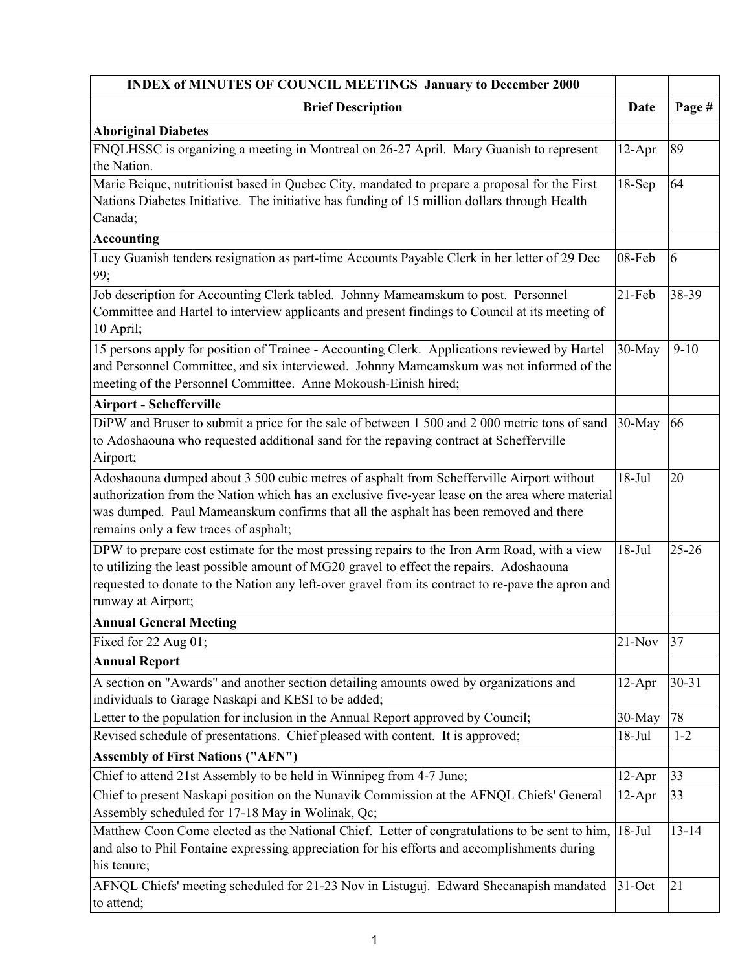| <b>INDEX of MINUTES OF COUNCIL MEETINGS January to December 2000</b>                                                                                                                                                                                                                                                         |             |           |
|------------------------------------------------------------------------------------------------------------------------------------------------------------------------------------------------------------------------------------------------------------------------------------------------------------------------------|-------------|-----------|
| <b>Brief Description</b>                                                                                                                                                                                                                                                                                                     | <b>Date</b> | Page #    |
| <b>Aboriginal Diabetes</b>                                                                                                                                                                                                                                                                                                   |             |           |
| FNQLHSSC is organizing a meeting in Montreal on 26-27 April. Mary Guanish to represent<br>the Nation.                                                                                                                                                                                                                        | $12-Apr$    | 89        |
| Marie Beique, nutritionist based in Quebec City, mandated to prepare a proposal for the First<br>Nations Diabetes Initiative. The initiative has funding of 15 million dollars through Health<br>Canada;                                                                                                                     | $18-Sep$    | 64        |
| <b>Accounting</b>                                                                                                                                                                                                                                                                                                            |             |           |
| Lucy Guanish tenders resignation as part-time Accounts Payable Clerk in her letter of 29 Dec<br>99;                                                                                                                                                                                                                          | 08-Feb      | 6         |
| Job description for Accounting Clerk tabled. Johnny Mameamskum to post. Personnel<br>Committee and Hartel to interview applicants and present findings to Council at its meeting of<br>10 April;                                                                                                                             | $21-Feb$    | 38-39     |
| 15 persons apply for position of Trainee - Accounting Clerk. Applications reviewed by Hartel<br>and Personnel Committee, and six interviewed. Johnny Mameamskum was not informed of the<br>meeting of the Personnel Committee. Anne Mokoush-Einish hired;                                                                    | 30-May      | $9-10$    |
| <b>Airport - Schefferville</b>                                                                                                                                                                                                                                                                                               |             |           |
| DiPW and Bruser to submit a price for the sale of between 1 500 and 2 000 metric tons of sand<br>to Adoshaouna who requested additional sand for the repaving contract at Schefferville<br>Airport;                                                                                                                          | 30-May      | 66        |
| Adoshaouna dumped about 3 500 cubic metres of asphalt from Schefferville Airport without<br>authorization from the Nation which has an exclusive five-year lease on the area where material<br>was dumped. Paul Mameanskum confirms that all the asphalt has been removed and there<br>remains only a few traces of asphalt; | $18-Jul$    | 20        |
| DPW to prepare cost estimate for the most pressing repairs to the Iron Arm Road, with a view<br>to utilizing the least possible amount of MG20 gravel to effect the repairs. Adoshaouna<br>requested to donate to the Nation any left-over gravel from its contract to re-pave the apron and<br>runway at Airport;           | $18-Jul$    | $25 - 26$ |
| <b>Annual General Meeting</b>                                                                                                                                                                                                                                                                                                |             |           |
| Fixed for 22 Aug 01;                                                                                                                                                                                                                                                                                                         | $21-Nov$    | 37        |
| <b>Annual Report</b>                                                                                                                                                                                                                                                                                                         |             |           |
| A section on "Awards" and another section detailing amounts owed by organizations and<br>individuals to Garage Naskapi and KESI to be added;                                                                                                                                                                                 | $12-Apr$    | $30 - 31$ |
| Letter to the population for inclusion in the Annual Report approved by Council;                                                                                                                                                                                                                                             | 30-May      | 78        |
| Revised schedule of presentations. Chief pleased with content. It is approved;                                                                                                                                                                                                                                               | $18-Jul$    | $1 - 2$   |
| <b>Assembly of First Nations ("AFN")</b>                                                                                                                                                                                                                                                                                     |             |           |
| Chief to attend 21st Assembly to be held in Winnipeg from 4-7 June;                                                                                                                                                                                                                                                          | $12-Apr$    | 33        |
| Chief to present Naskapi position on the Nunavik Commission at the AFNQL Chiefs' General<br>Assembly scheduled for 17-18 May in Wolinak, Qc;                                                                                                                                                                                 | $12-Apr$    | 33        |
| Matthew Coon Come elected as the National Chief. Letter of congratulations to be sent to him,<br>and also to Phil Fontaine expressing appreciation for his efforts and accomplishments during<br>his tenure;                                                                                                                 | $18-Jul$    | $13 - 14$ |
| AFNQL Chiefs' meeting scheduled for 21-23 Nov in Listuguj. Edward Shecanapish mandated<br>to attend;                                                                                                                                                                                                                         | 31-Oct      | 21        |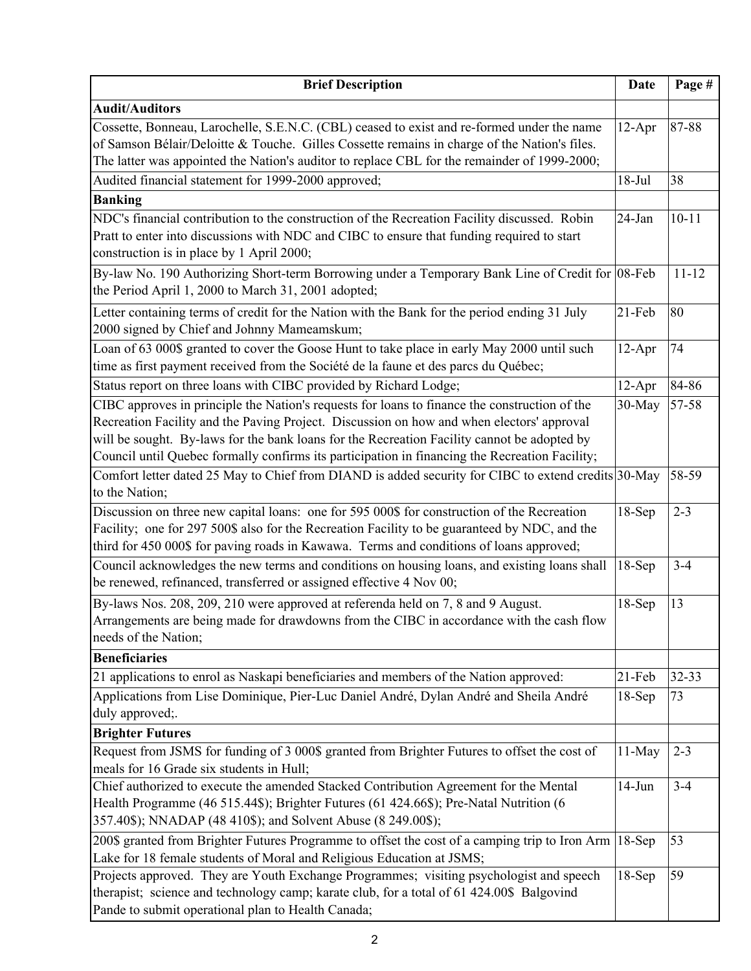| <b>Brief Description</b>                                                                                                                                                                                                                                                                                                                                                                    | Date      | Page #    |
|---------------------------------------------------------------------------------------------------------------------------------------------------------------------------------------------------------------------------------------------------------------------------------------------------------------------------------------------------------------------------------------------|-----------|-----------|
| <b>Audit/Auditors</b>                                                                                                                                                                                                                                                                                                                                                                       |           |           |
| Cossette, Bonneau, Larochelle, S.E.N.C. (CBL) ceased to exist and re-formed under the name<br>of Samson Bélair/Deloitte & Touche. Gilles Cossette remains in charge of the Nation's files.<br>The latter was appointed the Nation's auditor to replace CBL for the remainder of 1999-2000;                                                                                                  | $12-Apr$  | 87-88     |
| Audited financial statement for 1999-2000 approved;                                                                                                                                                                                                                                                                                                                                         | $18-Jul$  | 38        |
| <b>Banking</b>                                                                                                                                                                                                                                                                                                                                                                              |           |           |
| NDC's financial contribution to the construction of the Recreation Facility discussed. Robin<br>Pratt to enter into discussions with NDC and CIBC to ensure that funding required to start<br>construction is in place by 1 April 2000;                                                                                                                                                     | 24-Jan    | $10 - 11$ |
| By-law No. 190 Authorizing Short-term Borrowing under a Temporary Bank Line of Credit for 08-Feb<br>the Period April 1, 2000 to March 31, 2001 adopted;                                                                                                                                                                                                                                     |           | $11 - 12$ |
| Letter containing terms of credit for the Nation with the Bank for the period ending 31 July<br>2000 signed by Chief and Johnny Mameamskum;                                                                                                                                                                                                                                                 | 21-Feb    | 80        |
| Loan of 63 000\$ granted to cover the Goose Hunt to take place in early May 2000 until such<br>time as first payment received from the Société de la faune et des parcs du Québec;                                                                                                                                                                                                          | $12-Apr$  | 74        |
| Status report on three loans with CIBC provided by Richard Lodge;                                                                                                                                                                                                                                                                                                                           | $12-Apr$  | 84-86     |
| CIBC approves in principle the Nation's requests for loans to finance the construction of the<br>Recreation Facility and the Paving Project. Discussion on how and when electors' approval<br>will be sought. By-laws for the bank loans for the Recreation Facility cannot be adopted by<br>Council until Quebec formally confirms its participation in financing the Recreation Facility; | 30-May    | 57-58     |
| Comfort letter dated 25 May to Chief from DIAND is added security for CIBC to extend credits 30-May<br>to the Nation;                                                                                                                                                                                                                                                                       |           | 58-59     |
| Discussion on three new capital loans: one for 595 000\$ for construction of the Recreation<br>Facility; one for 297 500\$ also for the Recreation Facility to be guaranteed by NDC, and the<br>third for 450 000\$ for paving roads in Kawawa. Terms and conditions of loans approved;                                                                                                     | $18-Sep$  | $2 - 3$   |
| Council acknowledges the new terms and conditions on housing loans, and existing loans shall<br>be renewed, refinanced, transferred or assigned effective 4 Nov 00;                                                                                                                                                                                                                         | $18-Sep$  | $3 - 4$   |
| By-laws Nos. 208, 209, 210 were approved at referenda held on 7, 8 and 9 August.<br>Arrangements are being made for drawdowns from the CIBC in accordance with the cash flow<br>needs of the Nation;                                                                                                                                                                                        | $18-Sep$  | 13        |
| <b>Beneficiaries</b>                                                                                                                                                                                                                                                                                                                                                                        |           |           |
| 21 applications to enrol as Naskapi beneficiaries and members of the Nation approved:                                                                                                                                                                                                                                                                                                       | $21$ -Feb | $32 - 33$ |
| Applications from Lise Dominique, Pier-Luc Daniel André, Dylan André and Sheila André<br>duly approved;.                                                                                                                                                                                                                                                                                    | $18-Sep$  | 73        |
| <b>Brighter Futures</b>                                                                                                                                                                                                                                                                                                                                                                     |           |           |
| Request from JSMS for funding of 3 000\$ granted from Brighter Futures to offset the cost of<br>meals for 16 Grade six students in Hull;                                                                                                                                                                                                                                                    | $11-May$  | $2 - 3$   |
| Chief authorized to execute the amended Stacked Contribution Agreement for the Mental<br>Health Programme (46 515.44\$); Brighter Futures (61 424.66\$); Pre-Natal Nutrition (6<br>357.40\$); NNADAP (48 410\$); and Solvent Abuse (8 249.00\$);                                                                                                                                            | $14-Jun$  | $3 - 4$   |
| 200\$ granted from Brighter Futures Programme to offset the cost of a camping trip to Iron Arm 18-Sep<br>Lake for 18 female students of Moral and Religious Education at JSMS;                                                                                                                                                                                                              |           | 53        |
| Projects approved. They are Youth Exchange Programmes; visiting psychologist and speech<br>therapist; science and technology camp; karate club, for a total of 61 424.00\$ Balgovind<br>Pande to submit operational plan to Health Canada;                                                                                                                                                  | $18-Sep$  | 59        |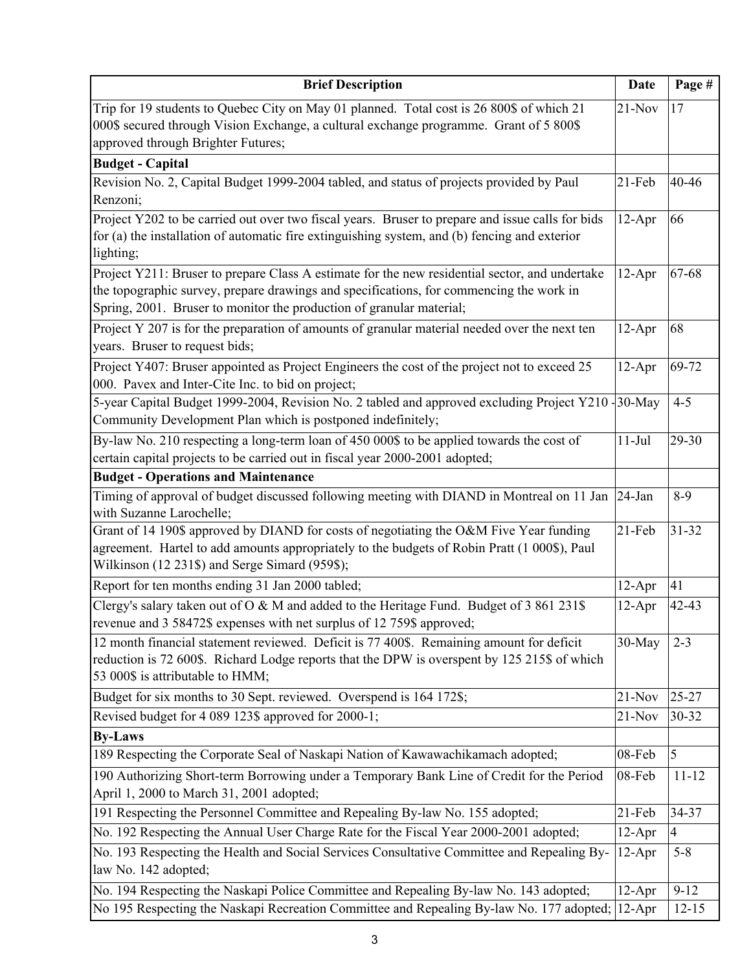| <b>Brief Description</b>                                                                                                                                                                                                                                          | Date      | Page #         |
|-------------------------------------------------------------------------------------------------------------------------------------------------------------------------------------------------------------------------------------------------------------------|-----------|----------------|
| Trip for 19 students to Quebec City on May 01 planned. Total cost is 26 800\$ of which 21<br>000\$ secured through Vision Exchange, a cultural exchange programme. Grant of 5 800\$<br>approved through Brighter Futures;                                         | $21-Nov$  | 17             |
| <b>Budget - Capital</b>                                                                                                                                                                                                                                           |           |                |
| Revision No. 2, Capital Budget 1999-2004 tabled, and status of projects provided by Paul<br>Renzoni;                                                                                                                                                              | $21-Feb$  | 40-46          |
| Project Y202 to be carried out over two fiscal years. Bruser to prepare and issue calls for bids<br>for (a) the installation of automatic fire extinguishing system, and (b) fencing and exterior<br>lighting;                                                    | $12-Apr$  | 66             |
| Project Y211: Bruser to prepare Class A estimate for the new residential sector, and undertake<br>the topographic survey, prepare drawings and specifications, for commencing the work in<br>Spring, 2001. Bruser to monitor the production of granular material; | $12-Apr$  | 67-68          |
| Project Y 207 is for the preparation of amounts of granular material needed over the next ten<br>years. Bruser to request bids;                                                                                                                                   | $12-Apr$  | 68             |
| Project Y407: Bruser appointed as Project Engineers the cost of the project not to exceed 25<br>000. Pavex and Inter-Cite Inc. to bid on project;                                                                                                                 | $12-Apr$  | 69-72          |
| 5-year Capital Budget 1999-2004, Revision No. 2 tabled and approved excluding Project Y210 - 30-May<br>Community Development Plan which is postponed indefinitely;                                                                                                |           | $4 - 5$        |
| By-law No. 210 respecting a long-term loan of 450 000\$ to be applied towards the cost of<br>certain capital projects to be carried out in fiscal year 2000-2001 adopted;                                                                                         | $11-Jul$  | 29-30          |
| <b>Budget - Operations and Maintenance</b>                                                                                                                                                                                                                        |           |                |
| Timing of approval of budget discussed following meeting with DIAND in Montreal on 11 Jan<br>with Suzanne Larochelle;                                                                                                                                             | 24-Jan    | $8-9$          |
| Grant of 14 190\$ approved by DIAND for costs of negotiating the O&M Five Year funding<br>agreement. Hartel to add amounts appropriately to the budgets of Robin Pratt (1 000\$), Paul<br>Wilkinson (12 231\$) and Serge Simard (959\$);                          | $21-Feb$  | $31 - 32$      |
| Report for ten months ending 31 Jan 2000 tabled;                                                                                                                                                                                                                  | 12-Apr    | 41             |
| Clergy's salary taken out of O & M and added to the Heritage Fund. Budget of 3 861 231\$<br>revenue and 3 58472\$ expenses with net surplus of 12 759\$ approved;                                                                                                 | $12-Apr$  | 42-43          |
| 12 month financial statement reviewed. Deficit is 77 400\$. Remaining amount for deficit<br>reduction is 72 600\$. Richard Lodge reports that the DPW is overspent by 125 215\$ of which<br>53 000\$ is attributable to HMM;                                      | 30-May    | $2 - 3$        |
| Budget for six months to 30 Sept. reviewed. Overspend is 164 172\$;                                                                                                                                                                                               | $21-Nov$  | 25-27          |
| Revised budget for 4 089 123\$ approved for 2000-1;                                                                                                                                                                                                               | $21-Nov$  | 30-32          |
| <b>By-Laws</b>                                                                                                                                                                                                                                                    |           |                |
| 189 Respecting the Corporate Seal of Naskapi Nation of Kawawachikamach adopted;                                                                                                                                                                                   | 08-Feb    | 5              |
| 190 Authorizing Short-term Borrowing under a Temporary Bank Line of Credit for the Period<br>April 1, 2000 to March 31, 2001 adopted;                                                                                                                             | 08-Feb    | $11 - 12$      |
| 191 Respecting the Personnel Committee and Repealing By-law No. 155 adopted;                                                                                                                                                                                      | $21$ -Feb | 34-37          |
| No. 192 Respecting the Annual User Charge Rate for the Fiscal Year 2000-2001 adopted;                                                                                                                                                                             | $12-Apr$  | $\overline{4}$ |
| No. 193 Respecting the Health and Social Services Consultative Committee and Repealing By-<br>law No. 142 adopted;                                                                                                                                                | $12-Apr$  | $5 - 8$        |
| No. 194 Respecting the Naskapi Police Committee and Repealing By-law No. 143 adopted;                                                                                                                                                                             | 12-Apr    | $9 - 12$       |
| No 195 Respecting the Naskapi Recreation Committee and Repealing By-law No. 177 adopted;                                                                                                                                                                          | $12-Apr$  | $12 - 15$      |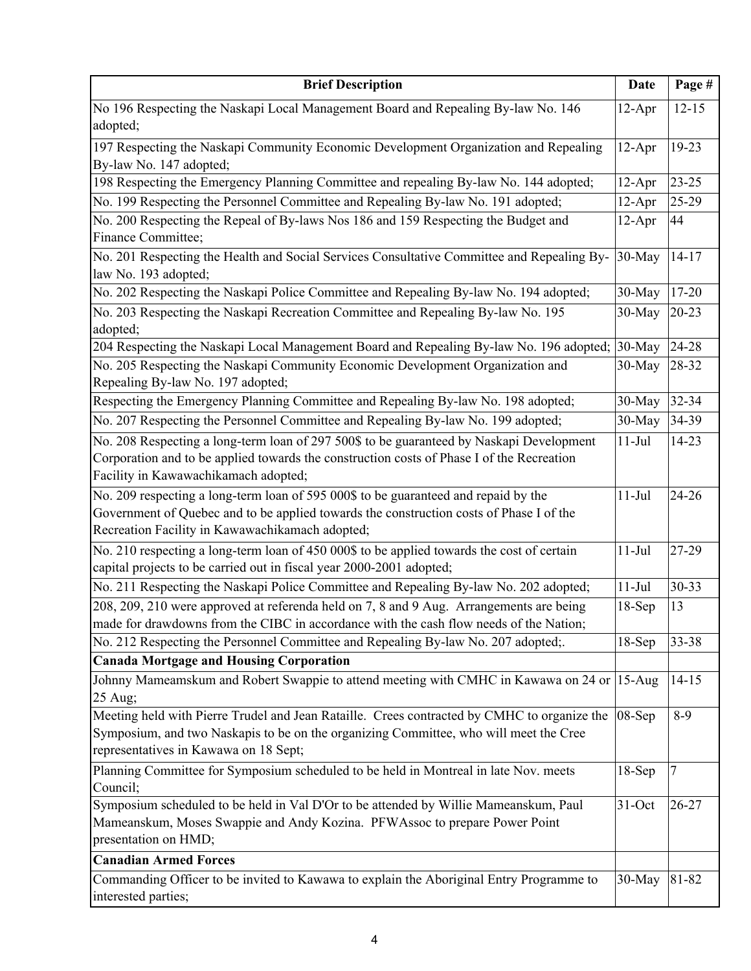| <b>Brief Description</b>                                                                                           | Date     | Page #    |
|--------------------------------------------------------------------------------------------------------------------|----------|-----------|
| No 196 Respecting the Naskapi Local Management Board and Repealing By-law No. 146                                  | $12-Apr$ | $12 - 15$ |
| adopted;                                                                                                           |          |           |
| 197 Respecting the Naskapi Community Economic Development Organization and Repealing                               | $12-Apr$ | 19-23     |
| By-law No. 147 adopted;                                                                                            |          |           |
| 198 Respecting the Emergency Planning Committee and repealing By-law No. 144 adopted;                              | $12-Apr$ | $23 - 25$ |
| No. 199 Respecting the Personnel Committee and Repealing By-law No. 191 adopted;                                   | $12-Apr$ | 25-29     |
| No. 200 Respecting the Repeal of By-laws Nos 186 and 159 Respecting the Budget and                                 | $12-Apr$ | 44        |
| Finance Committee;                                                                                                 |          |           |
| No. 201 Respecting the Health and Social Services Consultative Committee and Repealing By-<br>law No. 193 adopted; | 30-May   | $14-17$   |
| No. 202 Respecting the Naskapi Police Committee and Repealing By-law No. 194 adopted;                              | 30-May   | 17-20     |
| No. 203 Respecting the Naskapi Recreation Committee and Repealing By-law No. 195                                   | 30-May   | $20 - 23$ |
| adopted;                                                                                                           |          |           |
| 204 Respecting the Naskapi Local Management Board and Repealing By-law No. 196 adopted;                            | 30-May   | 24-28     |
| No. 205 Respecting the Naskapi Community Economic Development Organization and                                     | 30-May   | 28-32     |
| Repealing By-law No. 197 adopted;                                                                                  |          |           |
| Respecting the Emergency Planning Committee and Repealing By-law No. 198 adopted;                                  | 30-May   | 32-34     |
| No. 207 Respecting the Personnel Committee and Repealing By-law No. 199 adopted;                                   | 30-May   | 34-39     |
| No. 208 Respecting a long-term loan of 297 500\$ to be guaranteed by Naskapi Development                           | $11-Jul$ | $14 - 23$ |
| Corporation and to be applied towards the construction costs of Phase I of the Recreation                          |          |           |
| Facility in Kawawachikamach adopted;                                                                               |          |           |
| No. 209 respecting a long-term loan of 595 000\$ to be guaranteed and repaid by the                                | $11-Jul$ | $24 - 26$ |
| Government of Quebec and to be applied towards the construction costs of Phase I of the                            |          |           |
| Recreation Facility in Kawawachikamach adopted;                                                                    |          |           |
| No. 210 respecting a long-term loan of 450 000\$ to be applied towards the cost of certain                         | $11-Jul$ | 27-29     |
| capital projects to be carried out in fiscal year 2000-2001 adopted;                                               |          |           |
| No. 211 Respecting the Naskapi Police Committee and Repealing By-law No. 202 adopted;                              | $11-Jul$ | 30-33     |
| 208, 209, 210 were approved at referenda held on 7, 8 and 9 Aug. Arrangements are being                            | $18-Sep$ | 13        |
| made for drawdowns from the CIBC in accordance with the cash flow needs of the Nation;                             |          |           |
| No. 212 Respecting the Personnel Committee and Repealing By-law No. 207 adopted;                                   | $18-Sep$ | 33-38     |
| <b>Canada Mortgage and Housing Corporation</b>                                                                     |          |           |
| Johnny Mameamskum and Robert Swappie to attend meeting with CMHC in Kawawa on 24 or                                | $15-Aug$ | $14 - 15$ |
| 25 Aug;                                                                                                            |          |           |
| Meeting held with Pierre Trudel and Jean Rataille. Crees contracted by CMHC to organize the                        | 08-Sep   | $8-9$     |
| Symposium, and two Naskapis to be on the organizing Committee, who will meet the Cree                              |          |           |
| representatives in Kawawa on 18 Sept;                                                                              |          |           |
| Planning Committee for Symposium scheduled to be held in Montreal in late Nov. meets<br>Council;                   | $18-Sep$ | 7         |
| Symposium scheduled to be held in Val D'Or to be attended by Willie Mameanskum, Paul                               | 31-Oct   | 26-27     |
| Mameanskum, Moses Swappie and Andy Kozina. PFWAssoc to prepare Power Point                                         |          |           |
| presentation on HMD;                                                                                               |          |           |
| <b>Canadian Armed Forces</b>                                                                                       |          |           |
| Commanding Officer to be invited to Kawawa to explain the Aboriginal Entry Programme to                            | 30-May   | 81-82     |
| interested parties;                                                                                                |          |           |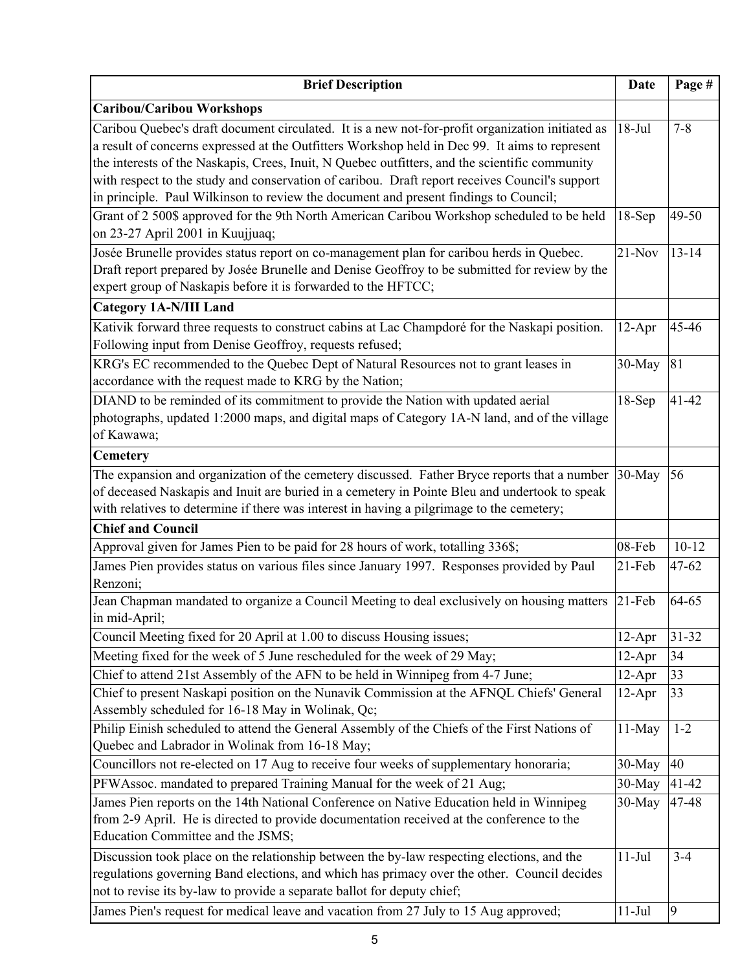| <b>Brief Description</b>                                                                                                                                                                                                                                                                                                                                                                                                                                                                       | Date      | Page #           |
|------------------------------------------------------------------------------------------------------------------------------------------------------------------------------------------------------------------------------------------------------------------------------------------------------------------------------------------------------------------------------------------------------------------------------------------------------------------------------------------------|-----------|------------------|
| <b>Caribou/Caribou Workshops</b>                                                                                                                                                                                                                                                                                                                                                                                                                                                               |           |                  |
| Caribou Quebec's draft document circulated. It is a new not-for-profit organization initiated as<br>a result of concerns expressed at the Outfitters Workshop held in Dec 99. It aims to represent<br>the interests of the Naskapis, Crees, Inuit, N Quebec outfitters, and the scientific community<br>with respect to the study and conservation of caribou. Draft report receives Council's support<br>in principle. Paul Wilkinson to review the document and present findings to Council; | $18-Jul$  | $7 - 8$          |
| Grant of 2 500\$ approved for the 9th North American Caribou Workshop scheduled to be held<br>on 23-27 April 2001 in Kuujjuaq;                                                                                                                                                                                                                                                                                                                                                                 | $18-Sep$  | 49-50            |
| Josée Brunelle provides status report on co-management plan for caribou herds in Quebec.<br>Draft report prepared by Josée Brunelle and Denise Geoffroy to be submitted for review by the<br>expert group of Naskapis before it is forwarded to the HFTCC;                                                                                                                                                                                                                                     | $21-Nov$  | $13 - 14$        |
| <b>Category 1A-N/III Land</b>                                                                                                                                                                                                                                                                                                                                                                                                                                                                  |           |                  |
| Kativik forward three requests to construct cabins at Lac Champdoré for the Naskapi position.<br>Following input from Denise Geoffroy, requests refused;                                                                                                                                                                                                                                                                                                                                       | $12-Apr$  | 45-46            |
| KRG's EC recommended to the Quebec Dept of Natural Resources not to grant leases in<br>accordance with the request made to KRG by the Nation;                                                                                                                                                                                                                                                                                                                                                  | 30-May    | 81               |
| DIAND to be reminded of its commitment to provide the Nation with updated aerial<br>photographs, updated 1:2000 maps, and digital maps of Category 1A-N land, and of the village<br>of Kawawa;                                                                                                                                                                                                                                                                                                 | $18-Sep$  | $41 - 42$        |
| <b>Cemetery</b>                                                                                                                                                                                                                                                                                                                                                                                                                                                                                |           |                  |
| The expansion and organization of the cemetery discussed. Father Bryce reports that a number<br>of deceased Naskapis and Inuit are buried in a cemetery in Pointe Bleu and undertook to speak<br>with relatives to determine if there was interest in having a pilgrimage to the cemetery;                                                                                                                                                                                                     | 30-May    | 56               |
| <b>Chief and Council</b>                                                                                                                                                                                                                                                                                                                                                                                                                                                                       |           |                  |
| Approval given for James Pien to be paid for 28 hours of work, totalling 336\$;                                                                                                                                                                                                                                                                                                                                                                                                                | 08-Feb    | $10 - 12$        |
| James Pien provides status on various files since January 1997. Responses provided by Paul<br>Renzoni;                                                                                                                                                                                                                                                                                                                                                                                         | $21$ -Feb | 47-62            |
| Jean Chapman mandated to organize a Council Meeting to deal exclusively on housing matters<br>in mid-April;                                                                                                                                                                                                                                                                                                                                                                                    | 21-Feb    | 64-65            |
| Council Meeting fixed for 20 April at 1.00 to discuss Housing issues;                                                                                                                                                                                                                                                                                                                                                                                                                          | $12-Apr$  | $31 - 32$        |
| Meeting fixed for the week of 5 June rescheduled for the week of 29 May;                                                                                                                                                                                                                                                                                                                                                                                                                       | $12-Apr$  | 34               |
| Chief to attend 21st Assembly of the AFN to be held in Winnipeg from 4-7 June;                                                                                                                                                                                                                                                                                                                                                                                                                 | $12-Apr$  | 33               |
| Chief to present Naskapi position on the Nunavik Commission at the AFNQL Chiefs' General<br>Assembly scheduled for 16-18 May in Wolinak, Qc;                                                                                                                                                                                                                                                                                                                                                   | $12-Apr$  | 33               |
| Philip Einish scheduled to attend the General Assembly of the Chiefs of the First Nations of<br>Quebec and Labrador in Wolinak from 16-18 May;                                                                                                                                                                                                                                                                                                                                                 | 11-May    | $1 - 2$          |
| Councillors not re-elected on 17 Aug to receive four weeks of supplementary honoraria;                                                                                                                                                                                                                                                                                                                                                                                                         | 30-May    | 40               |
| PFWAssoc. mandated to prepared Training Manual for the week of 21 Aug;                                                                                                                                                                                                                                                                                                                                                                                                                         | 30-May    | $41 - 42$        |
| James Pien reports on the 14th National Conference on Native Education held in Winnipeg<br>from 2-9 April. He is directed to provide documentation received at the conference to the<br>Education Committee and the JSMS;                                                                                                                                                                                                                                                                      | 30-May    | 47-48            |
| Discussion took place on the relationship between the by-law respecting elections, and the<br>regulations governing Band elections, and which has primacy over the other. Council decides<br>not to revise its by-law to provide a separate ballot for deputy chief;                                                                                                                                                                                                                           | $11-Jul$  | $3-4$            |
| James Pien's request for medical leave and vacation from 27 July to 15 Aug approved;                                                                                                                                                                                                                                                                                                                                                                                                           | $11-Jul$  | $\boldsymbol{9}$ |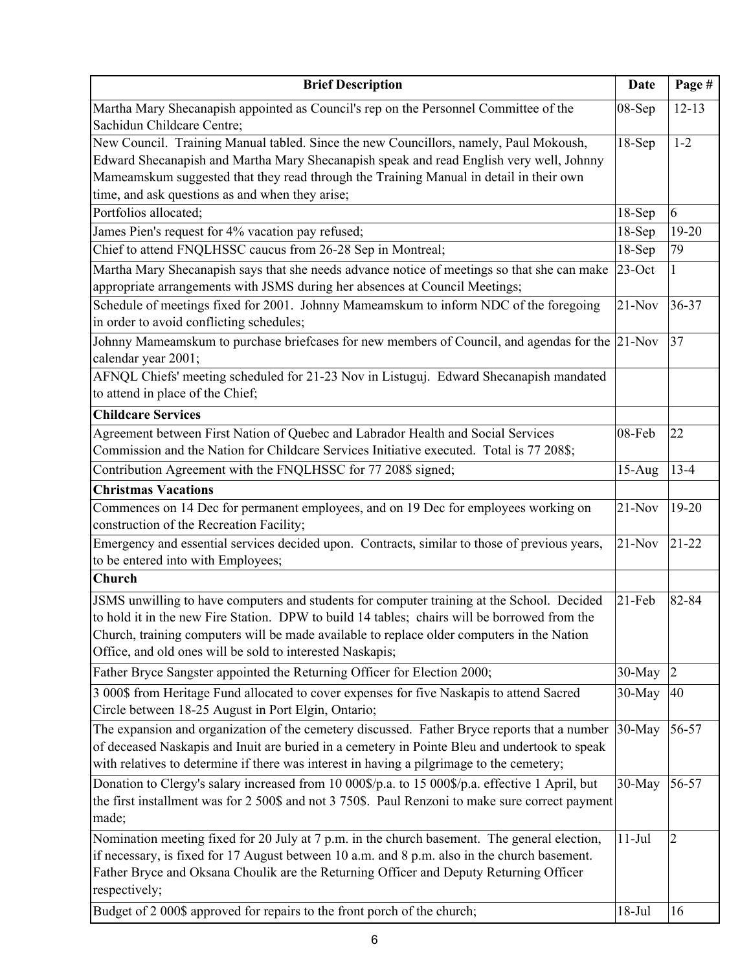| <b>Brief Description</b>                                                                                                                                                                                                                                                                                                                              | <b>Date</b> | Page #         |
|-------------------------------------------------------------------------------------------------------------------------------------------------------------------------------------------------------------------------------------------------------------------------------------------------------------------------------------------------------|-------------|----------------|
| Martha Mary Shecanapish appointed as Council's rep on the Personnel Committee of the<br>Sachidun Childcare Centre;                                                                                                                                                                                                                                    | 08-Sep      | $12 - 13$      |
| New Council. Training Manual tabled. Since the new Councillors, namely, Paul Mokoush,<br>Edward Shecanapish and Martha Mary Shecanapish speak and read English very well, Johnny<br>Mameamskum suggested that they read through the Training Manual in detail in their own<br>time, and ask questions as and when they arise;                         | $18-Sep$    | $1 - 2$        |
| Portfolios allocated;                                                                                                                                                                                                                                                                                                                                 | $18-Sep$    | 6              |
| James Pien's request for 4% vacation pay refused;                                                                                                                                                                                                                                                                                                     | $18-Sep$    | 19-20          |
| Chief to attend FNQLHSSC caucus from 26-28 Sep in Montreal;                                                                                                                                                                                                                                                                                           | $18-Sep$    | 79             |
| Martha Mary Shecanapish says that she needs advance notice of meetings so that she can make<br>appropriate arrangements with JSMS during her absences at Council Meetings;                                                                                                                                                                            | $23$ -Oct   | 1              |
| Schedule of meetings fixed for 2001. Johnny Mameamskum to inform NDC of the foregoing<br>in order to avoid conflicting schedules;                                                                                                                                                                                                                     | $21-Nov$    | 36-37          |
| Johnny Mameamskum to purchase briefcases for new members of Council, and agendas for the<br>calendar year 2001;                                                                                                                                                                                                                                       | $21-Nov$    | 37             |
| AFNQL Chiefs' meeting scheduled for 21-23 Nov in Listuguj. Edward Shecanapish mandated<br>to attend in place of the Chief;                                                                                                                                                                                                                            |             |                |
| <b>Childcare Services</b>                                                                                                                                                                                                                                                                                                                             |             |                |
| Agreement between First Nation of Quebec and Labrador Health and Social Services<br>Commission and the Nation for Childcare Services Initiative executed. Total is 77 208\$;                                                                                                                                                                          | 08-Feb      | 22             |
| Contribution Agreement with the FNQLHSSC for 77 208\$ signed;                                                                                                                                                                                                                                                                                         | $15-Aug$    | $13 - 4$       |
| <b>Christmas Vacations</b>                                                                                                                                                                                                                                                                                                                            |             |                |
| Commences on 14 Dec for permanent employees, and on 19 Dec for employees working on<br>construction of the Recreation Facility;                                                                                                                                                                                                                       | $21-Nov$    | 19-20          |
| Emergency and essential services decided upon. Contracts, similar to those of previous years,<br>to be entered into with Employees;                                                                                                                                                                                                                   | $21-Nov$    | $21 - 22$      |
| <b>Church</b>                                                                                                                                                                                                                                                                                                                                         |             |                |
| JSMS unwilling to have computers and students for computer training at the School. Decided<br>to hold it in the new Fire Station. DPW to build 14 tables; chairs will be borrowed from the<br>Church, training computers will be made available to replace older computers in the Nation<br>Office, and old ones will be sold to interested Naskapis; | $21$ -Feb   | 82-84          |
| Father Bryce Sangster appointed the Returning Officer for Election 2000;                                                                                                                                                                                                                                                                              | $30-May$    | $\overline{2}$ |
| 3 000\$ from Heritage Fund allocated to cover expenses for five Naskapis to attend Sacred<br>Circle between 18-25 August in Port Elgin, Ontario;                                                                                                                                                                                                      | $30$ -May   | 40             |
| The expansion and organization of the cemetery discussed. Father Bryce reports that a number<br>of deceased Naskapis and Inuit are buried in a cemetery in Pointe Bleu and undertook to speak<br>with relatives to determine if there was interest in having a pilgrimage to the cemetery;                                                            | 30-May      | 56-57          |
| Donation to Clergy's salary increased from 10 000\$/p.a. to 15 000\$/p.a. effective 1 April, but<br>the first installment was for 2 500\$ and not 3 750\$. Paul Renzoni to make sure correct payment<br>made;                                                                                                                                         | 30-May      | 56-57          |
| Nomination meeting fixed for 20 July at 7 p.m. in the church basement. The general election,<br>if necessary, is fixed for 17 August between 10 a.m. and 8 p.m. also in the church basement.<br>Father Bryce and Oksana Choulik are the Returning Officer and Deputy Returning Officer<br>respectively;                                               | $11-Jul$    | $\overline{2}$ |
| Budget of 2 000\$ approved for repairs to the front porch of the church;                                                                                                                                                                                                                                                                              | $18-Jul$    | 16             |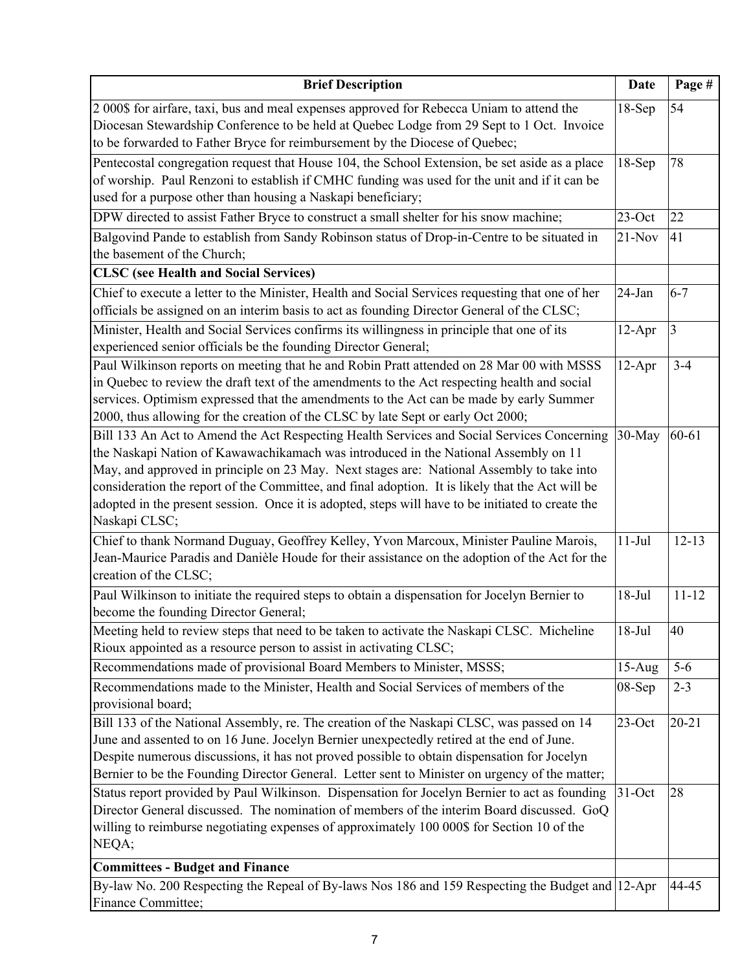| <b>Brief Description</b>                                                                                                                                                                                                                                                                                                                                                                                                                                                                                 | <b>Date</b>          | Page #                 |
|----------------------------------------------------------------------------------------------------------------------------------------------------------------------------------------------------------------------------------------------------------------------------------------------------------------------------------------------------------------------------------------------------------------------------------------------------------------------------------------------------------|----------------------|------------------------|
| 2 000\$ for airfare, taxi, bus and meal expenses approved for Rebecca Uniam to attend the<br>Diocesan Stewardship Conference to be held at Quebec Lodge from 29 Sept to 1 Oct. Invoice<br>to be forwarded to Father Bryce for reimbursement by the Diocese of Quebec;                                                                                                                                                                                                                                    | $18-Sep$             | 54                     |
| Pentecostal congregation request that House 104, the School Extension, be set aside as a place<br>of worship. Paul Renzoni to establish if CMHC funding was used for the unit and if it can be<br>used for a purpose other than housing a Naskapi beneficiary;                                                                                                                                                                                                                                           | $18-Sep$             | 78                     |
| DPW directed to assist Father Bryce to construct a small shelter for his snow machine;                                                                                                                                                                                                                                                                                                                                                                                                                   | $23$ -Oct            | 22                     |
| Balgovind Pande to establish from Sandy Robinson status of Drop-in-Centre to be situated in                                                                                                                                                                                                                                                                                                                                                                                                              | $21-Nov$             | 41                     |
| the basement of the Church;                                                                                                                                                                                                                                                                                                                                                                                                                                                                              |                      |                        |
| <b>CLSC</b> (see Health and Social Services)                                                                                                                                                                                                                                                                                                                                                                                                                                                             |                      |                        |
| Chief to execute a letter to the Minister, Health and Social Services requesting that one of her<br>officials be assigned on an interim basis to act as founding Director General of the CLSC;                                                                                                                                                                                                                                                                                                           | 24-Jan               | $6 - 7$                |
| Minister, Health and Social Services confirms its willingness in principle that one of its<br>experienced senior officials be the founding Director General;                                                                                                                                                                                                                                                                                                                                             | $12-Apr$             | $\overline{3}$         |
| Paul Wilkinson reports on meeting that he and Robin Pratt attended on 28 Mar 00 with MSSS<br>in Quebec to review the draft text of the amendments to the Act respecting health and social<br>services. Optimism expressed that the amendments to the Act can be made by early Summer<br>2000, thus allowing for the creation of the CLSC by late Sept or early Oct 2000;                                                                                                                                 | $12-Apr$             | $3 - 4$                |
| Bill 133 An Act to Amend the Act Respecting Health Services and Social Services Concerning<br>the Naskapi Nation of Kawawachikamach was introduced in the National Assembly on 11<br>May, and approved in principle on 23 May. Next stages are: National Assembly to take into<br>consideration the report of the Committee, and final adoption. It is likely that the Act will be<br>adopted in the present session. Once it is adopted, steps will have to be initiated to create the<br>Naskapi CLSC; | 30-May               | $60 - 61$              |
| Chief to thank Normand Duguay, Geoffrey Kelley, Yvon Marcoux, Minister Pauline Marois,<br>Jean-Maurice Paradis and Danièle Houde for their assistance on the adoption of the Act for the<br>creation of the CLSC;<br>Paul Wilkinson to initiate the required steps to obtain a dispensation for Jocelyn Bernier to                                                                                                                                                                                       | $11-Jul$<br>$18-Jul$ | $12 - 13$<br>$11 - 12$ |
| become the founding Director General;<br>Meeting held to review steps that need to be taken to activate the Naskapi CLSC. Micheline<br>Rioux appointed as a resource person to assist in activating CLSC;                                                                                                                                                                                                                                                                                                | $18-Jul$             | 40                     |
| Recommendations made of provisional Board Members to Minister, MSSS;                                                                                                                                                                                                                                                                                                                                                                                                                                     | $15-Aug$             | $5-6$                  |
| Recommendations made to the Minister, Health and Social Services of members of the<br>provisional board;                                                                                                                                                                                                                                                                                                                                                                                                 | 08-Sep               | $2 - 3$                |
| Bill 133 of the National Assembly, re. The creation of the Naskapi CLSC, was passed on 14<br>June and assented to on 16 June. Jocelyn Bernier unexpectedly retired at the end of June.<br>Despite numerous discussions, it has not proved possible to obtain dispensation for Jocelyn<br>Bernier to be the Founding Director General. Letter sent to Minister on urgency of the matter;                                                                                                                  | $23$ -Oct            | $20 - 21$              |
| Status report provided by Paul Wilkinson. Dispensation for Jocelyn Bernier to act as founding<br>Director General discussed. The nomination of members of the interim Board discussed. GoQ<br>willing to reimburse negotiating expenses of approximately 100 000\$ for Section 10 of the<br>NEQA;                                                                                                                                                                                                        | $31-Oct$             | 28                     |
| <b>Committees - Budget and Finance</b>                                                                                                                                                                                                                                                                                                                                                                                                                                                                   |                      |                        |
| By-law No. 200 Respecting the Repeal of By-laws Nos 186 and 159 Respecting the Budget and 12-Apr<br>Finance Committee;                                                                                                                                                                                                                                                                                                                                                                                   |                      | 44-45                  |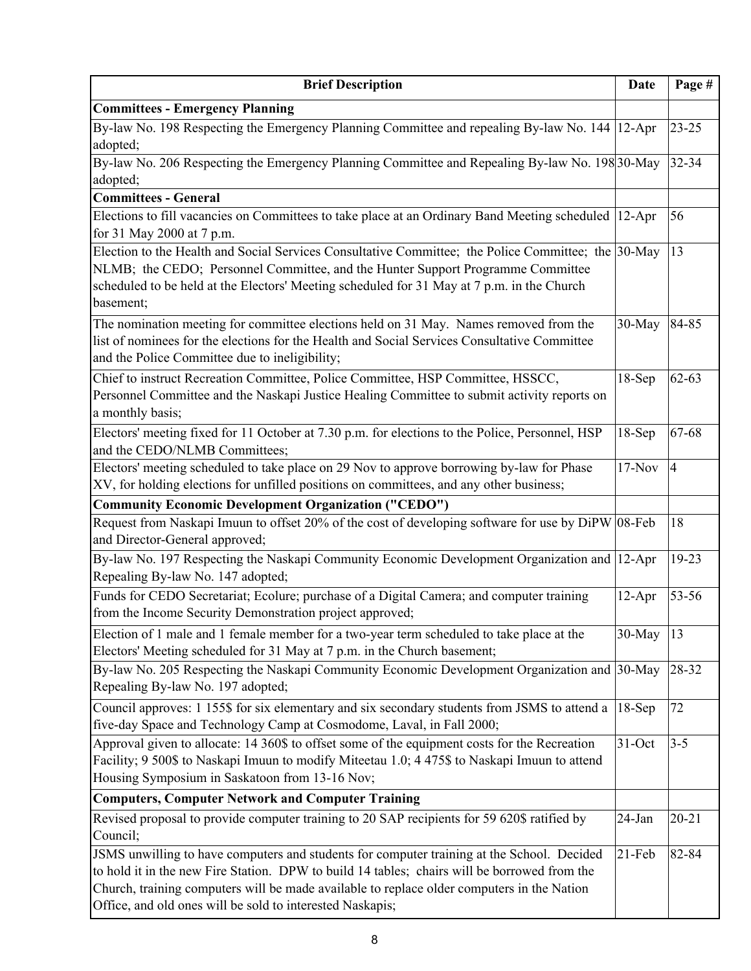| <b>Brief Description</b>                                                                                                                                                                                                                                                                                                                              | <b>Date</b> | Page #         |
|-------------------------------------------------------------------------------------------------------------------------------------------------------------------------------------------------------------------------------------------------------------------------------------------------------------------------------------------------------|-------------|----------------|
| <b>Committees - Emergency Planning</b>                                                                                                                                                                                                                                                                                                                |             |                |
| By-law No. 198 Respecting the Emergency Planning Committee and repealing By-law No. 144 12-Apr<br>adopted;                                                                                                                                                                                                                                            |             | $23 - 25$      |
| By-law No. 206 Respecting the Emergency Planning Committee and Repealing By-law No. 198 30-May<br>adopted;                                                                                                                                                                                                                                            |             | 32-34          |
| <b>Committees - General</b>                                                                                                                                                                                                                                                                                                                           |             |                |
| Elections to fill vacancies on Committees to take place at an Ordinary Band Meeting scheduled<br>for 31 May 2000 at 7 p.m.                                                                                                                                                                                                                            | $12-Apr$    | 56             |
| Election to the Health and Social Services Consultative Committee; the Police Committee; the 30-May<br>NLMB; the CEDO; Personnel Committee, and the Hunter Support Programme Committee<br>scheduled to be held at the Electors' Meeting scheduled for 31 May at 7 p.m. in the Church<br>basement;                                                     |             | 13             |
| The nomination meeting for committee elections held on 31 May. Names removed from the<br>list of nominees for the elections for the Health and Social Services Consultative Committee<br>and the Police Committee due to ineligibility;                                                                                                               | 30-May      | 84-85          |
| Chief to instruct Recreation Committee, Police Committee, HSP Committee, HSSCC,<br>Personnel Committee and the Naskapi Justice Healing Committee to submit activity reports on<br>a monthly basis;                                                                                                                                                    | $18-Sep$    | $62 - 63$      |
| Electors' meeting fixed for 11 October at 7.30 p.m. for elections to the Police, Personnel, HSP<br>and the CEDO/NLMB Committees;                                                                                                                                                                                                                      | $18-Sep$    | 67-68          |
| Electors' meeting scheduled to take place on 29 Nov to approve borrowing by-law for Phase<br>XV, for holding elections for unfilled positions on committees, and any other business;                                                                                                                                                                  | $17-Nov$    | $\overline{4}$ |
| <b>Community Economic Development Organization ("CEDO")</b>                                                                                                                                                                                                                                                                                           |             |                |
| Request from Naskapi Imuun to offset 20% of the cost of developing software for use by DiPW 08-Feb<br>and Director-General approved;                                                                                                                                                                                                                  |             | 18             |
| By-law No. 197 Respecting the Naskapi Community Economic Development Organization and 12-Apr<br>Repealing By-law No. 147 adopted;                                                                                                                                                                                                                     |             | 19-23          |
| Funds for CEDO Secretariat; Ecolure; purchase of a Digital Camera; and computer training<br>from the Income Security Demonstration project approved;                                                                                                                                                                                                  | $12-Apr$    | 53-56          |
| Election of 1 male and 1 female member for a two-year term scheduled to take place at the<br>Electors' Meeting scheduled for 31 May at 7 p.m. in the Church basement;                                                                                                                                                                                 | 30-May      | 13             |
| By-law No. 205 Respecting the Naskapi Community Economic Development Organization and 30-May<br>Repealing By-law No. 197 adopted;                                                                                                                                                                                                                     |             | 28-32          |
| Council approves: 1 155\$ for six elementary and six secondary students from JSMS to attend a<br>five-day Space and Technology Camp at Cosmodome, Laval, in Fall 2000;                                                                                                                                                                                | $18-Sep$    | 72             |
| Approval given to allocate: 14 360\$ to offset some of the equipment costs for the Recreation<br>Facility; 9 500\$ to Naskapi Imuun to modify Miteetau 1.0; 4 475\$ to Naskapi Imuun to attend<br>Housing Symposium in Saskatoon from 13-16 Nov;                                                                                                      | $31-Oct$    | $3 - 5$        |
| <b>Computers, Computer Network and Computer Training</b>                                                                                                                                                                                                                                                                                              |             |                |
| Revised proposal to provide computer training to 20 SAP recipients for 59 620\$ ratified by<br>Council;                                                                                                                                                                                                                                               | 24-Jan      | $20 - 21$      |
| JSMS unwilling to have computers and students for computer training at the School. Decided<br>to hold it in the new Fire Station. DPW to build 14 tables; chairs will be borrowed from the<br>Church, training computers will be made available to replace older computers in the Nation<br>Office, and old ones will be sold to interested Naskapis; | $21-Feb$    | 82-84          |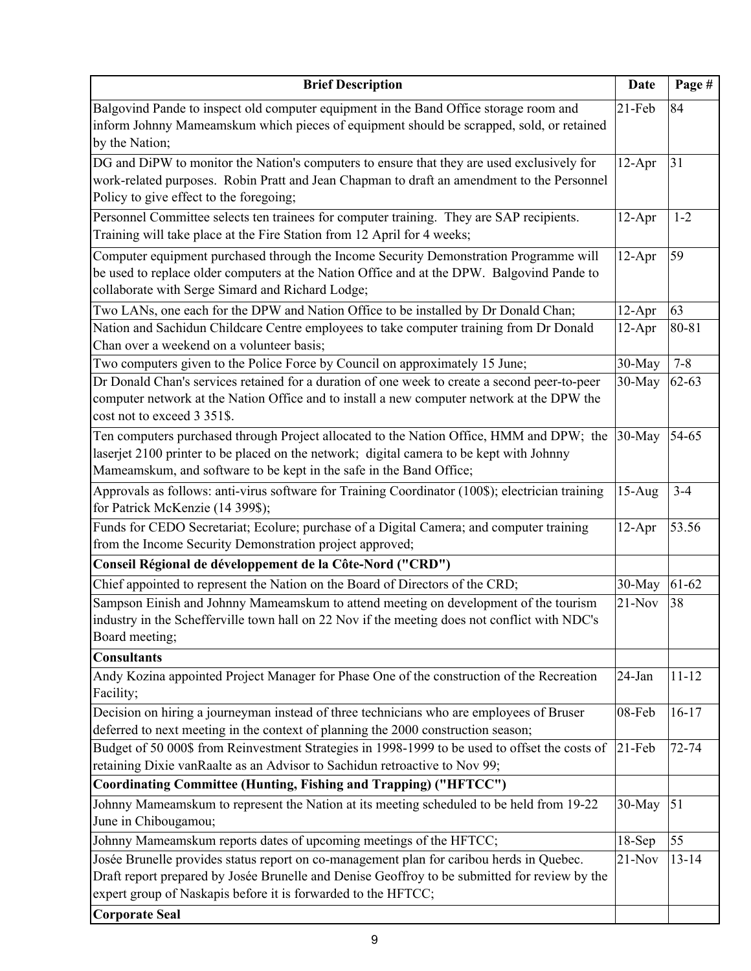| <b>Brief Description</b>                                                                                                                                                                                                                                    | <b>Date</b> | Page #    |
|-------------------------------------------------------------------------------------------------------------------------------------------------------------------------------------------------------------------------------------------------------------|-------------|-----------|
| Balgovind Pande to inspect old computer equipment in the Band Office storage room and                                                                                                                                                                       | $21-Feb$    | 84        |
| inform Johnny Mameamskum which pieces of equipment should be scrapped, sold, or retained<br>by the Nation;                                                                                                                                                  |             |           |
| DG and DiPW to monitor the Nation's computers to ensure that they are used exclusively for                                                                                                                                                                  | $12-Apr$    | 31        |
| work-related purposes. Robin Pratt and Jean Chapman to draft an amendment to the Personnel<br>Policy to give effect to the foregoing;                                                                                                                       |             |           |
| Personnel Committee selects ten trainees for computer training. They are SAP recipients.<br>Training will take place at the Fire Station from 12 April for 4 weeks;                                                                                         | $12-Apr$    | $1 - 2$   |
| Computer equipment purchased through the Income Security Demonstration Programme will<br>be used to replace older computers at the Nation Office and at the DPW. Balgovind Pande to<br>collaborate with Serge Simard and Richard Lodge;                     | $12-Apr$    | 59        |
| Two LANs, one each for the DPW and Nation Office to be installed by Dr Donald Chan;                                                                                                                                                                         | $12-Apr$    | 63        |
| Nation and Sachidun Childcare Centre employees to take computer training from Dr Donald<br>Chan over a weekend on a volunteer basis;                                                                                                                        | $12-Apr$    | 80-81     |
| Two computers given to the Police Force by Council on approximately 15 June;                                                                                                                                                                                | 30-May      | $7 - 8$   |
| Dr Donald Chan's services retained for a duration of one week to create a second peer-to-peer<br>computer network at the Nation Office and to install a new computer network at the DPW the<br>cost not to exceed 3 351\$.                                  | 30-May      | $62 - 63$ |
| Ten computers purchased through Project allocated to the Nation Office, HMM and DPW; the<br>laserjet 2100 printer to be placed on the network; digital camera to be kept with Johnny<br>Mameamskum, and software to be kept in the safe in the Band Office; | 30-May      | 54-65     |
| Approvals as follows: anti-virus software for Training Coordinator (100\$); electrician training<br>for Patrick McKenzie (14 399\$);                                                                                                                        | $15-Aug$    | $3-4$     |
| Funds for CEDO Secretariat; Ecolure; purchase of a Digital Camera; and computer training                                                                                                                                                                    | 12-Apr      | 53.56     |
| from the Income Security Demonstration project approved;                                                                                                                                                                                                    |             |           |
| Conseil Régional de développement de la Côte-Nord ("CRD")                                                                                                                                                                                                   |             |           |
| Chief appointed to represent the Nation on the Board of Directors of the CRD;                                                                                                                                                                               | 30-May      | 61-62     |
| Sampson Einish and Johnny Mameamskum to attend meeting on development of the tourism<br>industry in the Schefferville town hall on 22 Nov if the meeting does not conflict with NDC's<br>Board meeting;                                                     | $21-Nov$    | 38        |
| <b>Consultants</b>                                                                                                                                                                                                                                          |             |           |
| Andy Kozina appointed Project Manager for Phase One of the construction of the Recreation<br>Facility;                                                                                                                                                      | 24-Jan      | $11 - 12$ |
| Decision on hiring a journeyman instead of three technicians who are employees of Bruser<br>deferred to next meeting in the context of planning the 2000 construction season;                                                                               | 08-Feb      | $16-17$   |
| Budget of 50 000\$ from Reinvestment Strategies in 1998-1999 to be used to offset the costs of<br>retaining Dixie vanRaalte as an Advisor to Sachidun retroactive to Nov 99;                                                                                | $21-Feb$    | 72-74     |
| Coordinating Committee (Hunting, Fishing and Trapping) ("HFTCC")                                                                                                                                                                                            |             |           |
| Johnny Mameamskum to represent the Nation at its meeting scheduled to be held from 19-22<br>June in Chibougamou;                                                                                                                                            | 30-May      | 51        |
| Johnny Mameamskum reports dates of upcoming meetings of the HFTCC;                                                                                                                                                                                          | $18-Sep$    | 55        |
| Josée Brunelle provides status report on co-management plan for caribou herds in Quebec.                                                                                                                                                                    | $21-Nov$    | $13 - 14$ |
| Draft report prepared by Josée Brunelle and Denise Geoffroy to be submitted for review by the<br>expert group of Naskapis before it is forwarded to the HFTCC;                                                                                              |             |           |
| <b>Corporate Seal</b>                                                                                                                                                                                                                                       |             |           |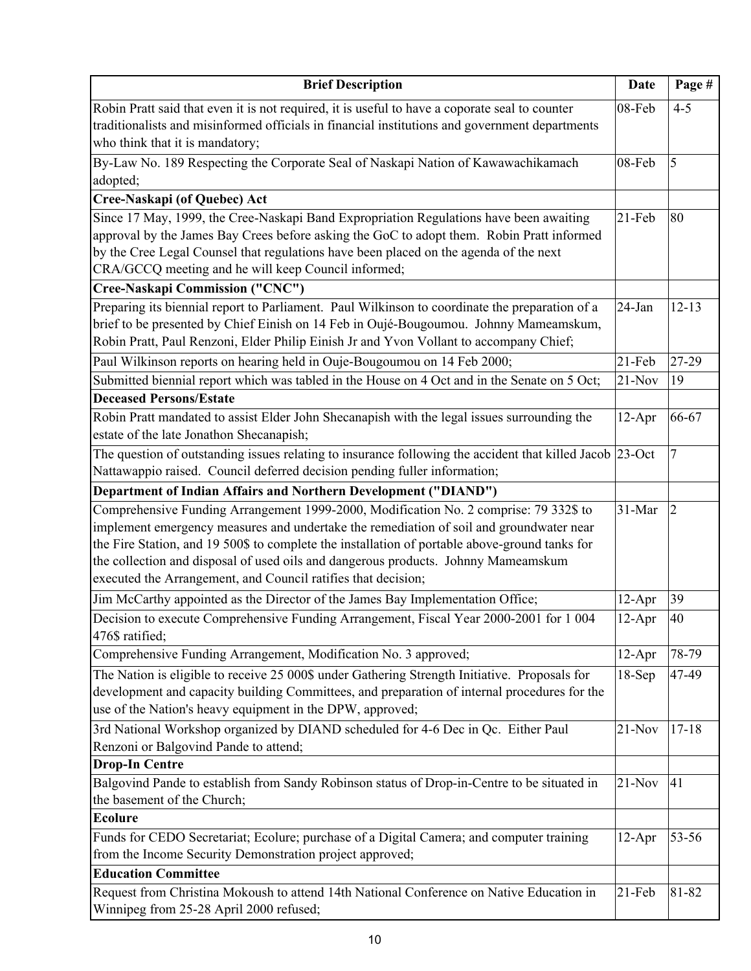| <b>Brief Description</b>                                                                                 | Date     | Page #         |
|----------------------------------------------------------------------------------------------------------|----------|----------------|
| Robin Pratt said that even it is not required, it is useful to have a coporate seal to counter           | 08-Feb   | $4 - 5$        |
| traditionalists and misinformed officials in financial institutions and government departments           |          |                |
| who think that it is mandatory;                                                                          |          |                |
| By-Law No. 189 Respecting the Corporate Seal of Naskapi Nation of Kawawachikamach                        | 08-Feb   | 5              |
| adopted;                                                                                                 |          |                |
| Cree-Naskapi (of Quebec) Act                                                                             |          |                |
| Since 17 May, 1999, the Cree-Naskapi Band Expropriation Regulations have been awaiting                   | 21-Feb   | 80             |
| approval by the James Bay Crees before asking the GoC to adopt them. Robin Pratt informed                |          |                |
| by the Cree Legal Counsel that regulations have been placed on the agenda of the next                    |          |                |
| CRA/GCCQ meeting and he will keep Council informed;                                                      |          |                |
| Cree-Naskapi Commission ("CNC")                                                                          |          |                |
| Preparing its biennial report to Parliament. Paul Wilkinson to coordinate the preparation of a           | 24-Jan   | $12 - 13$      |
| brief to be presented by Chief Einish on 14 Feb in Oujé-Bougoumou. Johnny Mameamskum,                    |          |                |
| Robin Pratt, Paul Renzoni, Elder Philip Einish Jr and Yvon Vollant to accompany Chief;                   |          |                |
| Paul Wilkinson reports on hearing held in Ouje-Bougoumou on 14 Feb 2000;                                 | 21-Feb   | 27-29          |
| Submitted biennial report which was tabled in the House on 4 Oct and in the Senate on 5 Oct;             | $21-Nov$ | 19             |
| <b>Deceased Persons/Estate</b>                                                                           |          |                |
| Robin Pratt mandated to assist Elder John Shecanapish with the legal issues surrounding the              | $12-Apr$ | 66-67          |
| estate of the late Jonathon Shecanapish;                                                                 |          |                |
| The question of outstanding issues relating to insurance following the accident that killed Jacob 23-Oct |          | 7              |
| Nattawappio raised. Council deferred decision pending fuller information;                                |          |                |
| Department of Indian Affairs and Northern Development ("DIAND")                                          |          |                |
| Comprehensive Funding Arrangement 1999-2000, Modification No. 2 comprise: 79 332\$ to                    | 31-Mar   | $\overline{2}$ |
| implement emergency measures and undertake the remediation of soil and groundwater near                  |          |                |
| the Fire Station, and 19 500\$ to complete the installation of portable above-ground tanks for           |          |                |
| the collection and disposal of used oils and dangerous products. Johnny Mameamskum                       |          |                |
| executed the Arrangement, and Council ratifies that decision;                                            |          |                |
| Jim McCarthy appointed as the Director of the James Bay Implementation Office;                           | $12-Apr$ | 39             |
| Decision to execute Comprehensive Funding Arrangement, Fiscal Year 2000-2001 for 1 004                   | $12-Apr$ | 40             |
| 476\$ ratified;                                                                                          |          |                |
| Comprehensive Funding Arrangement, Modification No. 3 approved;                                          | $12-Apr$ | 78-79          |
| The Nation is eligible to receive 25 000\$ under Gathering Strength Initiative. Proposals for            | $18-Sep$ | 47-49          |
| development and capacity building Committees, and preparation of internal procedures for the             |          |                |
| use of the Nation's heavy equipment in the DPW, approved;                                                |          |                |
| 3rd National Workshop organized by DIAND scheduled for 4-6 Dec in Qc. Either Paul                        | $21-Nov$ | $17 - 18$      |
| Renzoni or Balgovind Pande to attend;                                                                    |          |                |
| <b>Drop-In Centre</b>                                                                                    |          |                |
| Balgovind Pande to establish from Sandy Robinson status of Drop-in-Centre to be situated in              | $21-Nov$ | 41             |
| the basement of the Church;<br><b>Ecolure</b>                                                            |          |                |
|                                                                                                          |          |                |
| Funds for CEDO Secretariat; Ecolure; purchase of a Digital Camera; and computer training                 | $12-Apr$ | 53-56          |
| from the Income Security Demonstration project approved;<br><b>Education Committee</b>                   |          |                |
| Request from Christina Mokoush to attend 14th National Conference on Native Education in                 | $21-Feb$ | 81-82          |
| Winnipeg from 25-28 April 2000 refused;                                                                  |          |                |
|                                                                                                          |          |                |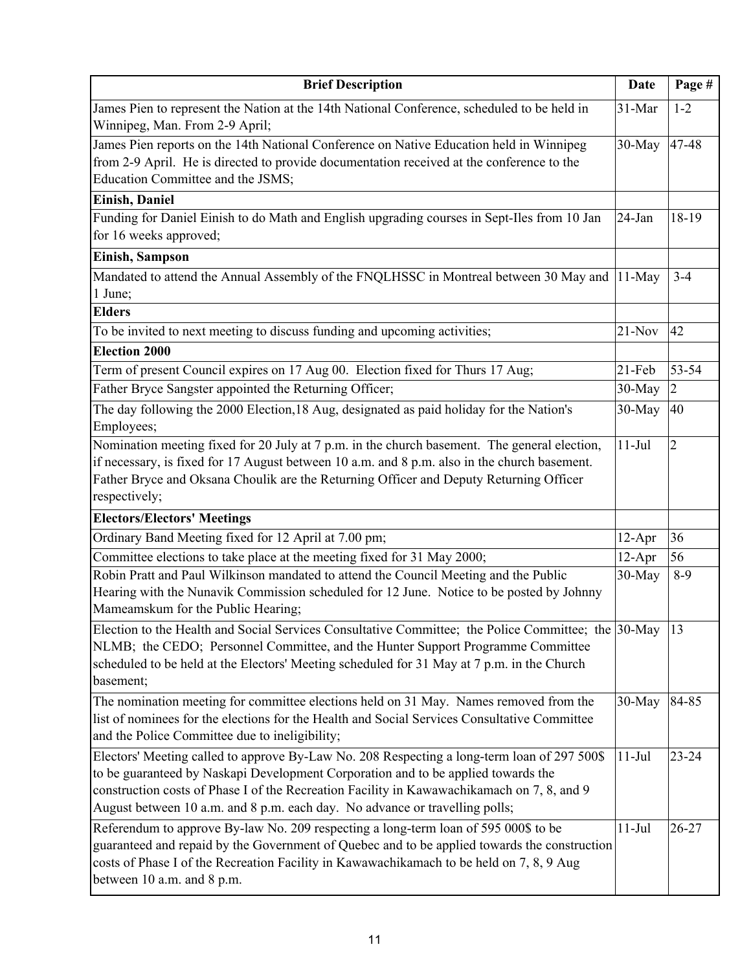| <b>Brief Description</b>                                                                                                                                                                                                                                                                                                                                      | <b>Date</b> | Page #         |
|---------------------------------------------------------------------------------------------------------------------------------------------------------------------------------------------------------------------------------------------------------------------------------------------------------------------------------------------------------------|-------------|----------------|
| James Pien to represent the Nation at the 14th National Conference, scheduled to be held in<br>Winnipeg, Man. From 2-9 April;                                                                                                                                                                                                                                 | 31-Mar      | $1 - 2$        |
| James Pien reports on the 14th National Conference on Native Education held in Winnipeg<br>from 2-9 April. He is directed to provide documentation received at the conference to the<br>Education Committee and the JSMS;                                                                                                                                     | 30-May      | 47-48          |
| <b>Einish, Daniel</b>                                                                                                                                                                                                                                                                                                                                         |             |                |
| Funding for Daniel Einish to do Math and English upgrading courses in Sept-Iles from 10 Jan<br>for 16 weeks approved;                                                                                                                                                                                                                                         | 24-Jan      | 18-19          |
| <b>Einish, Sampson</b>                                                                                                                                                                                                                                                                                                                                        |             |                |
| Mandated to attend the Annual Assembly of the FNQLHSSC in Montreal between 30 May and<br>1 June;                                                                                                                                                                                                                                                              | $11-May$    | $3 - 4$        |
| <b>Elders</b>                                                                                                                                                                                                                                                                                                                                                 |             |                |
| To be invited to next meeting to discuss funding and upcoming activities;                                                                                                                                                                                                                                                                                     | $21-Nov$    | 42             |
| <b>Election 2000</b>                                                                                                                                                                                                                                                                                                                                          |             |                |
| Term of present Council expires on 17 Aug 00. Election fixed for Thurs 17 Aug;                                                                                                                                                                                                                                                                                | $21$ -Feb   | 53-54          |
| Father Bryce Sangster appointed the Returning Officer;                                                                                                                                                                                                                                                                                                        | $30-May$    | $\overline{2}$ |
| The day following the 2000 Election, 18 Aug, designated as paid holiday for the Nation's<br>Employees;                                                                                                                                                                                                                                                        | 30-May      | 40             |
| Nomination meeting fixed for 20 July at 7 p.m. in the church basement. The general election,<br>if necessary, is fixed for 17 August between 10 a.m. and 8 p.m. also in the church basement.<br>Father Bryce and Oksana Choulik are the Returning Officer and Deputy Returning Officer<br>respectively;                                                       | $11-Jul$    | $\overline{2}$ |
| <b>Electors/Electors' Meetings</b>                                                                                                                                                                                                                                                                                                                            |             |                |
| Ordinary Band Meeting fixed for 12 April at 7.00 pm;                                                                                                                                                                                                                                                                                                          | $12-Apr$    | 36             |
| Committee elections to take place at the meeting fixed for 31 May 2000;                                                                                                                                                                                                                                                                                       | $12-Apr$    | 56             |
| Robin Pratt and Paul Wilkinson mandated to attend the Council Meeting and the Public<br>Hearing with the Nunavik Commission scheduled for 12 June. Notice to be posted by Johnny<br>Mameamskum for the Public Hearing;                                                                                                                                        | 30-May      | $8-9$          |
| Election to the Health and Social Services Consultative Committee; the Police Committee; the 30-May<br>NLMB; the CEDO; Personnel Committee, and the Hunter Support Programme Committee<br>scheduled to be held at the Electors' Meeting scheduled for 31 May at 7 p.m. in the Church<br>basement;                                                             |             | 13             |
| The nomination meeting for committee elections held on 31 May. Names removed from the<br>list of nominees for the elections for the Health and Social Services Consultative Committee<br>and the Police Committee due to ineligibility;                                                                                                                       | 30-May      | 84-85          |
| Electors' Meeting called to approve By-Law No. 208 Respecting a long-term loan of 297 500\$<br>to be guaranteed by Naskapi Development Corporation and to be applied towards the<br>construction costs of Phase I of the Recreation Facility in Kawawachikamach on 7, 8, and 9<br>August between 10 a.m. and 8 p.m. each day. No advance or travelling polls; | $11-Jul$    | $23 - 24$      |
| Referendum to approve By-law No. 209 respecting a long-term loan of 595 000\$ to be<br>guaranteed and repaid by the Government of Quebec and to be applied towards the construction<br>costs of Phase I of the Recreation Facility in Kawawachikamach to be held on 7, 8, 9 Aug<br>between 10 a.m. and 8 p.m.                                                 | $11-Jul$    | 26-27          |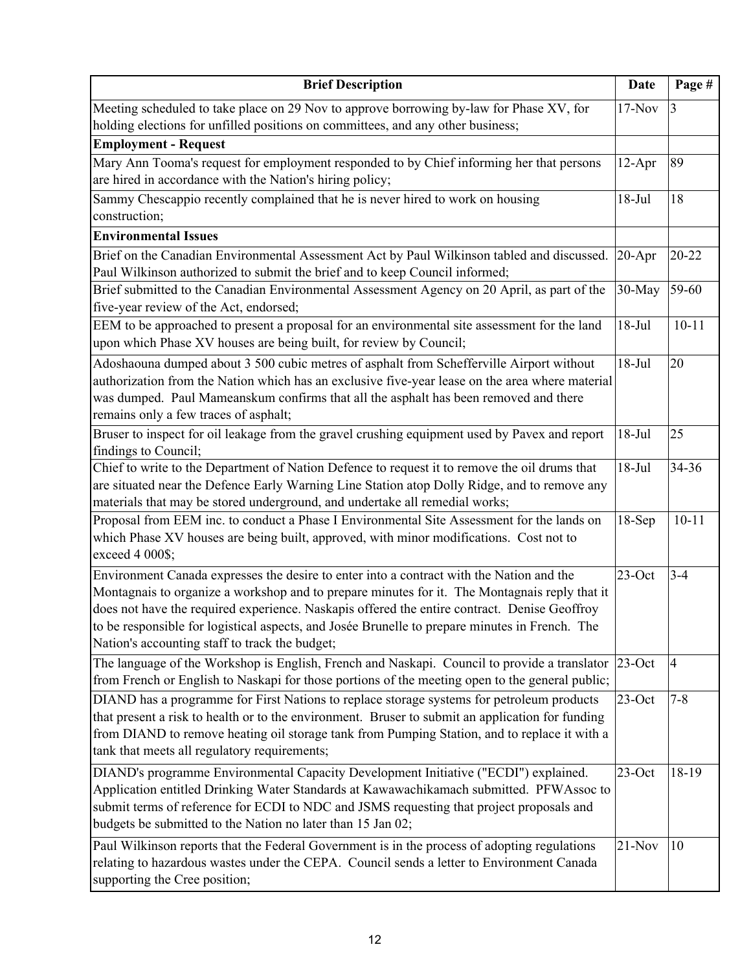| <b>Brief Description</b>                                                                                                                                                                                                                                                                                                                                                                                                                      | <b>Date</b> | Page #         |
|-----------------------------------------------------------------------------------------------------------------------------------------------------------------------------------------------------------------------------------------------------------------------------------------------------------------------------------------------------------------------------------------------------------------------------------------------|-------------|----------------|
| Meeting scheduled to take place on 29 Nov to approve borrowing by-law for Phase XV, for<br>holding elections for unfilled positions on committees, and any other business;                                                                                                                                                                                                                                                                    | $17-Nov$    | 3              |
| <b>Employment - Request</b>                                                                                                                                                                                                                                                                                                                                                                                                                   |             |                |
| Mary Ann Tooma's request for employment responded to by Chief informing her that persons<br>are hired in accordance with the Nation's hiring policy;                                                                                                                                                                                                                                                                                          | $12-Apr$    | 89             |
| Sammy Chescappio recently complained that he is never hired to work on housing<br>construction;                                                                                                                                                                                                                                                                                                                                               | $18-Jul$    | 18             |
| <b>Environmental Issues</b>                                                                                                                                                                                                                                                                                                                                                                                                                   |             |                |
| Brief on the Canadian Environmental Assessment Act by Paul Wilkinson tabled and discussed.<br>Paul Wilkinson authorized to submit the brief and to keep Council informed;                                                                                                                                                                                                                                                                     | $20-Apr$    | $20 - 22$      |
| Brief submitted to the Canadian Environmental Assessment Agency on 20 April, as part of the<br>five-year review of the Act, endorsed;                                                                                                                                                                                                                                                                                                         | 30-May      | 59-60          |
| EEM to be approached to present a proposal for an environmental site assessment for the land<br>upon which Phase XV houses are being built, for review by Council;                                                                                                                                                                                                                                                                            | $18-Jul$    | $10 - 11$      |
| Adoshaouna dumped about 3 500 cubic metres of asphalt from Schefferville Airport without<br>authorization from the Nation which has an exclusive five-year lease on the area where material<br>was dumped. Paul Mameanskum confirms that all the asphalt has been removed and there<br>remains only a few traces of asphalt;                                                                                                                  | $18-Jul$    | 20             |
| Bruser to inspect for oil leakage from the gravel crushing equipment used by Pavex and report<br>findings to Council;                                                                                                                                                                                                                                                                                                                         | $18-Jul$    | 25             |
| Chief to write to the Department of Nation Defence to request it to remove the oil drums that<br>are situated near the Defence Early Warning Line Station atop Dolly Ridge, and to remove any<br>materials that may be stored underground, and undertake all remedial works;                                                                                                                                                                  | $18-Jul$    | 34-36          |
| Proposal from EEM inc. to conduct a Phase I Environmental Site Assessment for the lands on<br>which Phase XV houses are being built, approved, with minor modifications. Cost not to<br>exceed 4 000\$;                                                                                                                                                                                                                                       | $18-Sep$    | $10 - 11$      |
| Environment Canada expresses the desire to enter into a contract with the Nation and the<br>Montagnais to organize a workshop and to prepare minutes for it. The Montagnais reply that it<br>does not have the required experience. Naskapis offered the entire contract. Denise Geoffroy<br>to be responsible for logistical aspects, and Josée Brunelle to prepare minutes in French. The<br>Nation's accounting staff to track the budget; | $23$ -Oct   | $3 - 4$        |
| The language of the Workshop is English, French and Naskapi. Council to provide a translator<br>from French or English to Naskapi for those portions of the meeting open to the general public;                                                                                                                                                                                                                                               | $23$ -Oct   | $\overline{4}$ |
| DIAND has a programme for First Nations to replace storage systems for petroleum products<br>that present a risk to health or to the environment. Bruser to submit an application for funding<br>from DIAND to remove heating oil storage tank from Pumping Station, and to replace it with a<br>tank that meets all regulatory requirements;                                                                                                 | $23$ -Oct   | $7 - 8$        |
| DIAND's programme Environmental Capacity Development Initiative ("ECDI") explained.<br>Application entitled Drinking Water Standards at Kawawachikamach submitted. PFWAssoc to<br>submit terms of reference for ECDI to NDC and JSMS requesting that project proposals and<br>budgets be submitted to the Nation no later than 15 Jan 02;                                                                                                     | $23$ -Oct   | 18-19          |
| Paul Wilkinson reports that the Federal Government is in the process of adopting regulations<br>relating to hazardous wastes under the CEPA. Council sends a letter to Environment Canada<br>supporting the Cree position;                                                                                                                                                                                                                    | $21-Nov$    | 10             |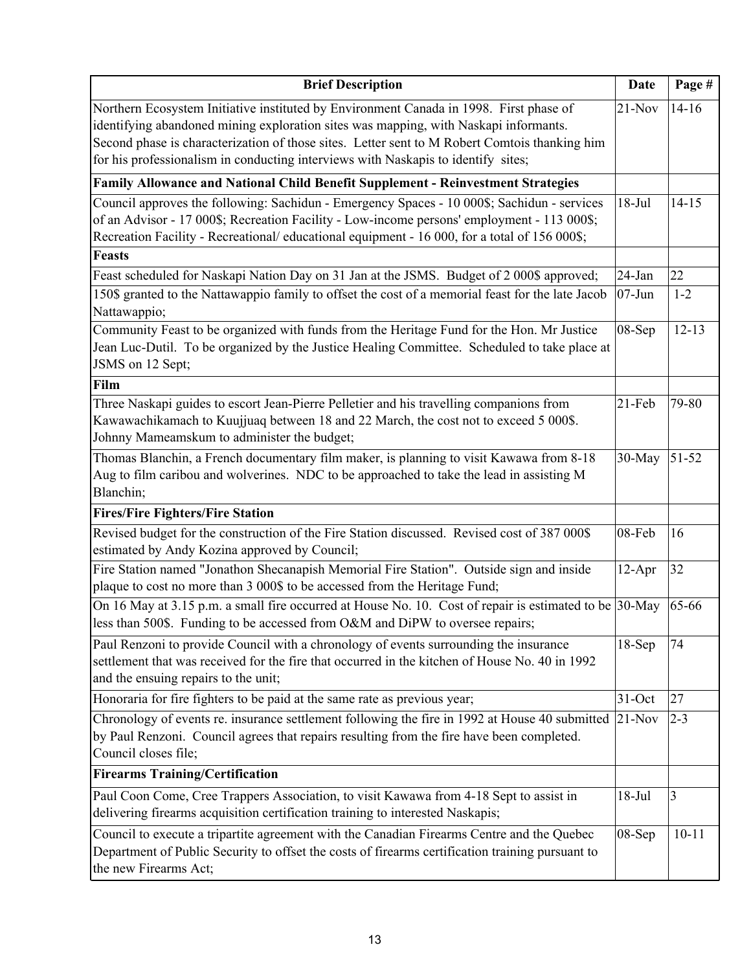| <b>Brief Description</b>                                                                                                                                                                                                                                                                                                                                             | <b>Date</b> | Page #    |
|----------------------------------------------------------------------------------------------------------------------------------------------------------------------------------------------------------------------------------------------------------------------------------------------------------------------------------------------------------------------|-------------|-----------|
| Northern Ecosystem Initiative instituted by Environment Canada in 1998. First phase of<br>identifying abandoned mining exploration sites was mapping, with Naskapi informants.<br>Second phase is characterization of those sites. Letter sent to M Robert Comtois thanking him<br>for his professionalism in conducting interviews with Naskapis to identify sites; | $21-Nov$    | $14 - 16$ |
| Family Allowance and National Child Benefit Supplement - Reinvestment Strategies                                                                                                                                                                                                                                                                                     |             |           |
| Council approves the following: Sachidun - Emergency Spaces - 10 000\$; Sachidun - services<br>of an Advisor - 17 000\$; Recreation Facility - Low-income persons' employment - 113 000\$;<br>Recreation Facility - Recreational/ educational equipment - 16 000, for a total of 156 000\$;                                                                          | $18-Jul$    | $14 - 15$ |
| <b>Feasts</b>                                                                                                                                                                                                                                                                                                                                                        |             |           |
| Feast scheduled for Naskapi Nation Day on 31 Jan at the JSMS. Budget of 2 000\$ approved;                                                                                                                                                                                                                                                                            | 24-Jan      | 22        |
| 150\$ granted to the Nattawappio family to offset the cost of a memorial feast for the late Jacob<br>Nattawappio;                                                                                                                                                                                                                                                    | $07 - Jun$  | $1 - 2$   |
| Community Feast to be organized with funds from the Heritage Fund for the Hon. Mr Justice<br>Jean Luc-Dutil. To be organized by the Justice Healing Committee. Scheduled to take place at<br>JSMS on 12 Sept;                                                                                                                                                        | 08-Sep      | $12 - 13$ |
| Film                                                                                                                                                                                                                                                                                                                                                                 |             |           |
| Three Naskapi guides to escort Jean-Pierre Pelletier and his travelling companions from<br>Kawawachikamach to Kuujjuaq between 18 and 22 March, the cost not to exceed 5 000\$.<br>Johnny Mameamskum to administer the budget;                                                                                                                                       | $21$ -Feb   | 79-80     |
| Thomas Blanchin, a French documentary film maker, is planning to visit Kawawa from 8-18<br>Aug to film caribou and wolverines. NDC to be approached to take the lead in assisting M<br>Blanchin;                                                                                                                                                                     | 30-May      | 51-52     |
| <b>Fires/Fire Fighters/Fire Station</b>                                                                                                                                                                                                                                                                                                                              |             |           |
| Revised budget for the construction of the Fire Station discussed. Revised cost of 387 000\$<br>estimated by Andy Kozina approved by Council;                                                                                                                                                                                                                        | 08-Feb      | 16        |
| Fire Station named "Jonathon Shecanapish Memorial Fire Station". Outside sign and inside<br>plaque to cost no more than 3 000\$ to be accessed from the Heritage Fund;                                                                                                                                                                                               | $12-Apr$    | 32        |
| On 16 May at 3.15 p.m. a small fire occurred at House No. 10. Cost of repair is estimated to be 30-May<br>less than 500\$. Funding to be accessed from O&M and DiPW to oversee repairs;                                                                                                                                                                              |             | 65-66     |
| Paul Renzoni to provide Council with a chronology of events surrounding the insurance<br>settlement that was received for the fire that occurred in the kitchen of House No. 40 in 1992<br>and the ensuing repairs to the unit;                                                                                                                                      | $18-Sep$    | 74        |
| Honoraria for fire fighters to be paid at the same rate as previous year;                                                                                                                                                                                                                                                                                            | 31-Oct      | 27        |
| Chronology of events re. insurance settlement following the fire in 1992 at House 40 submitted<br>by Paul Renzoni. Council agrees that repairs resulting from the fire have been completed.<br>Council closes file;                                                                                                                                                  | $21-Nov$    | $2 - 3$   |
| <b>Firearms Training/Certification</b>                                                                                                                                                                                                                                                                                                                               |             |           |
| Paul Coon Come, Cree Trappers Association, to visit Kawawa from 4-18 Sept to assist in<br>delivering firearms acquisition certification training to interested Naskapis;                                                                                                                                                                                             | $18-Jul$    | 3         |
| Council to execute a tripartite agreement with the Canadian Firearms Centre and the Quebec<br>Department of Public Security to offset the costs of firearms certification training pursuant to<br>the new Firearms Act;                                                                                                                                              | 08-Sep      | $10 - 11$ |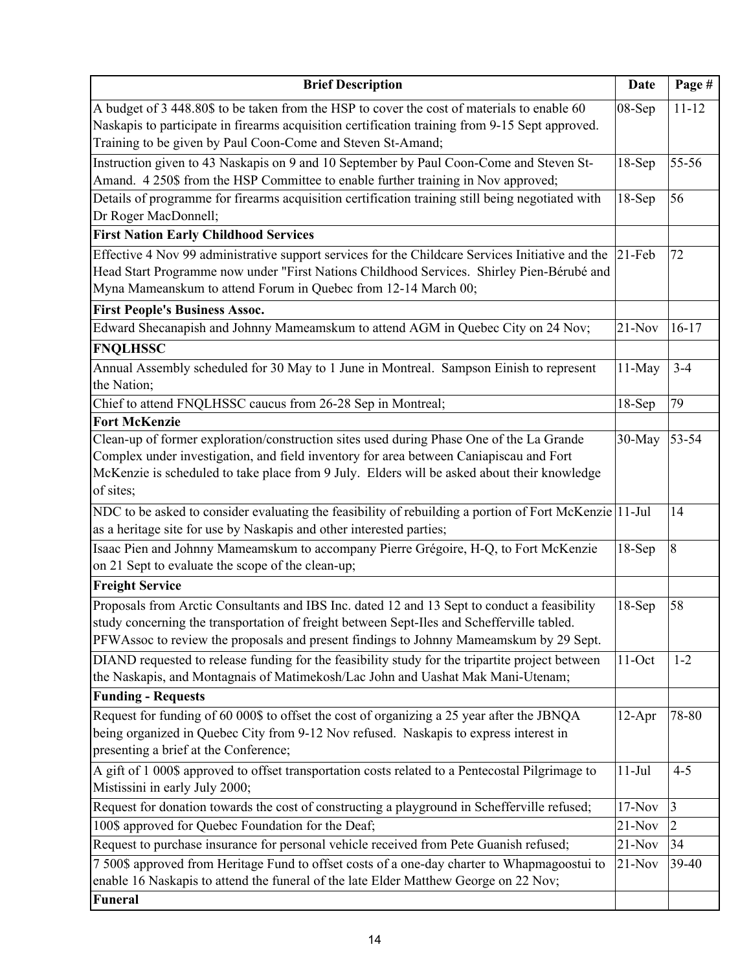| <b>Brief Description</b>                                                                                                                                                                                                                                                                       | Date      | Page #    |
|------------------------------------------------------------------------------------------------------------------------------------------------------------------------------------------------------------------------------------------------------------------------------------------------|-----------|-----------|
| A budget of 3 448.80\$ to be taken from the HSP to cover the cost of materials to enable 60<br>Naskapis to participate in firearms acquisition certification training from 9-15 Sept approved.<br>Training to be given by Paul Coon-Come and Steven St-Amand;                                  | 08-Sep    | $11 - 12$ |
| Instruction given to 43 Naskapis on 9 and 10 September by Paul Coon-Come and Steven St-<br>Amand. 4 250\$ from the HSP Committee to enable further training in Nov approved;                                                                                                                   | $18-Sep$  | 55-56     |
| Details of programme for firearms acquisition certification training still being negotiated with<br>Dr Roger MacDonnell;                                                                                                                                                                       | $18-Sep$  | 56        |
| <b>First Nation Early Childhood Services</b>                                                                                                                                                                                                                                                   |           |           |
| Effective 4 Nov 99 administrative support services for the Childcare Services Initiative and the<br>Head Start Programme now under "First Nations Childhood Services. Shirley Pien-Bérubé and<br>Myna Mameanskum to attend Forum in Quebec from 12-14 March 00;                                | $21$ -Feb | 72        |
| <b>First People's Business Assoc.</b>                                                                                                                                                                                                                                                          |           |           |
| Edward Shecanapish and Johnny Mameamskum to attend AGM in Quebec City on 24 Nov;                                                                                                                                                                                                               | $21-Nov$  | $16-17$   |
| <b>FNQLHSSC</b>                                                                                                                                                                                                                                                                                |           |           |
| Annual Assembly scheduled for 30 May to 1 June in Montreal. Sampson Einish to represent<br>the Nation;                                                                                                                                                                                         | 11-May    | $3 - 4$   |
| Chief to attend FNQLHSSC caucus from 26-28 Sep in Montreal;                                                                                                                                                                                                                                    | $18-Sep$  | 79        |
| <b>Fort McKenzie</b>                                                                                                                                                                                                                                                                           |           |           |
| Clean-up of former exploration/construction sites used during Phase One of the La Grande<br>Complex under investigation, and field inventory for area between Caniapiscau and Fort<br>McKenzie is scheduled to take place from 9 July. Elders will be asked about their knowledge<br>of sites; | 30-May    | 53-54     |
| NDC to be asked to consider evaluating the feasibility of rebuilding a portion of Fort McKenzie   11-Jul<br>as a heritage site for use by Naskapis and other interested parties;                                                                                                               |           | 14        |
| Isaac Pien and Johnny Mameamskum to accompany Pierre Grégoire, H-Q, to Fort McKenzie<br>on 21 Sept to evaluate the scope of the clean-up;                                                                                                                                                      | $18-Sep$  | 8         |
| <b>Freight Service</b>                                                                                                                                                                                                                                                                         |           |           |
| Proposals from Arctic Consultants and IBS Inc. dated 12 and 13 Sept to conduct a feasibility<br>study concerning the transportation of freight between Sept-Iles and Schefferville tabled.<br>PFWAssoc to review the proposals and present findings to Johnny Mameamskum by 29 Sept.           | $18-Sep$  | 58        |
| DIAND requested to release funding for the feasibility study for the tripartite project between<br>the Naskapis, and Montagnais of Matimekosh/Lac John and Uashat Mak Mani-Utenam;                                                                                                             | 11-Oct    | $1 - 2$   |
| <b>Funding - Requests</b>                                                                                                                                                                                                                                                                      |           |           |
| Request for funding of 60 000\$ to offset the cost of organizing a 25 year after the JBNQA<br>being organized in Quebec City from 9-12 Nov refused. Naskapis to express interest in<br>presenting a brief at the Conference;                                                                   | $12-Apr$  | 78-80     |
| A gift of 1 000\$ approved to offset transportation costs related to a Pentecostal Pilgrimage to<br>Mistissini in early July 2000;                                                                                                                                                             | $11-Jul$  | $4 - 5$   |
| Request for donation towards the cost of constructing a playground in Schefferville refused;                                                                                                                                                                                                   | $17-Nov$  | 3         |
| 100\$ approved for Quebec Foundation for the Deaf;                                                                                                                                                                                                                                             | $21-Nov$  | 2         |
| Request to purchase insurance for personal vehicle received from Pete Guanish refused;                                                                                                                                                                                                         | $21-Nov$  | 34        |
| 7 500\$ approved from Heritage Fund to offset costs of a one-day charter to Whapmagoostui to<br>enable 16 Naskapis to attend the funeral of the late Elder Matthew George on 22 Nov;                                                                                                           | $21-Nov$  | 39-40     |
| Funeral                                                                                                                                                                                                                                                                                        |           |           |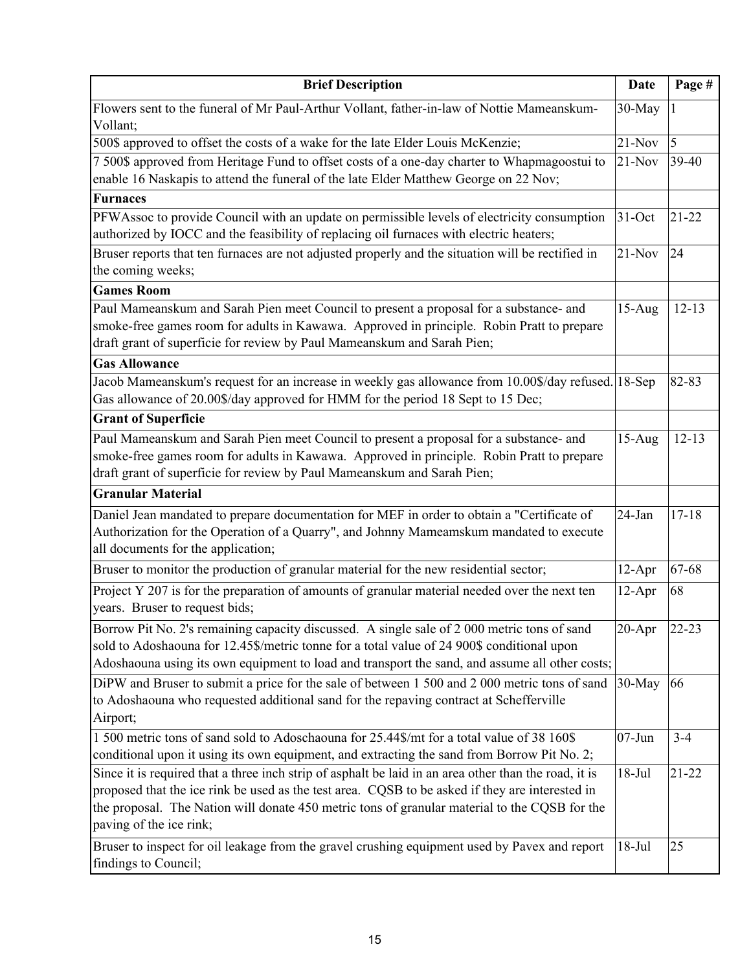| <b>Brief Description</b>                                                                                                                                                                                                                                                                                                             | <b>Date</b> | Page #    |
|--------------------------------------------------------------------------------------------------------------------------------------------------------------------------------------------------------------------------------------------------------------------------------------------------------------------------------------|-------------|-----------|
| Flowers sent to the funeral of Mr Paul-Arthur Vollant, father-in-law of Nottie Mameanskum-<br>Vollant;                                                                                                                                                                                                                               | 30-May      | 1         |
| 500\$ approved to offset the costs of a wake for the late Elder Louis McKenzie;                                                                                                                                                                                                                                                      | $21-Nov$    | 5         |
| 7 500\$ approved from Heritage Fund to offset costs of a one-day charter to Whapmagoostui to<br>enable 16 Naskapis to attend the funeral of the late Elder Matthew George on 22 Nov;                                                                                                                                                 | $21-Nov$    | 39-40     |
| <b>Furnaces</b>                                                                                                                                                                                                                                                                                                                      |             |           |
| PFWAssoc to provide Council with an update on permissible levels of electricity consumption<br>authorized by IOCC and the feasibility of replacing oil furnaces with electric heaters;                                                                                                                                               | $31-Oct$    | $21 - 22$ |
| Bruser reports that ten furnaces are not adjusted properly and the situation will be rectified in<br>the coming weeks;                                                                                                                                                                                                               | $21-Nov$    | 24        |
| <b>Games Room</b>                                                                                                                                                                                                                                                                                                                    |             |           |
| Paul Mameanskum and Sarah Pien meet Council to present a proposal for a substance- and<br>smoke-free games room for adults in Kawawa. Approved in principle. Robin Pratt to prepare<br>draft grant of superficie for review by Paul Mameanskum and Sarah Pien;                                                                       | $15-Aug$    | $12 - 13$ |
| <b>Gas Allowance</b>                                                                                                                                                                                                                                                                                                                 |             |           |
| Jacob Mameanskum's request for an increase in weekly gas allowance from 10.00\$/day refused. 18-Sep<br>Gas allowance of 20.00\$/day approved for HMM for the period 18 Sept to 15 Dec;                                                                                                                                               |             | 82-83     |
| <b>Grant of Superficie</b>                                                                                                                                                                                                                                                                                                           |             |           |
| Paul Mameanskum and Sarah Pien meet Council to present a proposal for a substance- and<br>smoke-free games room for adults in Kawawa. Approved in principle. Robin Pratt to prepare<br>draft grant of superficie for review by Paul Mameanskum and Sarah Pien;                                                                       | $15-Aug$    | $12 - 13$ |
| <b>Granular Material</b>                                                                                                                                                                                                                                                                                                             |             |           |
| Daniel Jean mandated to prepare documentation for MEF in order to obtain a "Certificate of<br>Authorization for the Operation of a Quarry", and Johnny Mameamskum mandated to execute<br>all documents for the application;                                                                                                          | 24-Jan      | $17 - 18$ |
| Bruser to monitor the production of granular material for the new residential sector;                                                                                                                                                                                                                                                | $12-Apr$    | 67-68     |
| Project Y 207 is for the preparation of amounts of granular material needed over the next ten<br>years. Bruser to request bids;                                                                                                                                                                                                      | 12-Apr      | 68        |
| Borrow Pit No. 2's remaining capacity discussed. A single sale of 2 000 metric tons of sand<br>sold to Adoshaouna for 12.45\$/metric tonne for a total value of 24 900\$ conditional upon<br>Adoshaouna using its own equipment to load and transport the sand, and assume all other costs;                                          | $20 - Apr$  | $22 - 23$ |
| DiPW and Bruser to submit a price for the sale of between 1 500 and 2 000 metric tons of sand<br>to Adoshaouna who requested additional sand for the repaving contract at Schefferville<br>Airport;                                                                                                                                  | 30-May      | 66        |
| 1500 metric tons of sand sold to Adoschaouna for 25.44\$/mt for a total value of 38 160\$<br>conditional upon it using its own equipment, and extracting the sand from Borrow Pit No. 2;                                                                                                                                             | $07 - Jun$  | $3 - 4$   |
| Since it is required that a three inch strip of asphalt be laid in an area other than the road, it is<br>proposed that the ice rink be used as the test area. CQSB to be asked if they are interested in<br>the proposal. The Nation will donate 450 metric tons of granular material to the CQSB for the<br>paving of the ice rink; | $18-Jul$    | $21 - 22$ |
| Bruser to inspect for oil leakage from the gravel crushing equipment used by Pavex and report<br>findings to Council;                                                                                                                                                                                                                | $18-Jul$    | 25        |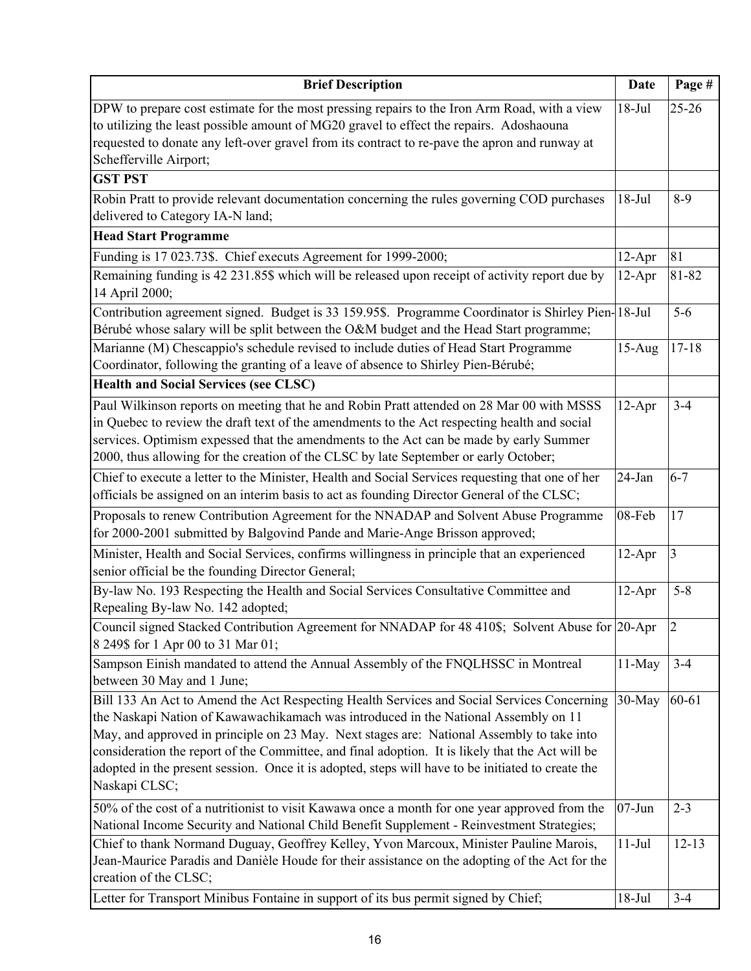| <b>Brief Description</b>                                                                                                                                                                                                                                                                                                                                                                                                                                                                                 | <b>Date</b>            | Page #               |
|----------------------------------------------------------------------------------------------------------------------------------------------------------------------------------------------------------------------------------------------------------------------------------------------------------------------------------------------------------------------------------------------------------------------------------------------------------------------------------------------------------|------------------------|----------------------|
| DPW to prepare cost estimate for the most pressing repairs to the Iron Arm Road, with a view<br>to utilizing the least possible amount of MG20 gravel to effect the repairs. Adoshaouna<br>requested to donate any left-over gravel from its contract to re-pave the apron and runway at<br>Schefferville Airport;                                                                                                                                                                                       | $18-Jul$               | $25 - 26$            |
| <b>GST PST</b>                                                                                                                                                                                                                                                                                                                                                                                                                                                                                           |                        |                      |
| Robin Pratt to provide relevant documentation concerning the rules governing COD purchases<br>delivered to Category IA-N land;                                                                                                                                                                                                                                                                                                                                                                           | $18-Jul$               | $8-9$                |
| <b>Head Start Programme</b>                                                                                                                                                                                                                                                                                                                                                                                                                                                                              |                        |                      |
| Funding is 17 023.73\$. Chief executs Agreement for 1999-2000;                                                                                                                                                                                                                                                                                                                                                                                                                                           | $12-Apr$               | 81                   |
| Remaining funding is 42 231.85\$ which will be released upon receipt of activity report due by<br>14 April 2000;                                                                                                                                                                                                                                                                                                                                                                                         | $12-Apr$               | 81-82                |
| Contribution agreement signed. Budget is 33 159.95\$. Programme Coordinator is Shirley Pien-18-Jul                                                                                                                                                                                                                                                                                                                                                                                                       |                        | $5-6$                |
| Bérubé whose salary will be split between the O&M budget and the Head Start programme;                                                                                                                                                                                                                                                                                                                                                                                                                   |                        |                      |
| Marianne (M) Chescappio's schedule revised to include duties of Head Start Programme<br>Coordinator, following the granting of a leave of absence to Shirley Pien-Bérubé;                                                                                                                                                                                                                                                                                                                                | $15-Aug$               | $17 - 18$            |
| <b>Health and Social Services (see CLSC)</b>                                                                                                                                                                                                                                                                                                                                                                                                                                                             |                        |                      |
| Paul Wilkinson reports on meeting that he and Robin Pratt attended on 28 Mar 00 with MSSS<br>in Quebec to review the draft text of the amendments to the Act respecting health and social<br>services. Optimism expessed that the amendments to the Act can be made by early Summer<br>2000, thus allowing for the creation of the CLSC by late September or early October;                                                                                                                              | $12-Apr$               | $3 - 4$              |
| Chief to execute a letter to the Minister, Health and Social Services requesting that one of her<br>officials be assigned on an interim basis to act as founding Director General of the CLSC;                                                                                                                                                                                                                                                                                                           | 24-Jan                 | $6 - 7$              |
| Proposals to renew Contribution Agreement for the NNADAP and Solvent Abuse Programme<br>for 2000-2001 submitted by Balgovind Pande and Marie-Ange Brisson approved;                                                                                                                                                                                                                                                                                                                                      | 08-Feb                 | 17                   |
| Minister, Health and Social Services, confirms willingness in principle that an experienced<br>senior official be the founding Director General;                                                                                                                                                                                                                                                                                                                                                         | $12-Apr$               | 3                    |
| By-law No. 193 Respecting the Health and Social Services Consultative Committee and<br>Repealing By-law No. 142 adopted;                                                                                                                                                                                                                                                                                                                                                                                 | $12-Apr$               | $5 - 8$              |
| Council signed Stacked Contribution Agreement for NNADAP for 48 410\$; Solvent Abuse for 20-Apr<br>8 249\$ for 1 Apr 00 to 31 Mar 01;                                                                                                                                                                                                                                                                                                                                                                    |                        | 2                    |
| Sampson Einish mandated to attend the Annual Assembly of the FNQLHSSC in Montreal<br>between 30 May and 1 June;                                                                                                                                                                                                                                                                                                                                                                                          | 11-May                 | $3 - 4$              |
| Bill 133 An Act to Amend the Act Respecting Health Services and Social Services Concerning<br>the Naskapi Nation of Kawawachikamach was introduced in the National Assembly on 11<br>May, and approved in principle on 23 May. Next stages are: National Assembly to take into<br>consideration the report of the Committee, and final adoption. It is likely that the Act will be<br>adopted in the present session. Once it is adopted, steps will have to be initiated to create the<br>Naskapi CLSC; | 30-May                 | 60-61                |
| 50% of the cost of a nutritionist to visit Kawawa once a month for one year approved from the<br>National Income Security and National Child Benefit Supplement - Reinvestment Strategies;<br>Chief to thank Normand Duguay, Geoffrey Kelley, Yvon Marcoux, Minister Pauline Marois,<br>Jean-Maurice Paradis and Danièle Houde for their assistance on the adopting of the Act for the                                                                                                                   | $07 - Jun$<br>$11-Jul$ | $2 - 3$<br>$12 - 13$ |
| creation of the CLSC;<br>Letter for Transport Minibus Fontaine in support of its bus permit signed by Chief;                                                                                                                                                                                                                                                                                                                                                                                             | $18-Jul$               | $3 - 4$              |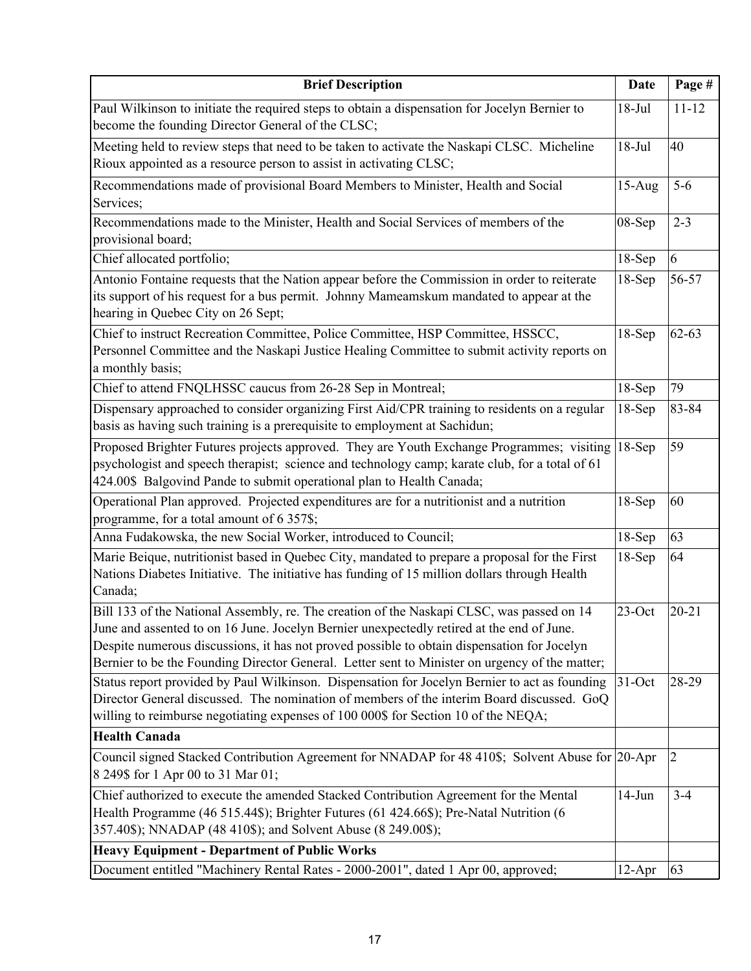| <b>Brief Description</b>                                                                                                                                                                                                                                                                                                                                                                | <b>Date</b> | Page #         |
|-----------------------------------------------------------------------------------------------------------------------------------------------------------------------------------------------------------------------------------------------------------------------------------------------------------------------------------------------------------------------------------------|-------------|----------------|
| Paul Wilkinson to initiate the required steps to obtain a dispensation for Jocelyn Bernier to<br>become the founding Director General of the CLSC;                                                                                                                                                                                                                                      | $18-Jul$    | $11 - 12$      |
| Meeting held to review steps that need to be taken to activate the Naskapi CLSC. Micheline<br>Rioux appointed as a resource person to assist in activating CLSC;                                                                                                                                                                                                                        | $18-Jul$    | 40             |
| Recommendations made of provisional Board Members to Minister, Health and Social<br>Services;                                                                                                                                                                                                                                                                                           | $15-Aug$    | $5-6$          |
| Recommendations made to the Minister, Health and Social Services of members of the<br>provisional board;                                                                                                                                                                                                                                                                                | 08-Sep      | $2 - 3$        |
| Chief allocated portfolio;                                                                                                                                                                                                                                                                                                                                                              | $18-Sep$    | 6              |
| Antonio Fontaine requests that the Nation appear before the Commission in order to reiterate<br>its support of his request for a bus permit. Johnny Mameamskum mandated to appear at the<br>hearing in Quebec City on 26 Sept;                                                                                                                                                          | $18-Sep$    | 56-57          |
| Chief to instruct Recreation Committee, Police Committee, HSP Committee, HSSCC,<br>Personnel Committee and the Naskapi Justice Healing Committee to submit activity reports on<br>a monthly basis;                                                                                                                                                                                      | $18-Sep$    | $62 - 63$      |
| Chief to attend FNQLHSSC caucus from 26-28 Sep in Montreal;                                                                                                                                                                                                                                                                                                                             | $18-Sep$    | 79             |
| Dispensary approached to consider organizing First Aid/CPR training to residents on a regular<br>basis as having such training is a prerequisite to employment at Sachidun;                                                                                                                                                                                                             | $18-Sep$    | 83-84          |
| Proposed Brighter Futures projects approved. They are Youth Exchange Programmes; visiting<br>psychologist and speech therapist; science and technology camp; karate club, for a total of 61<br>424.00\$ Balgovind Pande to submit operational plan to Health Canada;                                                                                                                    | $18-Sep$    | 59             |
| Operational Plan approved. Projected expenditures are for a nutritionist and a nutrition<br>programme, for a total amount of 6 357\$;                                                                                                                                                                                                                                                   | $18-Sep$    | 60             |
| Anna Fudakowska, the new Social Worker, introduced to Council;                                                                                                                                                                                                                                                                                                                          | $18-Sep$    | 63             |
| Marie Beique, nutritionist based in Quebec City, mandated to prepare a proposal for the First<br>Nations Diabetes Initiative. The initiative has funding of 15 million dollars through Health<br>Canada;                                                                                                                                                                                | $18-Sep$    | 64             |
| Bill 133 of the National Assembly, re. The creation of the Naskapi CLSC, was passed on 14<br>June and assented to on 16 June. Jocelyn Bernier unexpectedly retired at the end of June.<br>Despite numerous discussions, it has not proved possible to obtain dispensation for Jocelyn<br>Bernier to be the Founding Director General. Letter sent to Minister on urgency of the matter; | $23$ -Oct   | $20 - 21$      |
| Status report provided by Paul Wilkinson. Dispensation for Jocelyn Bernier to act as founding<br>Director General discussed. The nomination of members of the interim Board discussed. GoQ<br>willing to reimburse negotiating expenses of 100 000\$ for Section 10 of the NEQA;                                                                                                        | 31-Oct      | 28-29          |
| <b>Health Canada</b>                                                                                                                                                                                                                                                                                                                                                                    |             |                |
| Council signed Stacked Contribution Agreement for NNADAP for 48 410\$; Solvent Abuse for 20-Apr<br>8 249\$ for 1 Apr 00 to 31 Mar 01;                                                                                                                                                                                                                                                   |             | $\overline{2}$ |
| Chief authorized to execute the amended Stacked Contribution Agreement for the Mental<br>Health Programme (46 515.44\$); Brighter Futures (61 424.66\$); Pre-Natal Nutrition (6<br>357.40\$); NNADAP (48 410\$); and Solvent Abuse (8 249.00\$);                                                                                                                                        | $14$ -Jun   | $3 - 4$        |
| <b>Heavy Equipment - Department of Public Works</b><br>Document entitled "Machinery Rental Rates - 2000-2001", dated 1 Apr 00, approved;                                                                                                                                                                                                                                                | $12-Apr$    | 63             |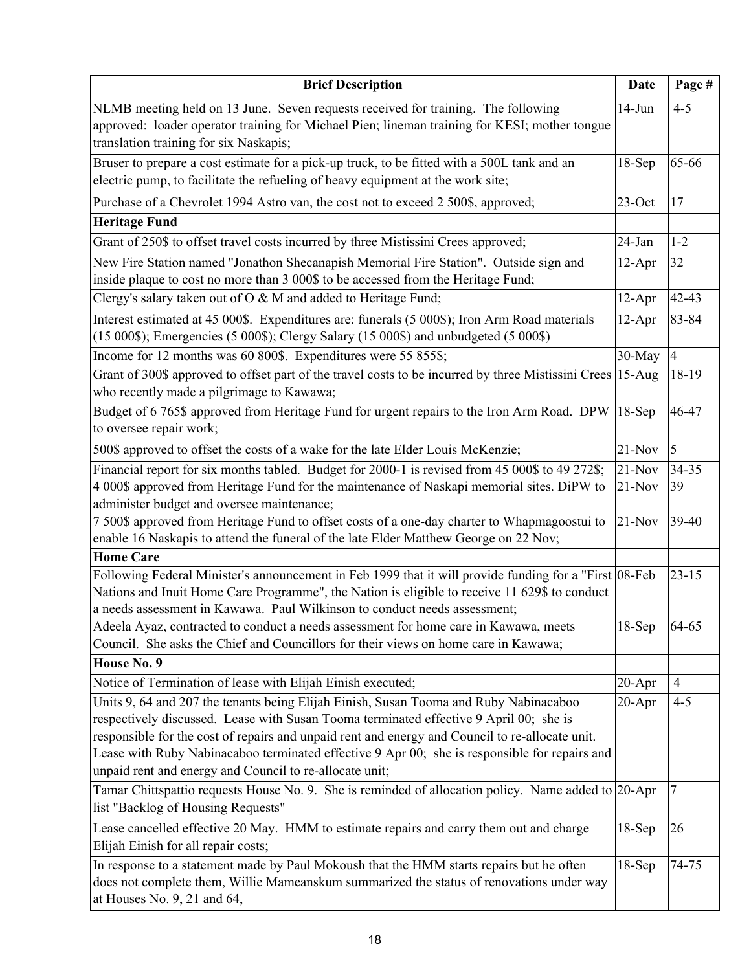| <b>Brief Description</b>                                                                                                                                                                                                                                                                                                                                                                                                                       | <b>Date</b> | Page #         |
|------------------------------------------------------------------------------------------------------------------------------------------------------------------------------------------------------------------------------------------------------------------------------------------------------------------------------------------------------------------------------------------------------------------------------------------------|-------------|----------------|
| NLMB meeting held on 13 June. Seven requests received for training. The following<br>approved: loader operator training for Michael Pien; lineman training for KESI; mother tongue<br>translation training for six Naskapis;                                                                                                                                                                                                                   | $14-Jun$    | $4 - 5$        |
| Bruser to prepare a cost estimate for a pick-up truck, to be fitted with a 500L tank and an<br>electric pump, to facilitate the refueling of heavy equipment at the work site;                                                                                                                                                                                                                                                                 | $18-Sep$    | 65-66          |
| Purchase of a Chevrolet 1994 Astro van, the cost not to exceed 2 500\$, approved;                                                                                                                                                                                                                                                                                                                                                              | $23$ -Oct   | 17             |
| <b>Heritage Fund</b>                                                                                                                                                                                                                                                                                                                                                                                                                           |             |                |
| Grant of 250\$ to offset travel costs incurred by three Mistissini Crees approved;                                                                                                                                                                                                                                                                                                                                                             | 24-Jan      | $1 - 2$        |
| New Fire Station named "Jonathon Shecanapish Memorial Fire Station". Outside sign and<br>inside plaque to cost no more than 3 000\$ to be accessed from the Heritage Fund;                                                                                                                                                                                                                                                                     | $12-Apr$    | 32             |
| Clergy's salary taken out of O & M and added to Heritage Fund;                                                                                                                                                                                                                                                                                                                                                                                 | $12-Apr$    | 42-43          |
| Interest estimated at 45 000\$. Expenditures are: funerals (5 000\$); Iron Arm Road materials<br>(15 000\$); Emergencies (5 000\$); Clergy Salary (15 000\$) and unbudgeted (5 000\$)                                                                                                                                                                                                                                                          | $12-Apr$    | 83-84          |
| Income for 12 months was 60 800\$. Expenditures were 55 855\$;                                                                                                                                                                                                                                                                                                                                                                                 | 30-May      | $\overline{4}$ |
| Grant of 300\$ approved to offset part of the travel costs to be incurred by three Mistissini Crees<br>who recently made a pilgrimage to Kawawa;                                                                                                                                                                                                                                                                                               | $15-Aug$    | 18-19          |
| Budget of 6 765\$ approved from Heritage Fund for urgent repairs to the Iron Arm Road. DPW<br>to oversee repair work;                                                                                                                                                                                                                                                                                                                          | $18-Sep$    | 46-47          |
| 500\$ approved to offset the costs of a wake for the late Elder Louis McKenzie;                                                                                                                                                                                                                                                                                                                                                                | $21-Nov$    | $\overline{5}$ |
| Financial report for six months tabled. Budget for 2000-1 is revised from 45 000\$ to 49 272\$;                                                                                                                                                                                                                                                                                                                                                | $21-Nov$    | 34-35          |
| 4 000\$ approved from Heritage Fund for the maintenance of Naskapi memorial sites. DiPW to                                                                                                                                                                                                                                                                                                                                                     | $21-Nov$    | 39             |
| administer budget and oversee maintenance;                                                                                                                                                                                                                                                                                                                                                                                                     |             |                |
| 7 500\$ approved from Heritage Fund to offset costs of a one-day charter to Whapmagoostui to                                                                                                                                                                                                                                                                                                                                                   | $21-Nov$    | 39-40          |
| enable 16 Naskapis to attend the funeral of the late Elder Matthew George on 22 Nov;<br><b>Home Care</b>                                                                                                                                                                                                                                                                                                                                       |             |                |
| Following Federal Minister's announcement in Feb 1999 that it will provide funding for a "First 08-Feb                                                                                                                                                                                                                                                                                                                                         |             | $23 - 15$      |
| Nations and Inuit Home Care Programme", the Nation is eligible to receive 11 629\$ to conduct                                                                                                                                                                                                                                                                                                                                                  |             |                |
| a needs assessment in Kawawa. Paul Wilkinson to conduct needs assessment;                                                                                                                                                                                                                                                                                                                                                                      |             |                |
| Adeela Ayaz, contracted to conduct a needs assessment for home care in Kawawa, meets                                                                                                                                                                                                                                                                                                                                                           | $18-Sep$    | 64-65          |
| Council. She asks the Chief and Councillors for their views on home care in Kawawa;                                                                                                                                                                                                                                                                                                                                                            |             |                |
| House No. 9                                                                                                                                                                                                                                                                                                                                                                                                                                    |             |                |
| Notice of Termination of lease with Elijah Einish executed;                                                                                                                                                                                                                                                                                                                                                                                    | $20 - Apr$  | $\overline{4}$ |
| Units 9, 64 and 207 the tenants being Elijah Einish, Susan Tooma and Ruby Nabinacaboo<br>respectively discussed. Lease with Susan Tooma terminated effective 9 April 00; she is<br>responsible for the cost of repairs and unpaid rent and energy and Council to re-allocate unit.<br>Lease with Ruby Nabinacaboo terminated effective 9 Apr 00; she is responsible for repairs and<br>unpaid rent and energy and Council to re-allocate unit; | $20 - Apr$  | $4 - 5$        |
| Tamar Chittspattio requests House No. 9. She is reminded of allocation policy. Name added to 20-Apr<br>list "Backlog of Housing Requests"                                                                                                                                                                                                                                                                                                      |             | 7              |
| Lease cancelled effective 20 May. HMM to estimate repairs and carry them out and charge<br>Elijah Einish for all repair costs;                                                                                                                                                                                                                                                                                                                 | $18-Sep$    | 26             |
| In response to a statement made by Paul Mokoush that the HMM starts repairs but he often<br>does not complete them, Willie Mameanskum summarized the status of renovations under way<br>at Houses No. 9, 21 and 64,                                                                                                                                                                                                                            | 18-Sep      | 74-75          |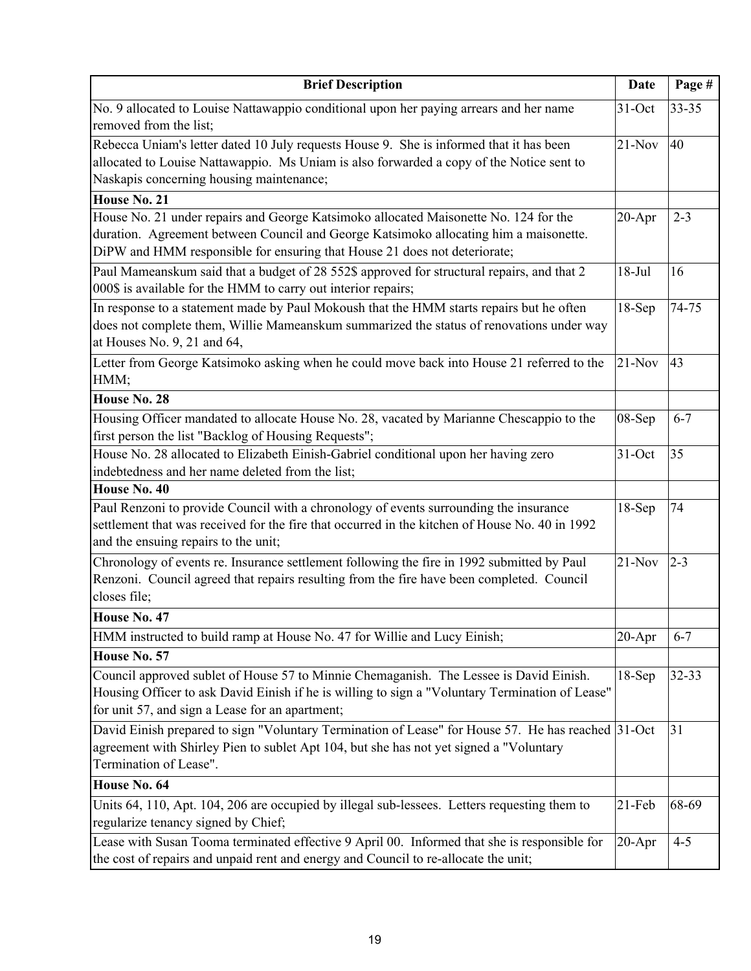| <b>Brief Description</b>                                                                                                                                                                                                                                   | <b>Date</b> | Page #    |
|------------------------------------------------------------------------------------------------------------------------------------------------------------------------------------------------------------------------------------------------------------|-------------|-----------|
| No. 9 allocated to Louise Nattawappio conditional upon her paying arrears and her name<br>removed from the list;                                                                                                                                           | $31-Oct$    | $33 - 35$ |
| Rebecca Uniam's letter dated 10 July requests House 9. She is informed that it has been<br>allocated to Louise Nattawappio. Ms Uniam is also forwarded a copy of the Notice sent to<br>Naskapis concerning housing maintenance;                            | $21-Nov$    | 40        |
| House No. 21                                                                                                                                                                                                                                               |             |           |
| House No. 21 under repairs and George Katsimoko allocated Maisonette No. 124 for the<br>duration. Agreement between Council and George Katsimoko allocating him a maisonette.<br>DiPW and HMM responsible for ensuring that House 21 does not deteriorate; | $20 - Apr$  | $2 - 3$   |
| Paul Mameanskum said that a budget of 28 552\$ approved for structural repairs, and that 2<br>000\$ is available for the HMM to carry out interior repairs;                                                                                                | $18-Jul$    | 16        |
| In response to a statement made by Paul Mokoush that the HMM starts repairs but he often<br>does not complete them, Willie Mameanskum summarized the status of renovations under way<br>at Houses No. 9, 21 and 64,                                        | $18-Sep$    | 74-75     |
| Letter from George Katsimoko asking when he could move back into House 21 referred to the<br>HMM;                                                                                                                                                          | $21-Nov$    | 43        |
| House No. 28                                                                                                                                                                                                                                               |             |           |
| Housing Officer mandated to allocate House No. 28, vacated by Marianne Chescappio to the<br>first person the list "Backlog of Housing Requests";                                                                                                           | 08-Sep      | $6 - 7$   |
| House No. 28 allocated to Elizabeth Einish-Gabriel conditional upon her having zero<br>indebtedness and her name deleted from the list;                                                                                                                    | $31-Oct$    | 35        |
| House No. 40                                                                                                                                                                                                                                               |             |           |
| Paul Renzoni to provide Council with a chronology of events surrounding the insurance<br>settlement that was received for the fire that occurred in the kitchen of House No. 40 in 1992<br>and the ensuing repairs to the unit;                            | $18-Sep$    | 74        |
| Chronology of events re. Insurance settlement following the fire in 1992 submitted by Paul<br>Renzoni. Council agreed that repairs resulting from the fire have been completed. Council<br>closes file;                                                    | $21-Nov$    | $2 - 3$   |
| House No. 47                                                                                                                                                                                                                                               |             |           |
| HMM instructed to build ramp at House No. 47 for Willie and Lucy Einish;                                                                                                                                                                                   | $20 - Apr$  | $6 - 7$   |
| House No. 57                                                                                                                                                                                                                                               |             |           |
| Council approved sublet of House 57 to Minnie Chemaganish. The Lessee is David Einish.<br>Housing Officer to ask David Einish if he is willing to sign a "Voluntary Termination of Lease"<br>for unit 57, and sign a Lease for an apartment;               | $18-Sep$    | 32-33     |
| David Einish prepared to sign "Voluntary Termination of Lease" for House 57. He has reached 31-Oct<br>agreement with Shirley Pien to sublet Apt 104, but she has not yet signed a "Voluntary<br>Termination of Lease".                                     |             | 31        |
| House No. 64                                                                                                                                                                                                                                               |             |           |
| Units 64, 110, Apt. 104, 206 are occupied by illegal sub-lessees. Letters requesting them to<br>regularize tenancy signed by Chief;                                                                                                                        | $21$ -Feb   | 68-69     |
| Lease with Susan Tooma terminated effective 9 April 00. Informed that she is responsible for<br>the cost of repairs and unpaid rent and energy and Council to re-allocate the unit;                                                                        | $20 - Apr$  | $4 - 5$   |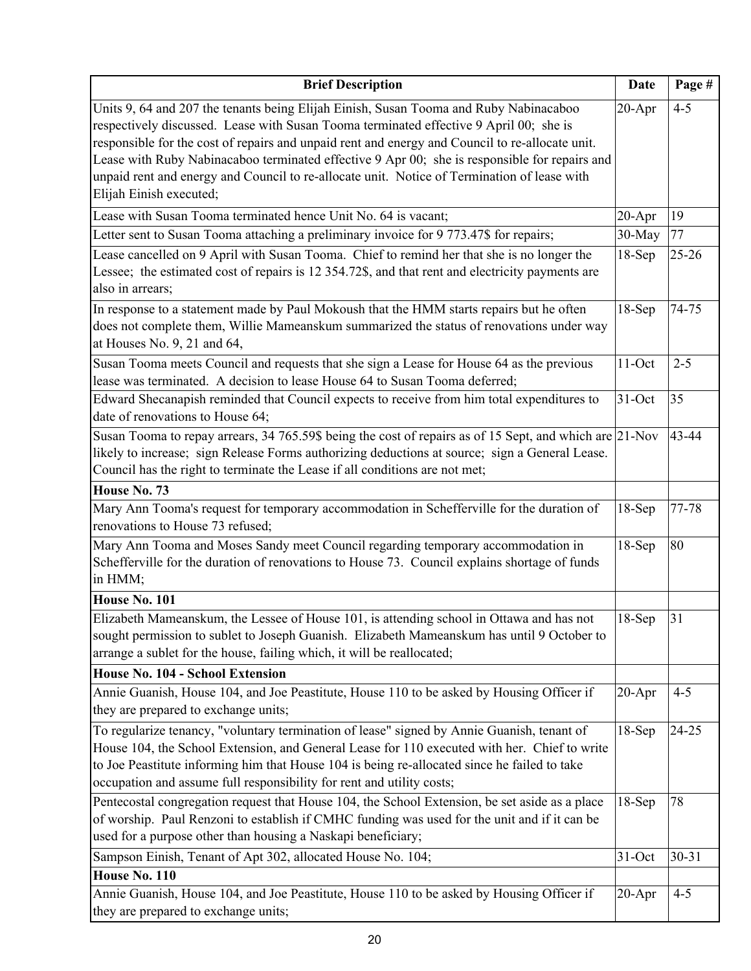| <b>Brief Description</b>                                                                                                                                                                                                                                                                                                                                                                                                                                                                                      | <b>Date</b> | Page #    |
|---------------------------------------------------------------------------------------------------------------------------------------------------------------------------------------------------------------------------------------------------------------------------------------------------------------------------------------------------------------------------------------------------------------------------------------------------------------------------------------------------------------|-------------|-----------|
| Units 9, 64 and 207 the tenants being Elijah Einish, Susan Tooma and Ruby Nabinacaboo<br>respectively discussed. Lease with Susan Tooma terminated effective 9 April 00; she is<br>responsible for the cost of repairs and unpaid rent and energy and Council to re-allocate unit.<br>Lease with Ruby Nabinacaboo terminated effective 9 Apr 00; she is responsible for repairs and<br>unpaid rent and energy and Council to re-allocate unit. Notice of Termination of lease with<br>Elijah Einish executed; | $20 - Apr$  | $4 - 5$   |
| Lease with Susan Tooma terminated hence Unit No. 64 is vacant;                                                                                                                                                                                                                                                                                                                                                                                                                                                | $20 - Apr$  | 19        |
| Letter sent to Susan Tooma attaching a preliminary invoice for 9 773.47\$ for repairs;                                                                                                                                                                                                                                                                                                                                                                                                                        | 30-May      | 77        |
| Lease cancelled on 9 April with Susan Tooma. Chief to remind her that she is no longer the<br>Lessee; the estimated cost of repairs is 12 354.72\$, and that rent and electricity payments are<br>also in arrears;                                                                                                                                                                                                                                                                                            | $18-Sep$    | $25 - 26$ |
| In response to a statement made by Paul Mokoush that the HMM starts repairs but he often<br>does not complete them, Willie Mameanskum summarized the status of renovations under way<br>at Houses No. 9, 21 and 64,                                                                                                                                                                                                                                                                                           | $18-Sep$    | 74-75     |
| Susan Tooma meets Council and requests that she sign a Lease for House 64 as the previous<br>lease was terminated. A decision to lease House 64 to Susan Tooma deferred;                                                                                                                                                                                                                                                                                                                                      | $11$ -Oct   | $2 - 5$   |
| Edward Shecanapish reminded that Council expects to receive from him total expenditures to<br>date of renovations to House 64;                                                                                                                                                                                                                                                                                                                                                                                | $31$ -Oct   | 35        |
| Susan Tooma to repay arrears, 34 765.59\$ being the cost of repairs as of 15 Sept, and which are 21-Nov<br>likely to increase; sign Release Forms authorizing deductions at source; sign a General Lease.<br>Council has the right to terminate the Lease if all conditions are not met;                                                                                                                                                                                                                      |             | 43-44     |
| House No. 73                                                                                                                                                                                                                                                                                                                                                                                                                                                                                                  |             |           |
| Mary Ann Tooma's request for temporary accommodation in Schefferville for the duration of<br>renovations to House 73 refused;                                                                                                                                                                                                                                                                                                                                                                                 | $18-Sep$    | 77-78     |
| Mary Ann Tooma and Moses Sandy meet Council regarding temporary accommodation in<br>Schefferville for the duration of renovations to House 73. Council explains shortage of funds<br>in HMM;                                                                                                                                                                                                                                                                                                                  | $18-Sep$    | 80        |
| House No. 101                                                                                                                                                                                                                                                                                                                                                                                                                                                                                                 |             |           |
| Elizabeth Mameanskum, the Lessee of House 101, is attending school in Ottawa and has not<br>sought permission to sublet to Joseph Guanish. Elizabeth Mameanskum has until 9 October to<br>arrange a sublet for the house, failing which, it will be reallocated;                                                                                                                                                                                                                                              | $18-Sep$    | 31        |
| House No. 104 - School Extension                                                                                                                                                                                                                                                                                                                                                                                                                                                                              |             |           |
| Annie Guanish, House 104, and Joe Peastitute, House 110 to be asked by Housing Officer if<br>they are prepared to exchange units;                                                                                                                                                                                                                                                                                                                                                                             | $20 - Apr$  | $4 - 5$   |
| To regularize tenancy, "voluntary termination of lease" signed by Annie Guanish, tenant of<br>House 104, the School Extension, and General Lease for 110 executed with her. Chief to write<br>to Joe Peastitute informing him that House 104 is being re-allocated since he failed to take<br>occupation and assume full responsibility for rent and utility costs;                                                                                                                                           | $18-Sep$    | 24-25     |
| Pentecostal congregation request that House 104, the School Extension, be set aside as a place<br>of worship. Paul Renzoni to establish if CMHC funding was used for the unit and if it can be<br>used for a purpose other than housing a Naskapi beneficiary;                                                                                                                                                                                                                                                | $18-Sep$    | 78        |
| Sampson Einish, Tenant of Apt 302, allocated House No. 104;                                                                                                                                                                                                                                                                                                                                                                                                                                                   | 31-Oct      | 30-31     |
| House No. 110                                                                                                                                                                                                                                                                                                                                                                                                                                                                                                 |             |           |
| Annie Guanish, House 104, and Joe Peastitute, House 110 to be asked by Housing Officer if<br>they are prepared to exchange units;                                                                                                                                                                                                                                                                                                                                                                             | $20-Apr$    | $4 - 5$   |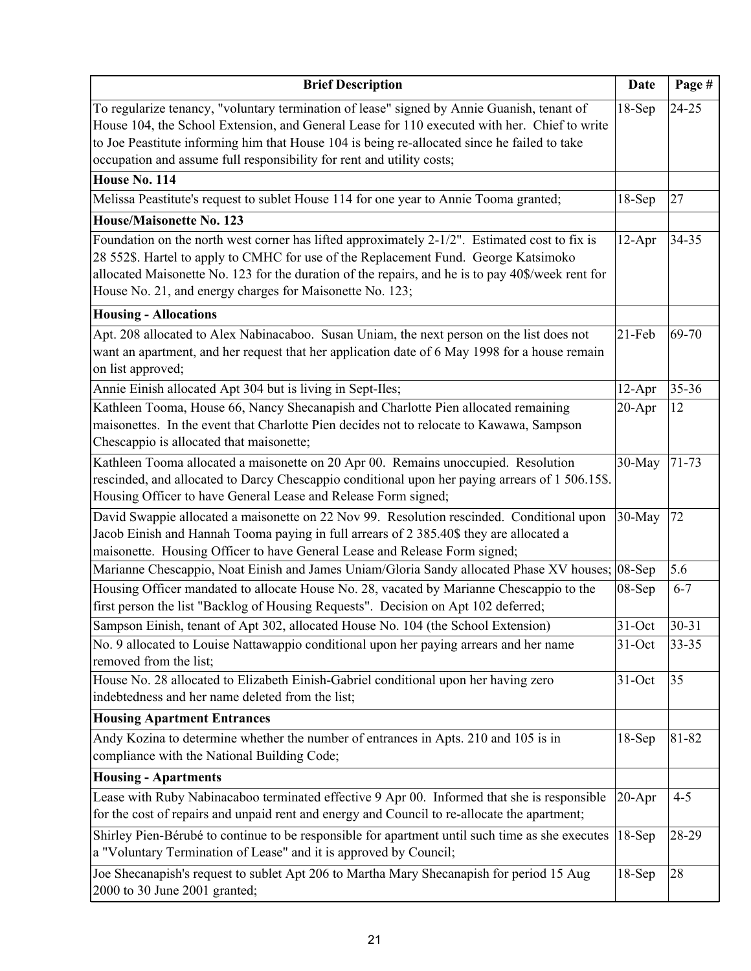| <b>Brief Description</b>                                                                                                                                                                                                                                                                                                                                            | <b>Date</b> | Page #    |
|---------------------------------------------------------------------------------------------------------------------------------------------------------------------------------------------------------------------------------------------------------------------------------------------------------------------------------------------------------------------|-------------|-----------|
| To regularize tenancy, "voluntary termination of lease" signed by Annie Guanish, tenant of<br>House 104, the School Extension, and General Lease for 110 executed with her. Chief to write<br>to Joe Peastitute informing him that House 104 is being re-allocated since he failed to take<br>occupation and assume full responsibility for rent and utility costs; | $18-Sep$    | $24 - 25$ |
| House No. 114                                                                                                                                                                                                                                                                                                                                                       |             |           |
| Melissa Peastitute's request to sublet House 114 for one year to Annie Tooma granted;                                                                                                                                                                                                                                                                               | $18-Sep$    | 27        |
| <b>House/Maisonette No. 123</b>                                                                                                                                                                                                                                                                                                                                     |             |           |
| Foundation on the north west corner has lifted approximately 2-1/2". Estimated cost to fix is<br>28 552\$. Hartel to apply to CMHC for use of the Replacement Fund. George Katsimoko<br>allocated Maisonette No. 123 for the duration of the repairs, and he is to pay 40\$/week rent for<br>House No. 21, and energy charges for Maisonette No. 123;               | $12-Apr$    | 34-35     |
| <b>Housing - Allocations</b>                                                                                                                                                                                                                                                                                                                                        |             |           |
| Apt. 208 allocated to Alex Nabinacaboo. Susan Uniam, the next person on the list does not<br>want an apartment, and her request that her application date of 6 May 1998 for a house remain<br>on list approved;                                                                                                                                                     | 21-Feb      | 69-70     |
| Annie Einish allocated Apt 304 but is living in Sept-Iles;                                                                                                                                                                                                                                                                                                          | $12-Apr$    | 35-36     |
| Kathleen Tooma, House 66, Nancy Shecanapish and Charlotte Pien allocated remaining<br>maisonettes. In the event that Charlotte Pien decides not to relocate to Kawawa, Sampson<br>Chescappio is allocated that maisonette;                                                                                                                                          | $20 - Apr$  | 12        |
| Kathleen Tooma allocated a maisonette on 20 Apr 00. Remains unoccupied. Resolution<br>rescinded, and allocated to Darcy Chescappio conditional upon her paying arrears of 1 506.15\$.<br>Housing Officer to have General Lease and Release Form signed;                                                                                                             | 30-May      | $71 - 73$ |
| David Swappie allocated a maisonette on 22 Nov 99. Resolution rescinded. Conditional upon<br>Jacob Einish and Hannah Tooma paying in full arrears of 2 385.40\$ they are allocated a<br>maisonette. Housing Officer to have General Lease and Release Form signed;                                                                                                  | 30-May      | 72        |
| Marianne Chescappio, Noat Einish and James Uniam/Gloria Sandy allocated Phase XV houses;                                                                                                                                                                                                                                                                            | $08-Sep$    | 5.6       |
| Housing Officer mandated to allocate House No. 28, vacated by Marianne Chescappio to the<br>first person the list "Backlog of Housing Requests". Decision on Apt 102 deferred;                                                                                                                                                                                      | 08-Sep      | $6 - 7$   |
| Sampson Einish, tenant of Apt 302, allocated House No. 104 (the School Extension)                                                                                                                                                                                                                                                                                   | $31-Oct$    | $30 - 31$ |
| No. 9 allocated to Louise Nattawappio conditional upon her paying arrears and her name<br>removed from the list;                                                                                                                                                                                                                                                    | $31-Oct$    | $33 - 35$ |
| House No. 28 allocated to Elizabeth Einish-Gabriel conditional upon her having zero<br>indebtedness and her name deleted from the list;                                                                                                                                                                                                                             | $31-Oct$    | 35        |
| <b>Housing Apartment Entrances</b>                                                                                                                                                                                                                                                                                                                                  |             |           |
| Andy Kozina to determine whether the number of entrances in Apts. 210 and 105 is in<br>compliance with the National Building Code;                                                                                                                                                                                                                                  | $18-Sep$    | 81-82     |
| <b>Housing - Apartments</b>                                                                                                                                                                                                                                                                                                                                         |             |           |
| Lease with Ruby Nabinacaboo terminated effective 9 Apr 00. Informed that she is responsible<br>for the cost of repairs and unpaid rent and energy and Council to re-allocate the apartment;                                                                                                                                                                         | $20-Apr$    | $4 - 5$   |
| Shirley Pien-Bérubé to continue to be responsible for apartment until such time as she executes<br>a "Voluntary Termination of Lease" and it is approved by Council;                                                                                                                                                                                                | $18-Sep$    | 28-29     |
| Joe Shecanapish's request to sublet Apt 206 to Martha Mary Shecanapish for period 15 Aug<br>2000 to 30 June 2001 granted;                                                                                                                                                                                                                                           | $18-Sep$    | 28        |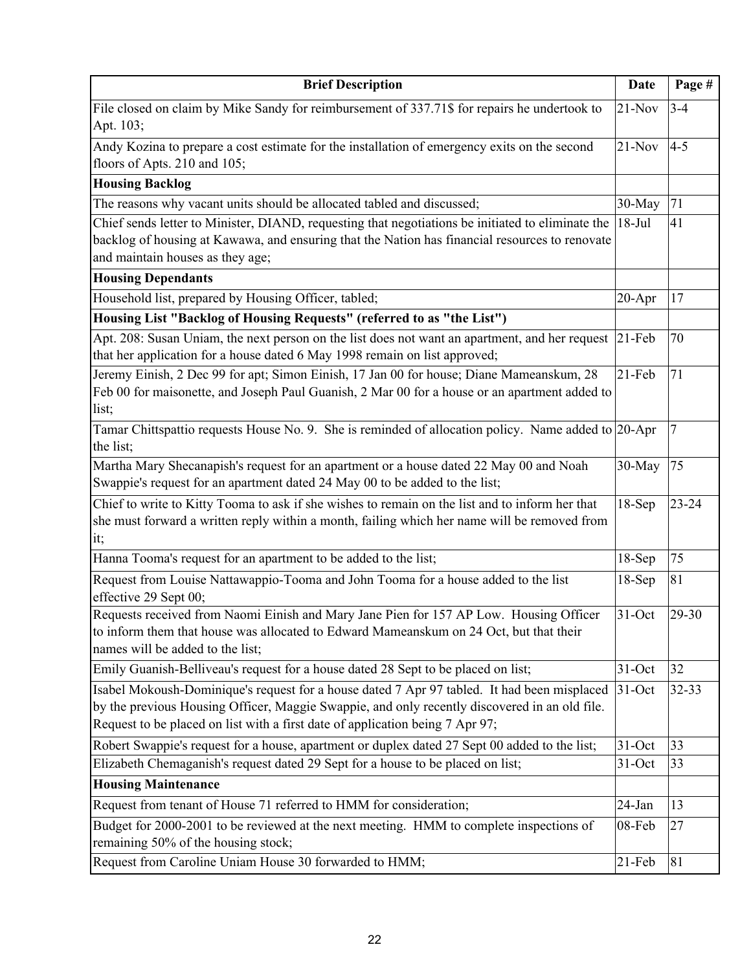| <b>Brief Description</b>                                                                                                                                                                                                                                                      | <b>Date</b> | Page #    |
|-------------------------------------------------------------------------------------------------------------------------------------------------------------------------------------------------------------------------------------------------------------------------------|-------------|-----------|
| File closed on claim by Mike Sandy for reimbursement of 337.71\$ for repairs he undertook to<br>Apt. 103;                                                                                                                                                                     | $21-Nov$    | $3 - 4$   |
| Andy Kozina to prepare a cost estimate for the installation of emergency exits on the second<br>floors of Apts. 210 and 105;                                                                                                                                                  | $21-Nov$    | $4 - 5$   |
| <b>Housing Backlog</b>                                                                                                                                                                                                                                                        |             |           |
| The reasons why vacant units should be allocated tabled and discussed;                                                                                                                                                                                                        | 30-May      | 71        |
| Chief sends letter to Minister, DIAND, requesting that negotiations be initiated to eliminate the<br>backlog of housing at Kawawa, and ensuring that the Nation has financial resources to renovate<br>and maintain houses as they age;                                       | $18-Jul$    | 41        |
| <b>Housing Dependants</b>                                                                                                                                                                                                                                                     |             |           |
| Household list, prepared by Housing Officer, tabled;                                                                                                                                                                                                                          | $20 - Apr$  | 17        |
| Housing List "Backlog of Housing Requests" (referred to as "the List")                                                                                                                                                                                                        |             |           |
| Apt. 208: Susan Uniam, the next person on the list does not want an apartment, and her request<br>that her application for a house dated 6 May 1998 remain on list approved;                                                                                                  | $21-Feb$    | 70        |
| Jeremy Einish, 2 Dec 99 for apt; Simon Einish, 17 Jan 00 for house; Diane Mameanskum, 28<br>Feb 00 for maisonette, and Joseph Paul Guanish, 2 Mar 00 for a house or an apartment added to<br>list;                                                                            | $21-Feb$    | 71        |
| Tamar Chittspattio requests House No. 9. She is reminded of allocation policy. Name added to 20-Apr<br>the list;                                                                                                                                                              |             | 7         |
| Martha Mary Shecanapish's request for an apartment or a house dated 22 May 00 and Noah<br>Swappie's request for an apartment dated 24 May 00 to be added to the list;                                                                                                         | 30-May      | 75        |
| Chief to write to Kitty Tooma to ask if she wishes to remain on the list and to inform her that<br>she must forward a written reply within a month, failing which her name will be removed from<br>it;                                                                        | $18-Sep$    | $23 - 24$ |
| Hanna Tooma's request for an apartment to be added to the list;                                                                                                                                                                                                               | $18-Sep$    | 75        |
| Request from Louise Nattawappio-Tooma and John Tooma for a house added to the list<br>effective 29 Sept 00;                                                                                                                                                                   | $18-Sep$    | 81        |
| Requests received from Naomi Einish and Mary Jane Pien for 157 AP Low. Housing Officer<br>to inform them that house was allocated to Edward Mameanskum on 24 Oct, but that their<br>names will be added to the list;                                                          | $31-Oct$    | 29-30     |
| Emily Guanish-Belliveau's request for a house dated 28 Sept to be placed on list;                                                                                                                                                                                             | $31-Oct$    | 32        |
| Isabel Mokoush-Dominique's request for a house dated 7 Apr 97 tabled. It had been misplaced<br>by the previous Housing Officer, Maggie Swappie, and only recently discovered in an old file.<br>Request to be placed on list with a first date of application being 7 Apr 97; | $31-Oct$    | $32 - 33$ |
| Robert Swappie's request for a house, apartment or duplex dated 27 Sept 00 added to the list;                                                                                                                                                                                 | 31-Oct      | 33        |
| Elizabeth Chemaganish's request dated 29 Sept for a house to be placed on list;                                                                                                                                                                                               | $31-Oct$    | 33        |
| <b>Housing Maintenance</b>                                                                                                                                                                                                                                                    |             |           |
| Request from tenant of House 71 referred to HMM for consideration;                                                                                                                                                                                                            | 24-Jan      | 13        |
| Budget for 2000-2001 to be reviewed at the next meeting. HMM to complete inspections of<br>remaining 50% of the housing stock;                                                                                                                                                | 08-Feb      | 27        |
| Request from Caroline Uniam House 30 forwarded to HMM;                                                                                                                                                                                                                        | $21$ -Feb   | 81        |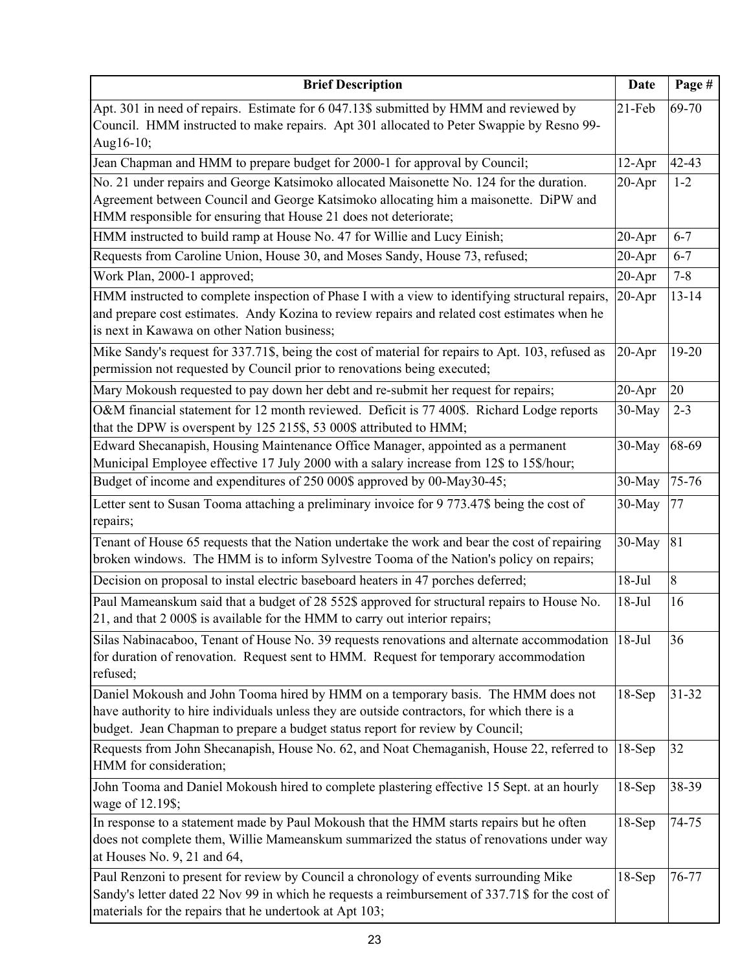| <b>Brief Description</b>                                                                                                                                                                                                                                           | <b>Date</b> | Page #    |
|--------------------------------------------------------------------------------------------------------------------------------------------------------------------------------------------------------------------------------------------------------------------|-------------|-----------|
| Apt. 301 in need of repairs. Estimate for 6 047.13\$ submitted by HMM and reviewed by<br>Council. HMM instructed to make repairs. Apt 301 allocated to Peter Swappie by Resno 99-<br>Aug16-10;                                                                     | $21-Feb$    | 69-70     |
| Jean Chapman and HMM to prepare budget for 2000-1 for approval by Council;                                                                                                                                                                                         | 12-Apr      | $42 - 43$ |
| No. 21 under repairs and George Katsimoko allocated Maisonette No. 124 for the duration.<br>Agreement between Council and George Katsimoko allocating him a maisonette. DiPW and<br>HMM responsible for ensuring that House 21 does not deteriorate;               | $20 - Apr$  | $1 - 2$   |
| HMM instructed to build ramp at House No. 47 for Willie and Lucy Einish;                                                                                                                                                                                           | $20 - Apr$  | $6 - 7$   |
| Requests from Caroline Union, House 30, and Moses Sandy, House 73, refused;                                                                                                                                                                                        | $20 - Apr$  | $6 - 7$   |
| Work Plan, 2000-1 approved;                                                                                                                                                                                                                                        | $20 - Apr$  | $7 - 8$   |
| HMM instructed to complete inspection of Phase I with a view to identifying structural repairs,<br>and prepare cost estimates. Andy Kozina to review repairs and related cost estimates when he<br>is next in Kawawa on other Nation business;                     | $20 - Apr$  | $13 - 14$ |
| Mike Sandy's request for 337.71\$, being the cost of material for repairs to Apt. 103, refused as<br>permission not requested by Council prior to renovations being executed;                                                                                      | $20 - Apr$  | $19-20$   |
| Mary Mokoush requested to pay down her debt and re-submit her request for repairs;                                                                                                                                                                                 | $20 - Apr$  | 20        |
| O&M financial statement for 12 month reviewed. Deficit is 77 400\$. Richard Lodge reports<br>that the DPW is overspent by 125 215\$, 53 000\$ attributed to HMM;                                                                                                   | 30-May      | $2 - 3$   |
| Edward Shecanapish, Housing Maintenance Office Manager, appointed as a permanent<br>Municipal Employee effective 17 July 2000 with a salary increase from 12\$ to 15\$/hour;                                                                                       | 30-May      | 68-69     |
| Budget of income and expenditures of 250 000\$ approved by 00-May30-45;                                                                                                                                                                                            | 30-May      | 75-76     |
| Letter sent to Susan Tooma attaching a preliminary invoice for 9 773.47\$ being the cost of<br>repairs;                                                                                                                                                            | 30-May      | 77        |
| Tenant of House 65 requests that the Nation undertake the work and bear the cost of repairing<br>broken windows. The HMM is to inform Sylvestre Tooma of the Nation's policy on repairs;                                                                           | 30-May      | 81        |
| Decision on proposal to instal electric baseboard heaters in 47 porches deferred;                                                                                                                                                                                  | $18-Jul$    | 8         |
| Paul Mameanskum said that a budget of 28 552\$ approved for structural repairs to House No.<br>21, and that 2 000\$ is available for the HMM to carry out interior repairs;                                                                                        | $18-Jul$    | 16        |
| Silas Nabinacaboo, Tenant of House No. 39 requests renovations and alternate accommodation<br>for duration of renovation. Request sent to HMM. Request for temporary accommodation<br>refused;                                                                     | $18-Jul$    | 36        |
| Daniel Mokoush and John Tooma hired by HMM on a temporary basis. The HMM does not<br>have authority to hire individuals unless they are outside contractors, for which there is a<br>budget. Jean Chapman to prepare a budget status report for review by Council; | $18-Sep$    | $31 - 32$ |
| Requests from John Shecanapish, House No. 62, and Noat Chemaganish, House 22, referred to<br>HMM for consideration;                                                                                                                                                | $18-Sep$    | 32        |
| John Tooma and Daniel Mokoush hired to complete plastering effective 15 Sept. at an hourly<br>wage of 12.19\$;                                                                                                                                                     | $18-Sep$    | 38-39     |
| In response to a statement made by Paul Mokoush that the HMM starts repairs but he often<br>does not complete them, Willie Mameanskum summarized the status of renovations under way<br>at Houses No. 9, 21 and 64,                                                | $18-Sep$    | 74-75     |
| Paul Renzoni to present for review by Council a chronology of events surrounding Mike<br>Sandy's letter dated 22 Nov 99 in which he requests a reimbursement of 337.71\$ for the cost of<br>materials for the repairs that he undertook at Apt 103;                | $18-Sep$    | 76-77     |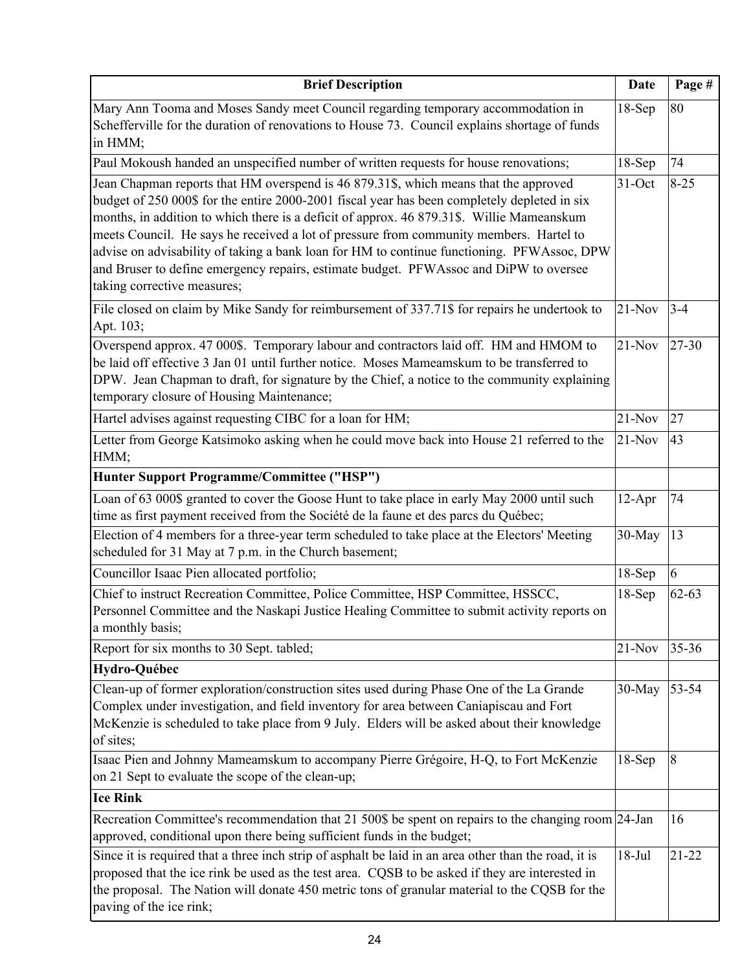| <b>Brief Description</b>                                                                                                                                                                                                                                                                                                                                                                                                                                                                                                                                                                          | <b>Date</b> | Page #    |
|---------------------------------------------------------------------------------------------------------------------------------------------------------------------------------------------------------------------------------------------------------------------------------------------------------------------------------------------------------------------------------------------------------------------------------------------------------------------------------------------------------------------------------------------------------------------------------------------------|-------------|-----------|
| Mary Ann Tooma and Moses Sandy meet Council regarding temporary accommodation in<br>Schefferville for the duration of renovations to House 73. Council explains shortage of funds<br>in HMM;                                                                                                                                                                                                                                                                                                                                                                                                      | $18-Sep$    | 80        |
| Paul Mokoush handed an unspecified number of written requests for house renovations;                                                                                                                                                                                                                                                                                                                                                                                                                                                                                                              | $18-Sep$    | 74        |
| Jean Chapman reports that HM overspend is 46 879.31\$, which means that the approved<br>budget of 250 000\$ for the entire 2000-2001 fiscal year has been completely depleted in six<br>months, in addition to which there is a deficit of approx. 46 879.31\$. Willie Mameanskum<br>meets Council. He says he received a lot of pressure from community members. Hartel to<br>advise on advisability of taking a bank loan for HM to continue functioning. PFWAssoc, DPW<br>and Bruser to define emergency repairs, estimate budget. PFWAssoc and DiPW to oversee<br>taking corrective measures; | 31-Oct      | $8 - 25$  |
| File closed on claim by Mike Sandy for reimbursement of 337.71\$ for repairs he undertook to<br>Apt. 103;                                                                                                                                                                                                                                                                                                                                                                                                                                                                                         | $21-Nov$    | $3 - 4$   |
| Overspend approx. 47 000\$. Temporary labour and contractors laid off. HM and HMOM to<br>be laid off effective 3 Jan 01 until further notice. Moses Mameamskum to be transferred to<br>DPW. Jean Chapman to draft, for signature by the Chief, a notice to the community explaining<br>temporary closure of Housing Maintenance;                                                                                                                                                                                                                                                                  | $21-Nov$    | 27-30     |
| Hartel advises against requesting CIBC for a loan for HM;                                                                                                                                                                                                                                                                                                                                                                                                                                                                                                                                         | $21-Nov$    | 27        |
| Letter from George Katsimoko asking when he could move back into House 21 referred to the<br>HMM;                                                                                                                                                                                                                                                                                                                                                                                                                                                                                                 | $21-Nov$    | 43        |
| Hunter Support Programme/Committee ("HSP")                                                                                                                                                                                                                                                                                                                                                                                                                                                                                                                                                        |             |           |
| Loan of 63 000\$ granted to cover the Goose Hunt to take place in early May 2000 until such<br>time as first payment received from the Société de la faune et des parcs du Québec;                                                                                                                                                                                                                                                                                                                                                                                                                | $12-Apr$    | 74        |
| Election of 4 members for a three-year term scheduled to take place at the Electors' Meeting<br>scheduled for 31 May at 7 p.m. in the Church basement;                                                                                                                                                                                                                                                                                                                                                                                                                                            | 30-May      | 13        |
| Councillor Isaac Pien allocated portfolio;                                                                                                                                                                                                                                                                                                                                                                                                                                                                                                                                                        | $18-Sep$    | 6         |
| Chief to instruct Recreation Committee, Police Committee, HSP Committee, HSSCC,<br>Personnel Committee and the Naskapi Justice Healing Committee to submit activity reports on<br>a monthly basis;                                                                                                                                                                                                                                                                                                                                                                                                | $18-Sep$    | $62 - 63$ |
| Report for six months to 30 Sept. tabled;                                                                                                                                                                                                                                                                                                                                                                                                                                                                                                                                                         | $21-Nov$    | 35-36     |
| Hydro-Québec                                                                                                                                                                                                                                                                                                                                                                                                                                                                                                                                                                                      |             |           |
| Clean-up of former exploration/construction sites used during Phase One of the La Grande<br>Complex under investigation, and field inventory for area between Caniapiscau and Fort<br>McKenzie is scheduled to take place from 9 July. Elders will be asked about their knowledge<br>of sites;                                                                                                                                                                                                                                                                                                    | 30-May      | 53-54     |
| Isaac Pien and Johnny Mameamskum to accompany Pierre Grégoire, H-Q, to Fort McKenzie                                                                                                                                                                                                                                                                                                                                                                                                                                                                                                              | $18-Sep$    | 8         |
| on 21 Sept to evaluate the scope of the clean-up;                                                                                                                                                                                                                                                                                                                                                                                                                                                                                                                                                 |             |           |
| <b>Ice Rink</b>                                                                                                                                                                                                                                                                                                                                                                                                                                                                                                                                                                                   |             |           |
| Recreation Committee's recommendation that 21 500\$ be spent on repairs to the changing room 24-Jan<br>approved, conditional upon there being sufficient funds in the budget;                                                                                                                                                                                                                                                                                                                                                                                                                     |             | 16        |
| Since it is required that a three inch strip of asphalt be laid in an area other than the road, it is<br>proposed that the ice rink be used as the test area. CQSB to be asked if they are interested in<br>the proposal. The Nation will donate 450 metric tons of granular material to the CQSB for the<br>paving of the ice rink;                                                                                                                                                                                                                                                              | $18-Jul$    | $21 - 22$ |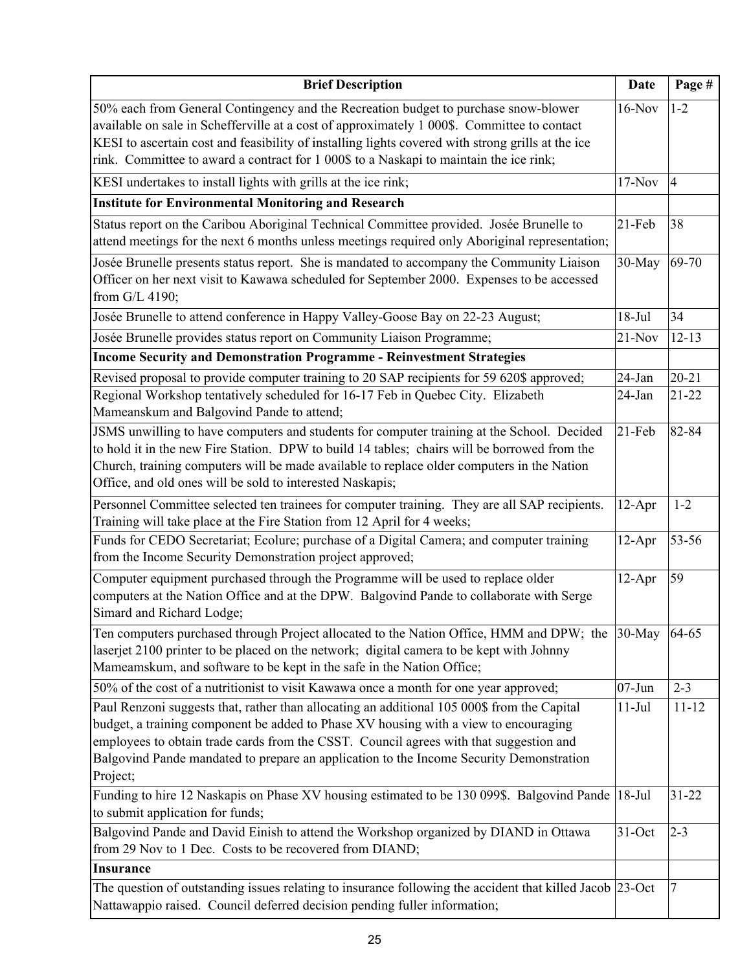| <b>Brief Description</b>                                                                                                                                                                                                                                                                                                                                                             | <b>Date</b>        | Page #         |
|--------------------------------------------------------------------------------------------------------------------------------------------------------------------------------------------------------------------------------------------------------------------------------------------------------------------------------------------------------------------------------------|--------------------|----------------|
| 50% each from General Contingency and the Recreation budget to purchase snow-blower<br>available on sale in Schefferville at a cost of approximately 1 000\$. Committee to contact<br>KESI to ascertain cost and feasibility of installing lights covered with strong grills at the ice<br>rink. Committee to award a contract for 1 000\$ to a Naskapi to maintain the ice rink;    | $16-Nov$           | $1 - 2$        |
| KESI undertakes to install lights with grills at the ice rink;                                                                                                                                                                                                                                                                                                                       | $17-Nov$           | $\overline{4}$ |
| <b>Institute for Environmental Monitoring and Research</b>                                                                                                                                                                                                                                                                                                                           |                    |                |
| Status report on the Caribou Aboriginal Technical Committee provided. Josée Brunelle to<br>attend meetings for the next 6 months unless meetings required only Aboriginal representation;<br>Josée Brunelle presents status report. She is mandated to accompany the Community Liaison                                                                                               | $21-Feb$<br>30-May | 38<br>69-70    |
| Officer on her next visit to Kawawa scheduled for September 2000. Expenses to be accessed<br>from G/L 4190;                                                                                                                                                                                                                                                                          |                    |                |
| Josée Brunelle to attend conference in Happy Valley-Goose Bay on 22-23 August;                                                                                                                                                                                                                                                                                                       | $18-Jul$           | 34             |
| Josée Brunelle provides status report on Community Liaison Programme;                                                                                                                                                                                                                                                                                                                | $21-Nov$           | $12 - 13$      |
| <b>Income Security and Demonstration Programme - Reinvestment Strategies</b>                                                                                                                                                                                                                                                                                                         |                    |                |
| Revised proposal to provide computer training to 20 SAP recipients for 59 620\$ approved;                                                                                                                                                                                                                                                                                            | 24-Jan             | $20 - 21$      |
| Regional Workshop tentatively scheduled for 16-17 Feb in Quebec City. Elizabeth<br>Mameanskum and Balgovind Pande to attend;                                                                                                                                                                                                                                                         | 24-Jan             | $21 - 22$      |
| JSMS unwilling to have computers and students for computer training at the School. Decided<br>to hold it in the new Fire Station. DPW to build 14 tables; chairs will be borrowed from the<br>Church, training computers will be made available to replace older computers in the Nation<br>Office, and old ones will be sold to interested Naskapis;                                | $21$ -Feb          | 82-84          |
| Personnel Committee selected ten trainees for computer training. They are all SAP recipients.<br>Training will take place at the Fire Station from 12 April for 4 weeks;                                                                                                                                                                                                             | $12-Apr$           | $1 - 2$        |
| Funds for CEDO Secretariat; Ecolure; purchase of a Digital Camera; and computer training<br>from the Income Security Demonstration project approved;                                                                                                                                                                                                                                 | $12-Apr$           | 53-56          |
| Computer equipment purchased through the Programme will be used to replace older<br>computers at the Nation Office and at the DPW. Balgovind Pande to collaborate with Serge<br>Simard and Richard Lodge;                                                                                                                                                                            | $12-Apr$           | 59             |
| Ten computers purchased through Project allocated to the Nation Office, HMM and DPW; the<br>laserjet 2100 printer to be placed on the network; digital camera to be kept with Johnny<br>Mameamskum, and software to be kept in the safe in the Nation Office;                                                                                                                        | 30-May             | 64-65          |
| 50% of the cost of a nutritionist to visit Kawawa once a month for one year approved;                                                                                                                                                                                                                                                                                                | $07 - Jun$         | $2 - 3$        |
| Paul Renzoni suggests that, rather than allocating an additional 105 000\$ from the Capital<br>budget, a training component be added to Phase XV housing with a view to encouraging<br>employees to obtain trade cards from the CSST. Council agrees with that suggestion and<br>Balgovind Pande mandated to prepare an application to the Income Security Demonstration<br>Project; | $11-Jul$           | $11 - 12$      |
| Funding to hire 12 Naskapis on Phase XV housing estimated to be 130 099\$. Balgovind Pande<br>to submit application for funds;                                                                                                                                                                                                                                                       | $18-Jul$           | $31 - 22$      |
| Balgovind Pande and David Einish to attend the Workshop organized by DIAND in Ottawa<br>from 29 Nov to 1 Dec. Costs to be recovered from DIAND;                                                                                                                                                                                                                                      | 31-Oct             | $2 - 3$        |
| <b>Insurance</b>                                                                                                                                                                                                                                                                                                                                                                     |                    |                |
| The question of outstanding issues relating to insurance following the accident that killed Jacob 23-Oct<br>Nattawappio raised. Council deferred decision pending fuller information;                                                                                                                                                                                                |                    | 7              |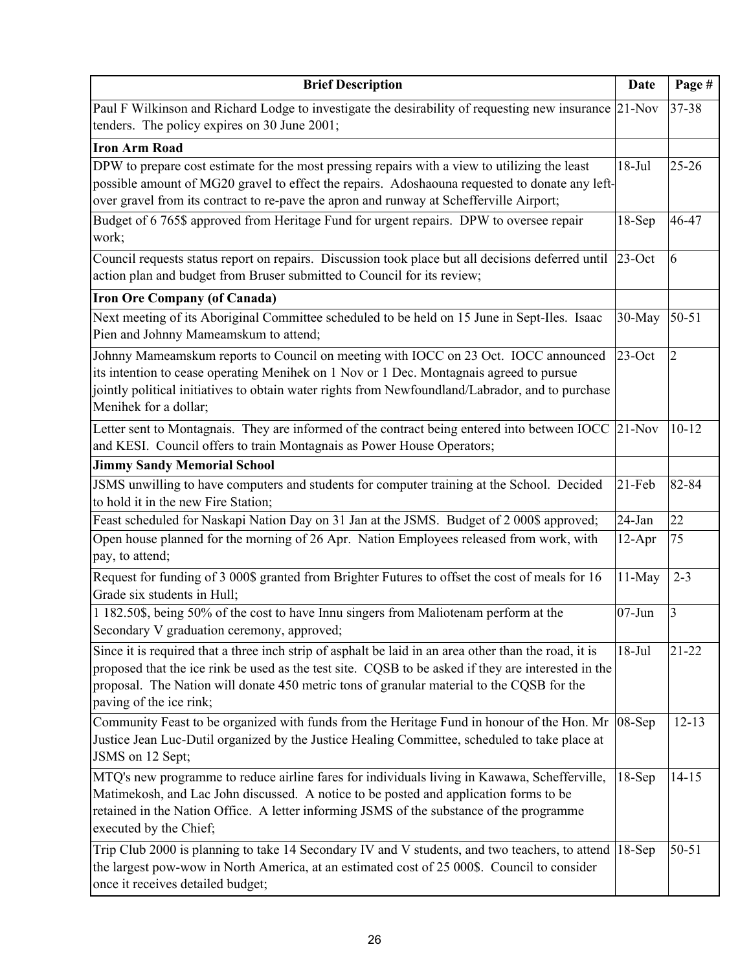| <b>Brief Description</b>                                                                                                                                                                                                                                                                                                             | <b>Date</b> | Page #         |
|--------------------------------------------------------------------------------------------------------------------------------------------------------------------------------------------------------------------------------------------------------------------------------------------------------------------------------------|-------------|----------------|
| Paul F Wilkinson and Richard Lodge to investigate the desirability of requesting new insurance 21-Nov<br>tenders. The policy expires on 30 June 2001;                                                                                                                                                                                |             | 37-38          |
| <b>Iron Arm Road</b>                                                                                                                                                                                                                                                                                                                 |             |                |
| DPW to prepare cost estimate for the most pressing repairs with a view to utilizing the least<br>possible amount of MG20 gravel to effect the repairs. Adoshaouna requested to donate any left-<br>over gravel from its contract to re-pave the apron and runway at Schefferville Airport;                                           | $18-Jul$    | $25 - 26$      |
| Budget of 6 765\$ approved from Heritage Fund for urgent repairs. DPW to oversee repair<br>work;                                                                                                                                                                                                                                     | $18-Sep$    | 46-47          |
| Council requests status report on repairs. Discussion took place but all decisions deferred until<br>action plan and budget from Bruser submitted to Council for its review;                                                                                                                                                         | $23$ -Oct   | 6              |
| <b>Iron Ore Company (of Canada)</b>                                                                                                                                                                                                                                                                                                  |             |                |
| Next meeting of its Aboriginal Committee scheduled to be held on 15 June in Sept-Iles. Isaac<br>Pien and Johnny Mameamskum to attend;                                                                                                                                                                                                | 30-May      | $50 - 51$      |
| Johnny Mameamskum reports to Council on meeting with IOCC on 23 Oct. IOCC announced<br>its intention to cease operating Menihek on 1 Nov or 1 Dec. Montagnais agreed to pursue<br>jointly political initiatives to obtain water rights from Newfoundland/Labrador, and to purchase<br>Menihek for a dollar;                          | $23$ -Oct   | $\overline{2}$ |
| Letter sent to Montagnais. They are informed of the contract being entered into between IOCC<br>and KESI. Council offers to train Montagnais as Power House Operators;                                                                                                                                                               | $21-Nov$    | $10 - 12$      |
| <b>Jimmy Sandy Memorial School</b>                                                                                                                                                                                                                                                                                                   |             |                |
| JSMS unwilling to have computers and students for computer training at the School. Decided<br>to hold it in the new Fire Station;                                                                                                                                                                                                    | 21-Feb      | 82-84          |
| Feast scheduled for Naskapi Nation Day on 31 Jan at the JSMS. Budget of 2 000\$ approved;                                                                                                                                                                                                                                            | $24$ -Jan   | 22             |
| Open house planned for the morning of 26 Apr. Nation Employees released from work, with<br>pay, to attend;                                                                                                                                                                                                                           | $12-Apr$    | 75             |
| Request for funding of 3 000\$ granted from Brighter Futures to offset the cost of meals for 16<br>Grade six students in Hull;                                                                                                                                                                                                       | $11-May$    | $2 - 3$        |
| 1 182.50\$, being 50% of the cost to have Innu singers from Maliotenam perform at the<br>Secondary V graduation ceremony, approved;                                                                                                                                                                                                  | $07 - Jun$  | 3              |
| Since it is required that a three inch strip of asphalt be laid in an area other than the road, it is<br>proposed that the ice rink be used as the test site. CQSB to be asked if they are interested in the<br>proposal. The Nation will donate 450 metric tons of granular material to the CQSB for the<br>paving of the ice rink; | $18-Jul$    | $21 - 22$      |
| Community Feast to be organized with funds from the Heritage Fund in honour of the Hon. Mr<br>Justice Jean Luc-Dutil organized by the Justice Healing Committee, scheduled to take place at<br>JSMS on 12 Sept;                                                                                                                      | 08-Sep      | $12 - 13$      |
| MTQ's new programme to reduce airline fares for individuals living in Kawawa, Schefferville,<br>Matimekosh, and Lac John discussed. A notice to be posted and application forms to be<br>retained in the Nation Office. A letter informing JSMS of the substance of the programme<br>executed by the Chief;                          | $18-Sep$    | $14 - 15$      |
| Trip Club 2000 is planning to take 14 Secondary IV and V students, and two teachers, to attend<br>the largest pow-wow in North America, at an estimated cost of 25 000\$. Council to consider<br>once it receives detailed budget;                                                                                                   | $18-Sep$    | $50 - 51$      |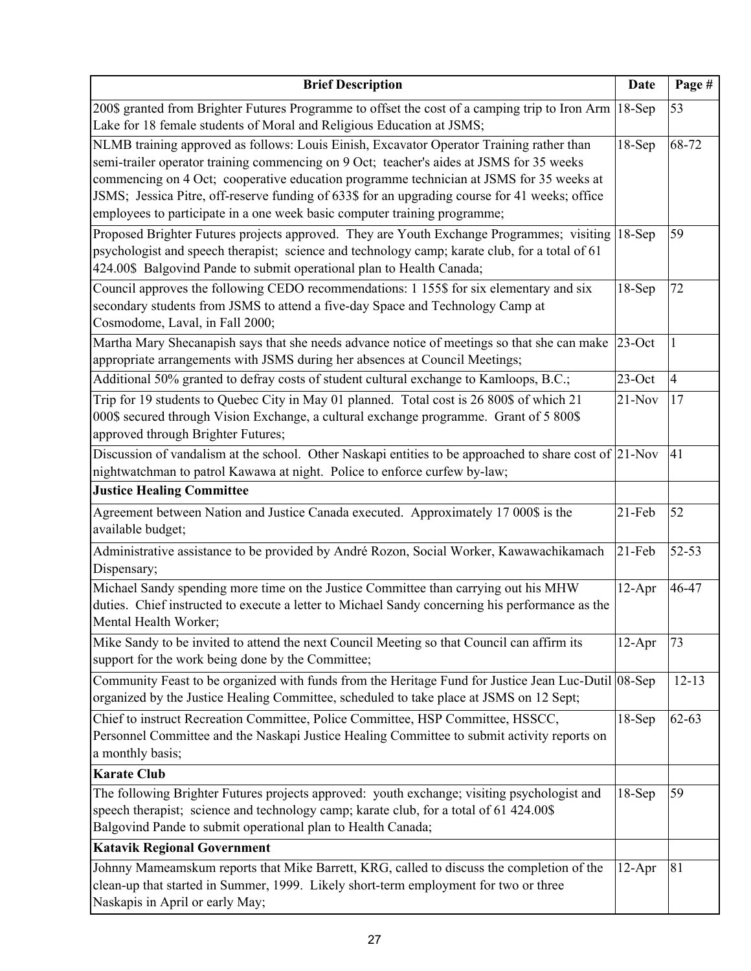| <b>Brief Description</b>                                                                                                                                                                                                                                                                                                                                                                                                                                       | <b>Date</b> | Page #         |
|----------------------------------------------------------------------------------------------------------------------------------------------------------------------------------------------------------------------------------------------------------------------------------------------------------------------------------------------------------------------------------------------------------------------------------------------------------------|-------------|----------------|
| 200\$ granted from Brighter Futures Programme to offset the cost of a camping trip to Iron Arm<br>Lake for 18 female students of Moral and Religious Education at JSMS;                                                                                                                                                                                                                                                                                        | $18-Sep$    | 53             |
| NLMB training approved as follows: Louis Einish, Excavator Operator Training rather than<br>semi-trailer operator training commencing on 9 Oct; teacher's aides at JSMS for 35 weeks<br>commencing on 4 Oct; cooperative education programme technician at JSMS for 35 weeks at<br>JSMS; Jessica Pitre, off-reserve funding of 633\$ for an upgrading course for 41 weeks; office<br>employees to participate in a one week basic computer training programme; | $18-Sep$    | 68-72          |
| Proposed Brighter Futures projects approved. They are Youth Exchange Programmes; visiting<br>psychologist and speech therapist; science and technology camp; karate club, for a total of 61<br>424.00\$ Balgovind Pande to submit operational plan to Health Canada;                                                                                                                                                                                           | $18-Sep$    | 59             |
| Council approves the following CEDO recommendations: 1 155\$ for six elementary and six<br>secondary students from JSMS to attend a five-day Space and Technology Camp at<br>Cosmodome, Laval, in Fall 2000;                                                                                                                                                                                                                                                   | $18-Sep$    | 72             |
| Martha Mary Shecanapish says that she needs advance notice of meetings so that she can make<br>appropriate arrangements with JSMS during her absences at Council Meetings;                                                                                                                                                                                                                                                                                     | $23$ -Oct   | $\mathbf{1}$   |
| Additional 50% granted to defray costs of student cultural exchange to Kamloops, B.C.;                                                                                                                                                                                                                                                                                                                                                                         | $23$ -Oct   | $\overline{4}$ |
| Trip for 19 students to Quebec City in May 01 planned. Total cost is 26 800\$ of which 21<br>000\$ secured through Vision Exchange, a cultural exchange programme. Grant of 5 800\$<br>approved through Brighter Futures;                                                                                                                                                                                                                                      | $21-Nov$    | 17             |
| Discussion of vandalism at the school. Other Naskapi entities to be approached to share cost of $ 21\text{-Nov} $<br>nightwatchman to patrol Kawawa at night. Police to enforce curfew by-law;                                                                                                                                                                                                                                                                 |             | 41             |
| <b>Justice Healing Committee</b>                                                                                                                                                                                                                                                                                                                                                                                                                               |             |                |
| Agreement between Nation and Justice Canada executed. Approximately 17 000\$ is the<br>available budget;                                                                                                                                                                                                                                                                                                                                                       | $21-Feb$    | 52             |
| Administrative assistance to be provided by André Rozon, Social Worker, Kawawachikamach<br>Dispensary;                                                                                                                                                                                                                                                                                                                                                         | $21$ -Feb   | 52-53          |
| Michael Sandy spending more time on the Justice Committee than carrying out his MHW<br>duties. Chief instructed to execute a letter to Michael Sandy concerning his performance as the<br>Mental Health Worker;                                                                                                                                                                                                                                                | $12-Apr$    | 46-47          |
| Mike Sandy to be invited to attend the next Council Meeting so that Council can affirm its<br>support for the work being done by the Committee;                                                                                                                                                                                                                                                                                                                | $12-Apr$    | 73             |
| Community Feast to be organized with funds from the Heritage Fund for Justice Jean Luc-Dutil 08-Sep<br>organized by the Justice Healing Committee, scheduled to take place at JSMS on 12 Sept;                                                                                                                                                                                                                                                                 |             | $12 - 13$      |
| Chief to instruct Recreation Committee, Police Committee, HSP Committee, HSSCC,<br>Personnel Committee and the Naskapi Justice Healing Committee to submit activity reports on<br>a monthly basis;                                                                                                                                                                                                                                                             | $18-Sep$    | $62 - 63$      |
| <b>Karate Club</b>                                                                                                                                                                                                                                                                                                                                                                                                                                             |             |                |
| The following Brighter Futures projects approved: youth exchange; visiting psychologist and<br>speech therapist; science and technology camp; karate club, for a total of 61 424.00\$<br>Balgovind Pande to submit operational plan to Health Canada;                                                                                                                                                                                                          | $18-Sep$    | 59             |
| <b>Katavik Regional Government</b>                                                                                                                                                                                                                                                                                                                                                                                                                             |             |                |
| Johnny Mameamskum reports that Mike Barrett, KRG, called to discuss the completion of the<br>clean-up that started in Summer, 1999. Likely short-term employment for two or three<br>Naskapis in April or early May;                                                                                                                                                                                                                                           | $12-Apr$    | 81             |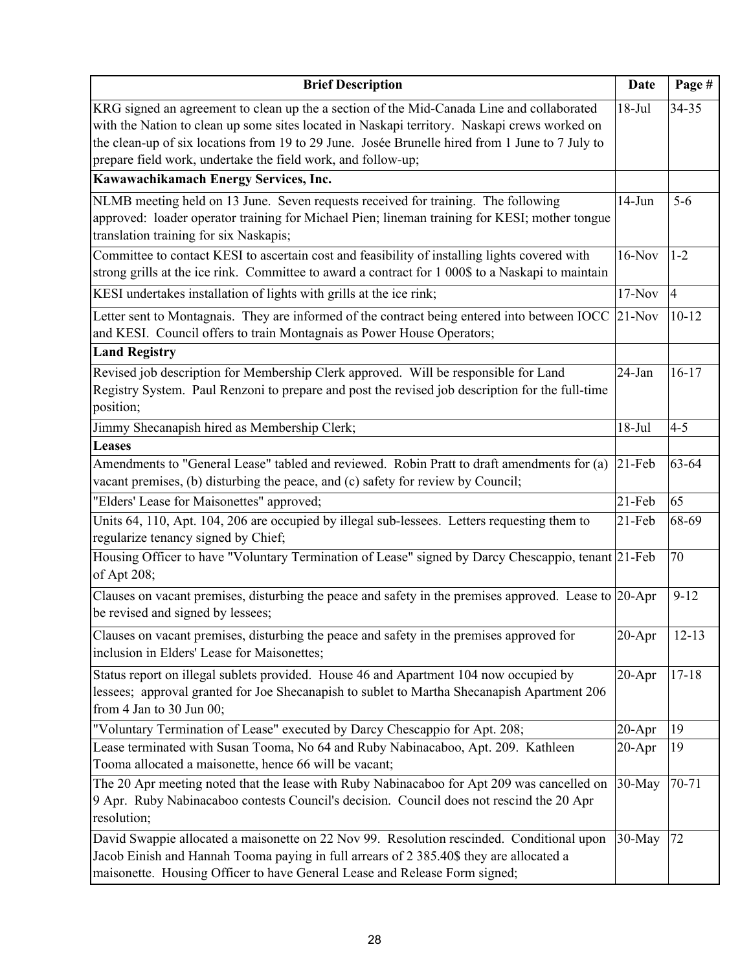| <b>Brief Description</b>                                                                                                                                                                                                                                                                                                                                                                              | <b>Date</b> | Page #         |
|-------------------------------------------------------------------------------------------------------------------------------------------------------------------------------------------------------------------------------------------------------------------------------------------------------------------------------------------------------------------------------------------------------|-------------|----------------|
| KRG signed an agreement to clean up the a section of the Mid-Canada Line and collaborated<br>with the Nation to clean up some sites located in Naskapi territory. Naskapi crews worked on<br>the clean-up of six locations from 19 to 29 June. Josée Brunelle hired from 1 June to 7 July to<br>prepare field work, undertake the field work, and follow-up;<br>Kawawachikamach Energy Services, Inc. | $18-Jul$    | 34-35          |
| NLMB meeting held on 13 June. Seven requests received for training. The following                                                                                                                                                                                                                                                                                                                     | $14-Jun$    | $5-6$          |
| approved: loader operator training for Michael Pien; lineman training for KESI; mother tongue<br>translation training for six Naskapis;                                                                                                                                                                                                                                                               |             |                |
| Committee to contact KESI to ascertain cost and feasibility of installing lights covered with                                                                                                                                                                                                                                                                                                         | $16-Nov$    | $1 - 2$        |
| strong grills at the ice rink. Committee to award a contract for 1 000\$ to a Naskapi to maintain                                                                                                                                                                                                                                                                                                     |             |                |
| KESI undertakes installation of lights with grills at the ice rink;                                                                                                                                                                                                                                                                                                                                   | $17-Nov$    | $\overline{4}$ |
| Letter sent to Montagnais. They are informed of the contract being entered into between IOCC<br>and KESI. Council offers to train Montagnais as Power House Operators;                                                                                                                                                                                                                                | $21-Nov$    | $10 - 12$      |
| <b>Land Registry</b>                                                                                                                                                                                                                                                                                                                                                                                  |             |                |
| Revised job description for Membership Clerk approved. Will be responsible for Land<br>Registry System. Paul Renzoni to prepare and post the revised job description for the full-time<br>position;                                                                                                                                                                                                   | 24-Jan      | $16-17$        |
| Jimmy Shecanapish hired as Membership Clerk;                                                                                                                                                                                                                                                                                                                                                          | $18-Jul$    | $4 - 5$        |
| <b>Leases</b>                                                                                                                                                                                                                                                                                                                                                                                         |             |                |
| Amendments to "General Lease" tabled and reviewed. Robin Pratt to draft amendments for (a)<br>vacant premises, (b) disturbing the peace, and (c) safety for review by Council;                                                                                                                                                                                                                        | 21-Feb      | 63-64          |
| "Elders' Lease for Maisonettes" approved;                                                                                                                                                                                                                                                                                                                                                             | $21-Feb$    | 65             |
| Units 64, 110, Apt. 104, 206 are occupied by illegal sub-lessees. Letters requesting them to<br>regularize tenancy signed by Chief;                                                                                                                                                                                                                                                                   | 21-Feb      | 68-69          |
| Housing Officer to have "Voluntary Termination of Lease" signed by Darcy Chescappio, tenant 21-Feb<br>of Apt 208;                                                                                                                                                                                                                                                                                     |             | 70             |
| Clauses on vacant premises, disturbing the peace and safety in the premises approved. Lease to 20-Apr<br>be revised and signed by lessees;                                                                                                                                                                                                                                                            |             | $9 - 12$       |
| Clauses on vacant premises, disturbing the peace and safety in the premises approved for<br>inclusion in Elders' Lease for Maisonettes;                                                                                                                                                                                                                                                               | $20 - Apr$  | $12 - 13$      |
| Status report on illegal sublets provided. House 46 and Apartment 104 now occupied by<br>lessees; approval granted for Joe Shecanapish to sublet to Martha Shecanapish Apartment 206<br>from 4 Jan to 30 Jun 00;                                                                                                                                                                                      | $20 - Apr$  | $17 - 18$      |
| "Voluntary Termination of Lease" executed by Darcy Chescappio for Apt. 208;                                                                                                                                                                                                                                                                                                                           | $20 - Apr$  | 19             |
| Lease terminated with Susan Tooma, No 64 and Ruby Nabinacaboo, Apt. 209. Kathleen                                                                                                                                                                                                                                                                                                                     | $20 - Apr$  | 19             |
| Tooma allocated a maisonette, hence 66 will be vacant;                                                                                                                                                                                                                                                                                                                                                |             |                |
| The 20 Apr meeting noted that the lease with Ruby Nabinacaboo for Apt 209 was cancelled on<br>9 Apr. Ruby Nabinacaboo contests Council's decision. Council does not rescind the 20 Apr<br>resolution;                                                                                                                                                                                                 | 30-May      | 70-71          |
| David Swappie allocated a maisonette on 22 Nov 99. Resolution rescinded. Conditional upon<br>Jacob Einish and Hannah Tooma paying in full arrears of 2 385.40\$ they are allocated a<br>maisonette. Housing Officer to have General Lease and Release Form signed;                                                                                                                                    | 30-May      | 72             |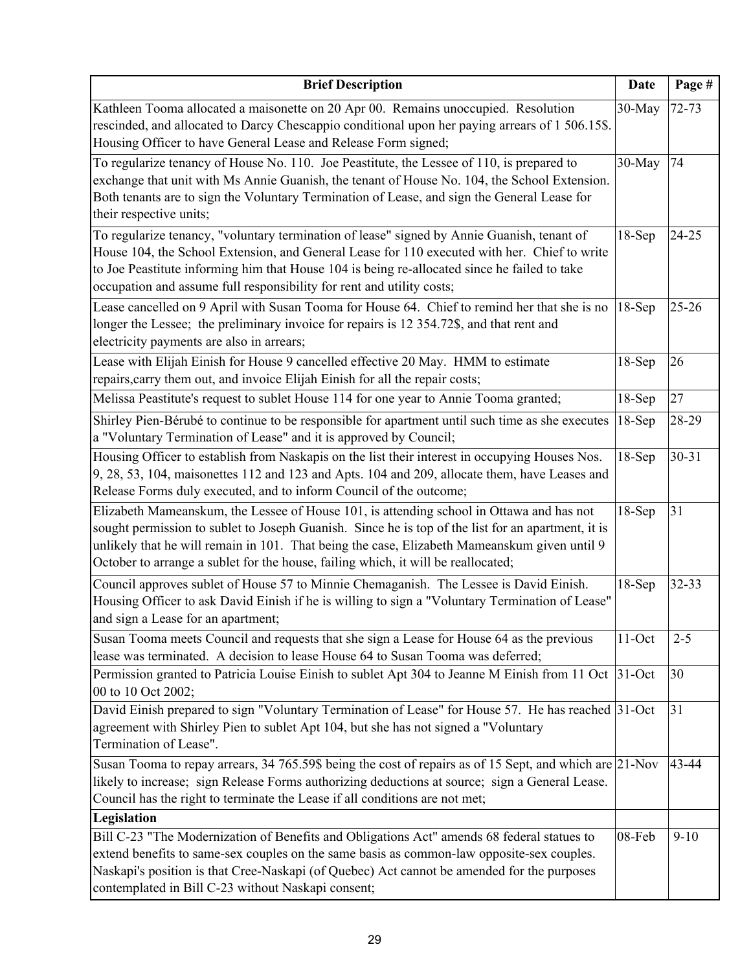| <b>Brief Description</b>                                                                                                                                                                                                                                                                                                                                                            | <b>Date</b> | Page #    |
|-------------------------------------------------------------------------------------------------------------------------------------------------------------------------------------------------------------------------------------------------------------------------------------------------------------------------------------------------------------------------------------|-------------|-----------|
| Kathleen Tooma allocated a maisonette on 20 Apr 00. Remains unoccupied. Resolution<br>rescinded, and allocated to Darcy Chescappio conditional upon her paying arrears of 1 506.15\$.<br>Housing Officer to have General Lease and Release Form signed;                                                                                                                             | 30-May      | $72 - 73$ |
| To regularize tenancy of House No. 110. Joe Peastitute, the Lessee of 110, is prepared to<br>exchange that unit with Ms Annie Guanish, the tenant of House No. 104, the School Extension.<br>Both tenants are to sign the Voluntary Termination of Lease, and sign the General Lease for<br>their respective units;                                                                 | 30-May      | 74        |
| To regularize tenancy, "voluntary termination of lease" signed by Annie Guanish, tenant of<br>House 104, the School Extension, and General Lease for 110 executed with her. Chief to write<br>to Joe Peastitute informing him that House 104 is being re-allocated since he failed to take<br>occupation and assume full responsibility for rent and utility costs;                 | $18-Sep$    | $24 - 25$ |
| Lease cancelled on 9 April with Susan Tooma for House 64. Chief to remind her that she is no<br>longer the Lessee; the preliminary invoice for repairs is 12 354.72\$, and that rent and<br>electricity payments are also in arrears;                                                                                                                                               | $18-Sep$    | $25 - 26$ |
| Lease with Elijah Einish for House 9 cancelled effective 20 May. HMM to estimate<br>repairs, carry them out, and invoice Elijah Einish for all the repair costs;                                                                                                                                                                                                                    | $18-Sep$    | 26        |
| Melissa Peastitute's request to sublet House 114 for one year to Annie Tooma granted;                                                                                                                                                                                                                                                                                               | $18-Sep$    | 27        |
| Shirley Pien-Bérubé to continue to be responsible for apartment until such time as she executes<br>a "Voluntary Termination of Lease" and it is approved by Council;                                                                                                                                                                                                                | $18-Sep$    | 28-29     |
| Housing Officer to establish from Naskapis on the list their interest in occupying Houses Nos.<br>9, 28, 53, 104, maisonettes 112 and 123 and Apts. 104 and 209, allocate them, have Leases and<br>Release Forms duly executed, and to inform Council of the outcome;                                                                                                               | $18-Sep$    | $30 - 31$ |
| Elizabeth Mameanskum, the Lessee of House 101, is attending school in Ottawa and has not<br>sought permission to sublet to Joseph Guanish. Since he is top of the list for an apartment, it is<br>unlikely that he will remain in 101. That being the case, Elizabeth Mameanskum given until 9<br>October to arrange a sublet for the house, failing which, it will be reallocated; | $18-Sep$    | 31        |
| Council approves sublet of House 57 to Minnie Chemaganish. The Lessee is David Einish.<br>Housing Officer to ask David Einish if he is willing to sign a "Voluntary Termination of Lease"<br>and sign a Lease for an apartment;                                                                                                                                                     | $18-Sep$    | $32 - 33$ |
| Susan Tooma meets Council and requests that she sign a Lease for House 64 as the previous<br>lease was terminated. A decision to lease House 64 to Susan Tooma was deferred;                                                                                                                                                                                                        | $11$ -Oct   | $2 - 5$   |
| Permission granted to Patricia Louise Einish to sublet Apt 304 to Jeanne M Einish from 11 Oct<br>00 to 10 Oct 2002;                                                                                                                                                                                                                                                                 | $31-Oct$    | 30        |
| David Einish prepared to sign "Voluntary Termination of Lease" for House 57. He has reached 31-Oct<br>agreement with Shirley Pien to sublet Apt 104, but she has not signed a "Voluntary<br>Termination of Lease".                                                                                                                                                                  |             | 31        |
| Susan Tooma to repay arrears, 34 765.59\$ being the cost of repairs as of 15 Sept, and which are $ 21$ -Nov<br>likely to increase; sign Release Forms authorizing deductions at source; sign a General Lease.<br>Council has the right to terminate the Lease if all conditions are not met;                                                                                        |             | 43-44     |
| Legislation                                                                                                                                                                                                                                                                                                                                                                         |             |           |
| Bill C-23 "The Modernization of Benefits and Obligations Act" amends 68 federal statues to<br>extend benefits to same-sex couples on the same basis as common-law opposite-sex couples.<br>Naskapi's position is that Cree-Naskapi (of Quebec) Act cannot be amended for the purposes<br>contemplated in Bill C-23 without Naskapi consent;                                         | 08-Feb      | $9-10$    |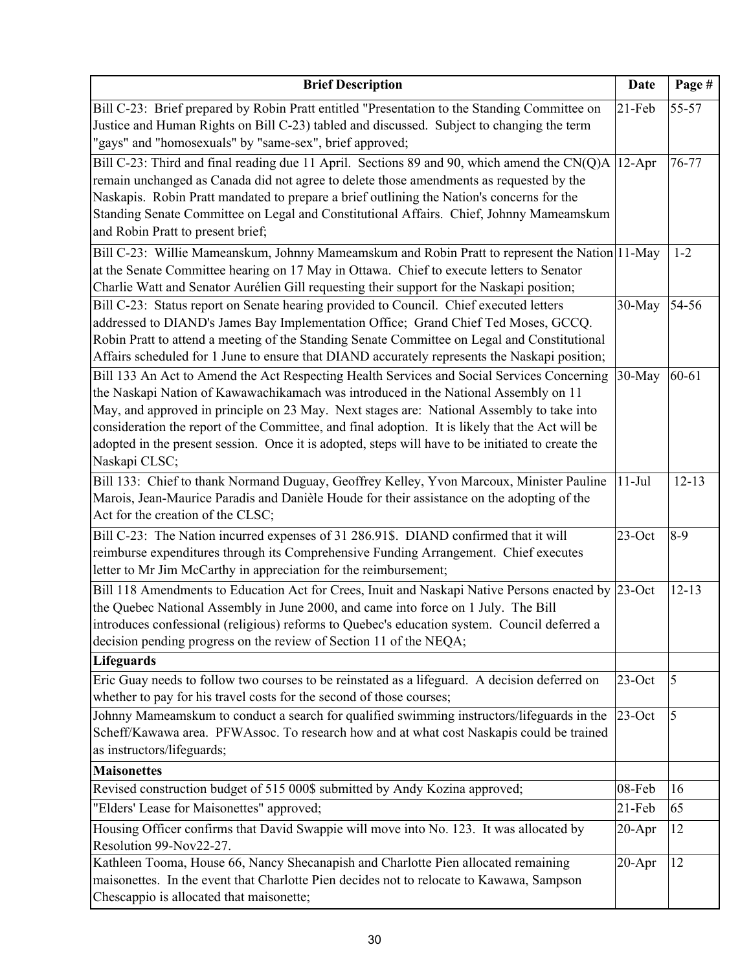| <b>Brief Description</b>                                                                                                                                                                                                                                                                                                                                                                                                                                                                                 | <b>Date</b> | Page #         |
|----------------------------------------------------------------------------------------------------------------------------------------------------------------------------------------------------------------------------------------------------------------------------------------------------------------------------------------------------------------------------------------------------------------------------------------------------------------------------------------------------------|-------------|----------------|
| Bill C-23: Brief prepared by Robin Pratt entitled "Presentation to the Standing Committee on<br>Justice and Human Rights on Bill C-23) tabled and discussed. Subject to changing the term<br>"gays" and "homosexuals" by "same-sex", brief approved;                                                                                                                                                                                                                                                     | $21-Feb$    | 55-57          |
| Bill C-23: Third and final reading due 11 April. Sections 89 and 90, which amend the CN(Q)A<br>remain unchanged as Canada did not agree to delete those amendments as requested by the<br>Naskapis. Robin Pratt mandated to prepare a brief outlining the Nation's concerns for the<br>Standing Senate Committee on Legal and Constitutional Affairs. Chief, Johnny Mameamskum<br>and Robin Pratt to present brief;                                                                                      | $12-Apr$    | 76-77          |
| Bill C-23: Willie Mameanskum, Johnny Mameamskum and Robin Pratt to represent the Nation 11-May<br>at the Senate Committee hearing on 17 May in Ottawa. Chief to execute letters to Senator<br>Charlie Watt and Senator Aurélien Gill requesting their support for the Naskapi position;                                                                                                                                                                                                                  |             | $1 - 2$        |
| Bill C-23: Status report on Senate hearing provided to Council. Chief executed letters<br>addressed to DIAND's James Bay Implementation Office; Grand Chief Ted Moses, GCCQ.<br>Robin Pratt to attend a meeting of the Standing Senate Committee on Legal and Constitutional<br>Affairs scheduled for 1 June to ensure that DIAND accurately represents the Naskapi position;                                                                                                                            | 30-May      | 54-56          |
| Bill 133 An Act to Amend the Act Respecting Health Services and Social Services Concerning<br>the Naskapi Nation of Kawawachikamach was introduced in the National Assembly on 11<br>May, and approved in principle on 23 May. Next stages are: National Assembly to take into<br>consideration the report of the Committee, and final adoption. It is likely that the Act will be<br>adopted in the present session. Once it is adopted, steps will have to be initiated to create the<br>Naskapi CLSC; | 30-May      | 60-61          |
| Bill 133: Chief to thank Normand Duguay, Geoffrey Kelley, Yvon Marcoux, Minister Pauline<br>Marois, Jean-Maurice Paradis and Danièle Houde for their assistance on the adopting of the<br>Act for the creation of the CLSC;                                                                                                                                                                                                                                                                              | $11-Jul$    | $12 - 13$      |
| Bill C-23: The Nation incurred expenses of 31 286.91\$. DIAND confirmed that it will<br>reimburse expenditures through its Comprehensive Funding Arrangement. Chief executes<br>letter to Mr Jim McCarthy in appreciation for the reimbursement;                                                                                                                                                                                                                                                         | $23$ -Oct   | $8-9$          |
| Bill 118 Amendments to Education Act for Crees, Inuit and Naskapi Native Persons enacted by 23-Oct<br>the Quebec National Assembly in June 2000, and came into force on 1 July. The Bill<br>introduces confessional (religious) reforms to Quebec's education system. Council deferred a<br>decision pending progress on the review of Section 11 of the NEQA;                                                                                                                                           |             | $12 - 13$      |
| Lifeguards<br>Eric Guay needs to follow two courses to be reinstated as a lifeguard. A decision deferred on<br>whether to pay for his travel costs for the second of those courses;                                                                                                                                                                                                                                                                                                                      | $23$ -Oct   | 5              |
| Johnny Mameamskum to conduct a search for qualified swimming instructors/lifeguards in the<br>Scheff/Kawawa area. PFWAssoc. To research how and at what cost Naskapis could be trained<br>as instructors/lifeguards;                                                                                                                                                                                                                                                                                     | $23$ -Oct   | $\overline{5}$ |
| <b>Maisonettes</b>                                                                                                                                                                                                                                                                                                                                                                                                                                                                                       |             |                |
| Revised construction budget of 515 000\$ submitted by Andy Kozina approved;                                                                                                                                                                                                                                                                                                                                                                                                                              | 08-Feb      | 16             |
| "Elders' Lease for Maisonettes" approved;                                                                                                                                                                                                                                                                                                                                                                                                                                                                | $21$ -Feb   | 65             |
| Housing Officer confirms that David Swappie will move into No. 123. It was allocated by<br>Resolution 99-Nov22-27.                                                                                                                                                                                                                                                                                                                                                                                       | $20 - Apr$  | 12             |
| Kathleen Tooma, House 66, Nancy Shecanapish and Charlotte Pien allocated remaining<br>maisonettes. In the event that Charlotte Pien decides not to relocate to Kawawa, Sampson<br>Chescappio is allocated that maisonette;                                                                                                                                                                                                                                                                               | $20 - Apr$  | 12             |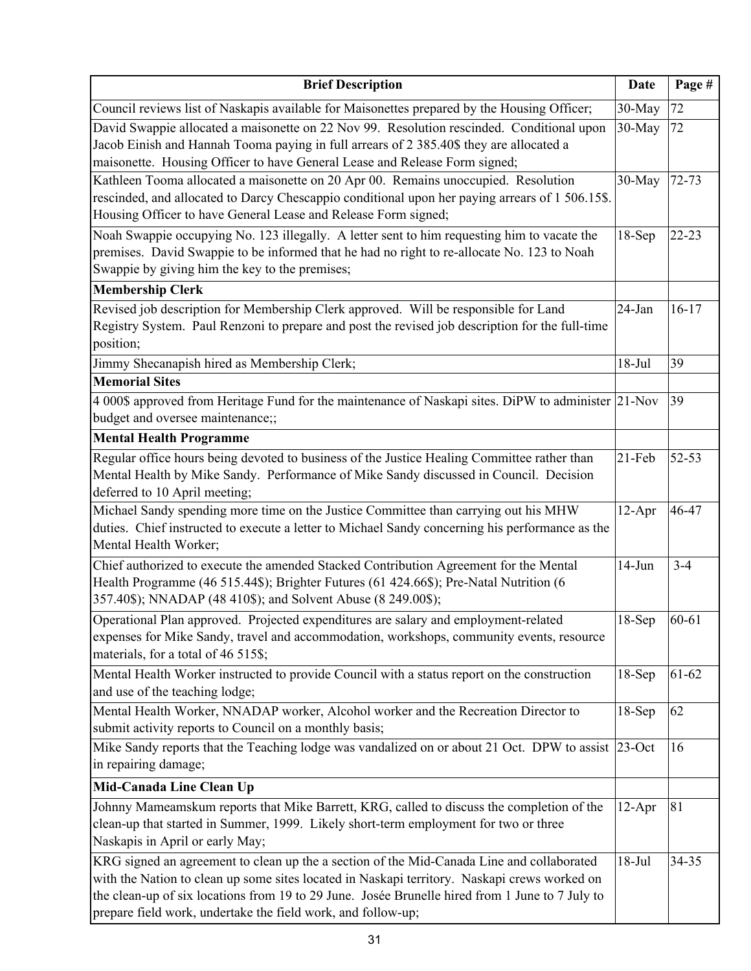| <b>Brief Description</b>                                                                                                                                                                                                                                                                                                                                     | <b>Date</b> | Page #    |
|--------------------------------------------------------------------------------------------------------------------------------------------------------------------------------------------------------------------------------------------------------------------------------------------------------------------------------------------------------------|-------------|-----------|
| Council reviews list of Naskapis available for Maisonettes prepared by the Housing Officer;                                                                                                                                                                                                                                                                  | 30-May      | 72        |
| David Swappie allocated a maisonette on 22 Nov 99. Resolution rescinded. Conditional upon<br>Jacob Einish and Hannah Tooma paying in full arrears of 2 385.40\$ they are allocated a<br>maisonette. Housing Officer to have General Lease and Release Form signed;                                                                                           | 30-May      | 72        |
| Kathleen Tooma allocated a maisonette on 20 Apr 00. Remains unoccupied. Resolution<br>rescinded, and allocated to Darcy Chescappio conditional upon her paying arrears of 1 506.15\$.<br>Housing Officer to have General Lease and Release Form signed;                                                                                                      | 30-May      | $72 - 73$ |
| Noah Swappie occupying No. 123 illegally. A letter sent to him requesting him to vacate the<br>premises. David Swappie to be informed that he had no right to re-allocate No. 123 to Noah<br>Swappie by giving him the key to the premises;<br><b>Membership Clerk</b>                                                                                       | $18-Sep$    | $22 - 23$ |
| Revised job description for Membership Clerk approved. Will be responsible for Land                                                                                                                                                                                                                                                                          | 24-Jan      | $16 - 17$ |
| Registry System. Paul Renzoni to prepare and post the revised job description for the full-time<br>position;                                                                                                                                                                                                                                                 |             |           |
| Jimmy Shecanapish hired as Membership Clerk;                                                                                                                                                                                                                                                                                                                 | $18-Jul$    | 39        |
| <b>Memorial Sites</b>                                                                                                                                                                                                                                                                                                                                        |             |           |
| 4 000\$ approved from Heritage Fund for the maintenance of Naskapi sites. DiPW to administer 21-Nov<br>budget and oversee maintenance;;                                                                                                                                                                                                                      |             | 39        |
| <b>Mental Health Programme</b>                                                                                                                                                                                                                                                                                                                               |             |           |
| Regular office hours being devoted to business of the Justice Healing Committee rather than<br>Mental Health by Mike Sandy. Performance of Mike Sandy discussed in Council. Decision<br>deferred to 10 April meeting;                                                                                                                                        | $21$ -Feb   | $52 - 53$ |
| Michael Sandy spending more time on the Justice Committee than carrying out his MHW<br>duties. Chief instructed to execute a letter to Michael Sandy concerning his performance as the<br>Mental Health Worker;                                                                                                                                              | $12-Apr$    | 46-47     |
| Chief authorized to execute the amended Stacked Contribution Agreement for the Mental<br>Health Programme (46 515.44\$); Brighter Futures (61 424.66\$); Pre-Natal Nutrition (6<br>357.40\$); NNADAP (48 410\$); and Solvent Abuse (8 249.00\$);                                                                                                             | $14-Jun$    | $3 - 4$   |
| Operational Plan approved. Projected expenditures are salary and employment-related<br>expenses for Mike Sandy, travel and accommodation, workshops, community events, resource<br>materials, for a total of 46 515\$;                                                                                                                                       | $18-Sep$    | 60-61     |
| Mental Health Worker instructed to provide Council with a status report on the construction<br>and use of the teaching lodge;                                                                                                                                                                                                                                | $18-Sep$    | 61-62     |
| Mental Health Worker, NNADAP worker, Alcohol worker and the Recreation Director to<br>submit activity reports to Council on a monthly basis;                                                                                                                                                                                                                 | $18-Sep$    | 62        |
| Mike Sandy reports that the Teaching lodge was vandalized on or about 21 Oct. DPW to assist 23-Oct<br>in repairing damage;                                                                                                                                                                                                                                   |             | 16        |
| Mid-Canada Line Clean Up                                                                                                                                                                                                                                                                                                                                     |             |           |
| Johnny Mameamskum reports that Mike Barrett, KRG, called to discuss the completion of the<br>clean-up that started in Summer, 1999. Likely short-term employment for two or three<br>Naskapis in April or early May;                                                                                                                                         | $12-Apr$    | 81        |
| KRG signed an agreement to clean up the a section of the Mid-Canada Line and collaborated<br>with the Nation to clean up some sites located in Naskapi territory. Naskapi crews worked on<br>the clean-up of six locations from 19 to 29 June. Josée Brunelle hired from 1 June to 7 July to<br>prepare field work, undertake the field work, and follow-up; | $18-Jul$    | 34-35     |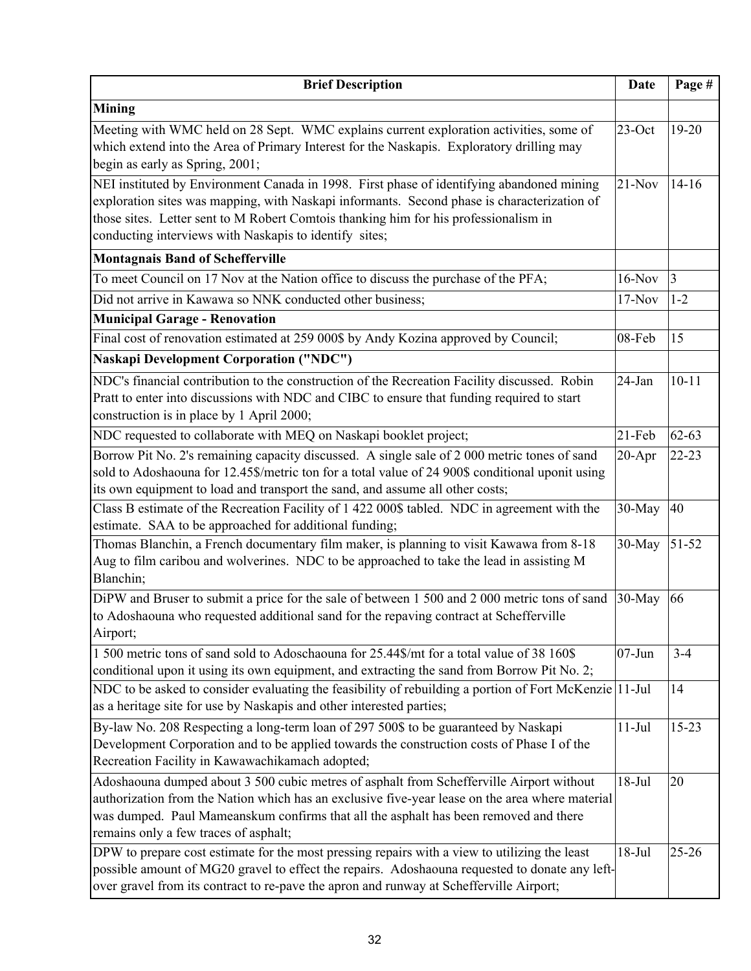| <b>Brief Description</b>                                                                                                                                                                                                                                                                                                                   | <b>Date</b> | Page #    |
|--------------------------------------------------------------------------------------------------------------------------------------------------------------------------------------------------------------------------------------------------------------------------------------------------------------------------------------------|-------------|-----------|
| <b>Mining</b>                                                                                                                                                                                                                                                                                                                              |             |           |
| Meeting with WMC held on 28 Sept. WMC explains current exploration activities, some of<br>which extend into the Area of Primary Interest for the Naskapis. Exploratory drilling may<br>begin as early as Spring, 2001;                                                                                                                     | $23$ -Oct   | 19-20     |
| NEI instituted by Environment Canada in 1998. First phase of identifying abandoned mining<br>exploration sites was mapping, with Naskapi informants. Second phase is characterization of<br>those sites. Letter sent to M Robert Comtois thanking him for his professionalism in<br>conducting interviews with Naskapis to identify sites; | $21-Nov$    | $14 - 16$ |
| <b>Montagnais Band of Schefferville</b>                                                                                                                                                                                                                                                                                                    |             |           |
| To meet Council on 17 Nov at the Nation office to discuss the purchase of the PFA;                                                                                                                                                                                                                                                         | $16-Nov$    | 3         |
| Did not arrive in Kawawa so NNK conducted other business;                                                                                                                                                                                                                                                                                  | $17-Nov$    | $1 - 2$   |
| <b>Municipal Garage - Renovation</b>                                                                                                                                                                                                                                                                                                       |             |           |
| Final cost of renovation estimated at 259 000\$ by Andy Kozina approved by Council;                                                                                                                                                                                                                                                        | 08-Feb      | 15        |
| <b>Naskapi Development Corporation ("NDC")</b>                                                                                                                                                                                                                                                                                             |             |           |
| NDC's financial contribution to the construction of the Recreation Facility discussed. Robin<br>Pratt to enter into discussions with NDC and CIBC to ensure that funding required to start<br>construction is in place by 1 April 2000;                                                                                                    | 24-Jan      | $10 - 11$ |
| NDC requested to collaborate with MEQ on Naskapi booklet project;                                                                                                                                                                                                                                                                          | 21-Feb      | $62 - 63$ |
| Borrow Pit No. 2's remaining capacity discussed. A single sale of 2 000 metric tones of sand<br>sold to Adoshaouna for 12.45\$/metric ton for a total value of 24 900\$ conditional uponit using<br>its own equipment to load and transport the sand, and assume all other costs;                                                          | $20 - Apr$  | $22 - 23$ |
| Class B estimate of the Recreation Facility of 1 422 000\$ tabled. NDC in agreement with the<br>estimate. SAA to be approached for additional funding;                                                                                                                                                                                     | 30-May      | 40        |
| Thomas Blanchin, a French documentary film maker, is planning to visit Kawawa from 8-18<br>Aug to film caribou and wolverines. NDC to be approached to take the lead in assisting M<br>Blanchin;                                                                                                                                           | 30-May      | 51-52     |
| DiPW and Bruser to submit a price for the sale of between 1 500 and 2 000 metric tons of sand<br>to Adoshaouna who requested additional sand for the repaving contract at Schefferville<br>Airport;                                                                                                                                        | 30-May      | 66        |
| 1500 metric tons of sand sold to Adoschaouna for 25.44\$/mt for a total value of 38 160\$<br>conditional upon it using its own equipment, and extracting the sand from Borrow Pit No. 2;                                                                                                                                                   | $07 - Jun$  | $3 - 4$   |
| NDC to be asked to consider evaluating the feasibility of rebuilding a portion of Fort McKenzie   11-Jul<br>as a heritage site for use by Naskapis and other interested parties;                                                                                                                                                           |             | 14        |
| By-law No. 208 Respecting a long-term loan of 297 500\$ to be guaranteed by Naskapi<br>Development Corporation and to be applied towards the construction costs of Phase I of the<br>Recreation Facility in Kawawachikamach adopted;                                                                                                       | $11-Jul$    | $15 - 23$ |
| Adoshaouna dumped about 3 500 cubic metres of asphalt from Schefferville Airport without<br>authorization from the Nation which has an exclusive five-year lease on the area where material<br>was dumped. Paul Mameanskum confirms that all the asphalt has been removed and there<br>remains only a few traces of asphalt;               | $18-Jul$    | 20        |
| DPW to prepare cost estimate for the most pressing repairs with a view to utilizing the least<br>possible amount of MG20 gravel to effect the repairs. Adoshaouna requested to donate any left-<br>over gravel from its contract to re-pave the apron and runway at Schefferville Airport;                                                 | $18-Jul$    | $25 - 26$ |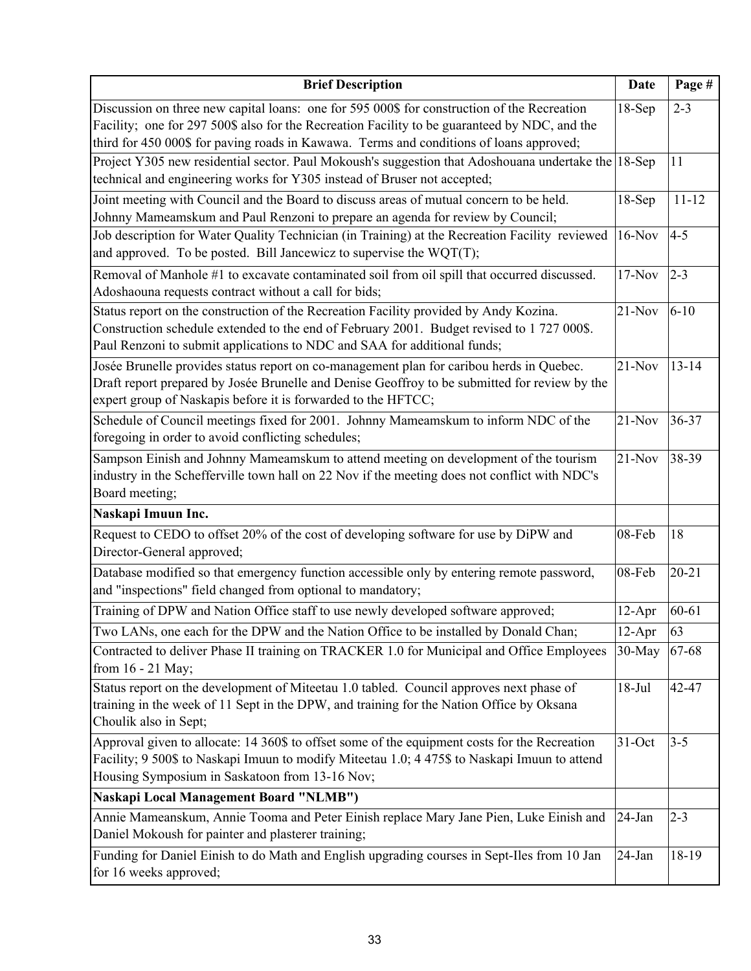| <b>Brief Description</b>                                                                                                                                                                                                                                                                | <b>Date</b> | Page #    |
|-----------------------------------------------------------------------------------------------------------------------------------------------------------------------------------------------------------------------------------------------------------------------------------------|-------------|-----------|
| Discussion on three new capital loans: one for 595 000\$ for construction of the Recreation<br>Facility; one for 297 500\$ also for the Recreation Facility to be guaranteed by NDC, and the<br>third for 450 000\$ for paving roads in Kawawa. Terms and conditions of loans approved; | $18-Sep$    | $2 - 3$   |
| Project Y305 new residential sector. Paul Mokoush's suggestion that Adoshouana undertake the 18-Sep<br>technical and engineering works for Y305 instead of Bruser not accepted;                                                                                                         |             | 11        |
| Joint meeting with Council and the Board to discuss areas of mutual concern to be held.<br>Johnny Mameamskum and Paul Renzoni to prepare an agenda for review by Council;                                                                                                               | $18-Sep$    | $11 - 12$ |
| Job description for Water Quality Technician (in Training) at the Recreation Facility reviewed<br>and approved. To be posted. Bill Jancewicz to supervise the $WQT(T)$ ;                                                                                                                | $16-Nov$    | $4 - 5$   |
| Removal of Manhole #1 to excavate contaminated soil from oil spill that occurred discussed.<br>Adoshaouna requests contract without a call for bids;                                                                                                                                    | $17-Nov$    | $2 - 3$   |
| Status report on the construction of the Recreation Facility provided by Andy Kozina.<br>Construction schedule extended to the end of February 2001. Budget revised to 1727 000\$.<br>Paul Renzoni to submit applications to NDC and SAA for additional funds;                          | $21-Nov$    | $6 - 10$  |
| Josée Brunelle provides status report on co-management plan for caribou herds in Quebec.<br>Draft report prepared by Josée Brunelle and Denise Geoffroy to be submitted for review by the<br>expert group of Naskapis before it is forwarded to the HFTCC;                              | $21-Nov$    | $13 - 14$ |
| Schedule of Council meetings fixed for 2001. Johnny Mameamskum to inform NDC of the<br>foregoing in order to avoid conflicting schedules;                                                                                                                                               | $21-Nov$    | 36-37     |
| Sampson Einish and Johnny Mameamskum to attend meeting on development of the tourism<br>industry in the Schefferville town hall on 22 Nov if the meeting does not conflict with NDC's<br>Board meeting;                                                                                 | $21-Nov$    | 38-39     |
| Naskapi Imuun Inc.                                                                                                                                                                                                                                                                      |             |           |
| Request to CEDO to offset 20% of the cost of developing software for use by DiPW and<br>Director-General approved;                                                                                                                                                                      | 08-Feb      | 18        |
| Database modified so that emergency function accessible only by entering remote password,<br>and "inspections" field changed from optional to mandatory;                                                                                                                                | 08-Feb      | $20 - 21$ |
| Training of DPW and Nation Office staff to use newly developed software approved;                                                                                                                                                                                                       | $12-Apr$    | 60-61     |
| Two LANs, one each for the DPW and the Nation Office to be installed by Donald Chan;                                                                                                                                                                                                    | $12-Apr$    | 63        |
| Contracted to deliver Phase II training on TRACKER 1.0 for Municipal and Office Employees<br>from $16 - 21$ May;                                                                                                                                                                        | 30-May      | 67-68     |
| Status report on the development of Miteetau 1.0 tabled. Council approves next phase of<br>training in the week of 11 Sept in the DPW, and training for the Nation Office by Oksana<br>Choulik also in Sept;                                                                            | $18-Jul$    | 42-47     |
| Approval given to allocate: 14 360\$ to offset some of the equipment costs for the Recreation<br>Facility; 9 500\$ to Naskapi Imuun to modify Miteetau 1.0; 4 475\$ to Naskapi Imuun to attend<br>Housing Symposium in Saskatoon from 13-16 Nov;                                        | 31-Oct      | $3 - 5$   |
| <b>Naskapi Local Management Board "NLMB")</b>                                                                                                                                                                                                                                           |             |           |
| Annie Mameanskum, Annie Tooma and Peter Einish replace Mary Jane Pien, Luke Einish and<br>Daniel Mokoush for painter and plasterer training;                                                                                                                                            | $24$ -Jan   | $2 - 3$   |
| Funding for Daniel Einish to do Math and English upgrading courses in Sept-Iles from 10 Jan<br>for 16 weeks approved;                                                                                                                                                                   | 24-Jan      | 18-19     |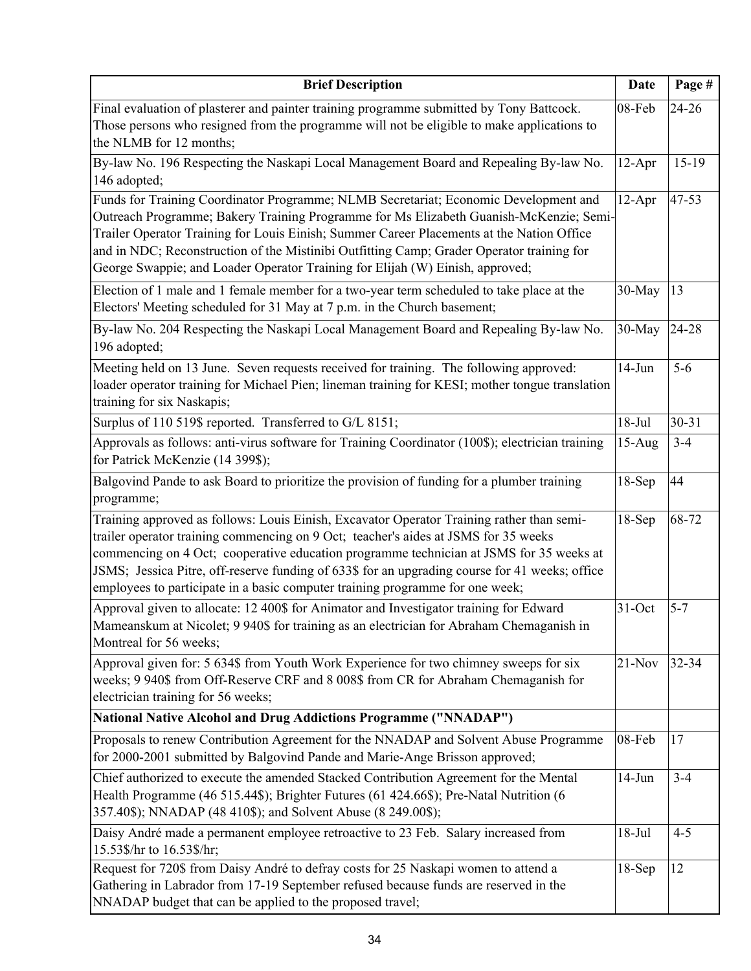| <b>Brief Description</b>                                                                                                                                                                                                                                                                                                                                                                                                                                       | <b>Date</b> | Page #    |
|----------------------------------------------------------------------------------------------------------------------------------------------------------------------------------------------------------------------------------------------------------------------------------------------------------------------------------------------------------------------------------------------------------------------------------------------------------------|-------------|-----------|
| Final evaluation of plasterer and painter training programme submitted by Tony Battcock.<br>Those persons who resigned from the programme will not be eligible to make applications to<br>the NLMB for 12 months;                                                                                                                                                                                                                                              | 08-Feb      | $24 - 26$ |
| By-law No. 196 Respecting the Naskapi Local Management Board and Repealing By-law No.<br>146 adopted;                                                                                                                                                                                                                                                                                                                                                          | $12-Apr$    | $15-19$   |
| Funds for Training Coordinator Programme; NLMB Secretariat; Economic Development and<br>Outreach Programme; Bakery Training Programme for Ms Elizabeth Guanish-McKenzie; Semi-<br>Trailer Operator Training for Louis Einish; Summer Career Placements at the Nation Office<br>and in NDC; Reconstruction of the Mistinibi Outfitting Camp; Grader Operator training for<br>George Swappie; and Loader Operator Training for Elijah (W) Einish, approved;      | $12-Apr$    | 47-53     |
| Election of 1 male and 1 female member for a two-year term scheduled to take place at the<br>Electors' Meeting scheduled for 31 May at 7 p.m. in the Church basement;                                                                                                                                                                                                                                                                                          | 30-May      | 13        |
| By-law No. 204 Respecting the Naskapi Local Management Board and Repealing By-law No.<br>196 adopted;                                                                                                                                                                                                                                                                                                                                                          | 30-May      | 24-28     |
| Meeting held on 13 June. Seven requests received for training. The following approved:<br>loader operator training for Michael Pien; lineman training for KESI; mother tongue translation<br>training for six Naskapis;                                                                                                                                                                                                                                        | $14-Jun$    | $5-6$     |
| Surplus of 110 519\$ reported. Transferred to G/L 8151;                                                                                                                                                                                                                                                                                                                                                                                                        | $18-Jul$    | 30-31     |
| Approvals as follows: anti-virus software for Training Coordinator (100\$); electrician training<br>for Patrick McKenzie (14 399\$);                                                                                                                                                                                                                                                                                                                           | $15-Aug$    | $3 - 4$   |
| Balgovind Pande to ask Board to prioritize the provision of funding for a plumber training<br>programme;                                                                                                                                                                                                                                                                                                                                                       | $18-Sep$    | 44        |
| Training approved as follows: Louis Einish, Excavator Operator Training rather than semi-<br>trailer operator training commencing on 9 Oct; teacher's aides at JSMS for 35 weeks<br>commencing on 4 Oct; cooperative education programme technician at JSMS for 35 weeks at<br>JSMS; Jessica Pitre, off-reserve funding of 633\$ for an upgrading course for 41 weeks; office<br>employees to participate in a basic computer training programme for one week; | $18-Sep$    | 68-72     |
| Approval given to allocate: 12 400\$ for Animator and Investigator training for Edward<br>Mameanskum at Nicolet; 9 940\$ for training as an electrician for Abraham Chemaganish in<br>Montreal for 56 weeks;                                                                                                                                                                                                                                                   | $31-Oct$    | $5 - 7$   |
| Approval given for: 5 634\$ from Youth Work Experience for two chimney sweeps for six<br>weeks; 9 940\$ from Off-Reserve CRF and 8 008\$ from CR for Abraham Chemaganish for<br>electrician training for 56 weeks;                                                                                                                                                                                                                                             | $21-Nov$    | 32-34     |
| <b>National Native Alcohol and Drug Addictions Programme ("NNADAP")</b>                                                                                                                                                                                                                                                                                                                                                                                        |             |           |
| Proposals to renew Contribution Agreement for the NNADAP and Solvent Abuse Programme<br>for 2000-2001 submitted by Balgovind Pande and Marie-Ange Brisson approved;                                                                                                                                                                                                                                                                                            | 08-Feb      | 17        |
| Chief authorized to execute the amended Stacked Contribution Agreement for the Mental<br>Health Programme (46 515.44\$); Brighter Futures (61 424.66\$); Pre-Natal Nutrition (6<br>357.40\$); NNADAP (48 410\$); and Solvent Abuse (8 249.00\$);                                                                                                                                                                                                               | $14-Jun$    | $3 - 4$   |
| Daisy André made a permanent employee retroactive to 23 Feb. Salary increased from<br>15.53\$/hr to 16.53\$/hr;                                                                                                                                                                                                                                                                                                                                                | $18-Jul$    | $4 - 5$   |
| Request for 720\$ from Daisy André to defray costs for 25 Naskapi women to attend a<br>Gathering in Labrador from 17-19 September refused because funds are reserved in the<br>NNADAP budget that can be applied to the proposed travel;                                                                                                                                                                                                                       | $18-Sep$    | 12        |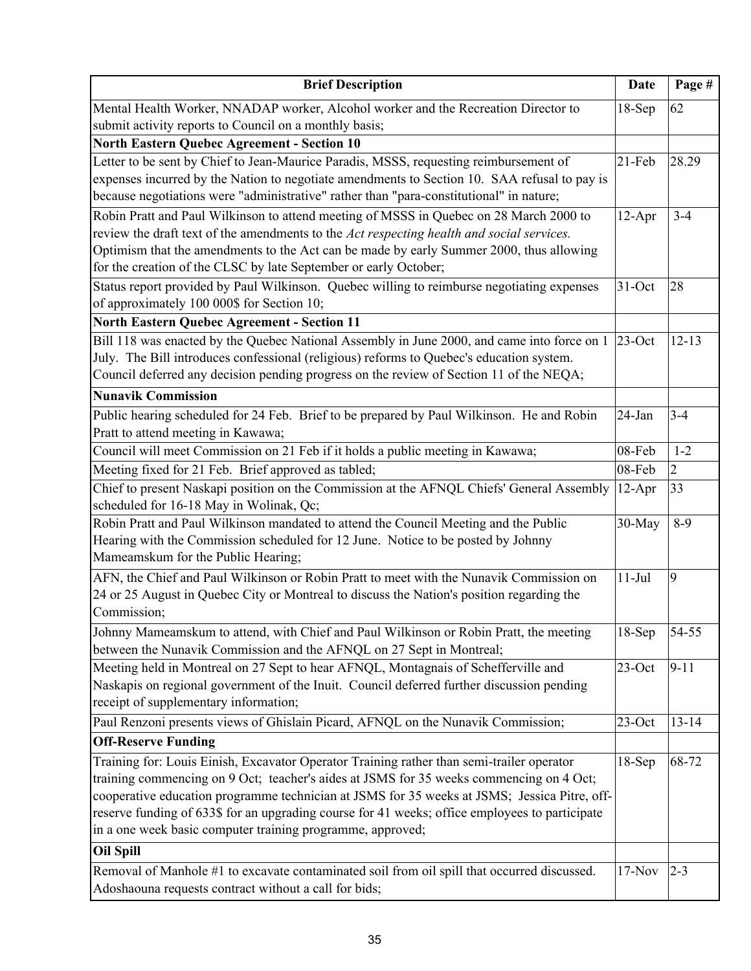| <b>Brief Description</b>                                                                       | <b>Date</b> | Page #         |
|------------------------------------------------------------------------------------------------|-------------|----------------|
| Mental Health Worker, NNADAP worker, Alcohol worker and the Recreation Director to             | $18-Sep$    | 62             |
| submit activity reports to Council on a monthly basis;                                         |             |                |
| <b>North Eastern Quebec Agreement - Section 10</b>                                             |             |                |
| Letter to be sent by Chief to Jean-Maurice Paradis, MSSS, requesting reimbursement of          | $21-Feb$    | 28.29          |
| expenses incurred by the Nation to negotiate amendments to Section 10. SAA refusal to pay is   |             |                |
| because negotiations were "administrative" rather than "para-constitutional" in nature;        |             |                |
| Robin Pratt and Paul Wilkinson to attend meeting of MSSS in Quebec on 28 March 2000 to         | $12-Apr$    | $3 - 4$        |
| review the draft text of the amendments to the Act respecting health and social services.      |             |                |
| Optimism that the amendments to the Act can be made by early Summer 2000, thus allowing        |             |                |
| for the creation of the CLSC by late September or early October;                               |             |                |
| Status report provided by Paul Wilkinson. Quebec willing to reimburse negotiating expenses     | $31-Oct$    | 28             |
| of approximately 100 000\$ for Section 10;                                                     |             |                |
| <b>North Eastern Quebec Agreement - Section 11</b>                                             |             |                |
| Bill 118 was enacted by the Quebec National Assembly in June 2000, and came into force on 1    | $23$ -Oct   | $12 - 13$      |
| July. The Bill introduces confessional (religious) reforms to Quebec's education system.       |             |                |
| Council deferred any decision pending progress on the review of Section 11 of the NEQA;        |             |                |
| <b>Nunavik Commission</b>                                                                      |             |                |
| Public hearing scheduled for 24 Feb. Brief to be prepared by Paul Wilkinson. He and Robin      | 24-Jan      | $3 - 4$        |
| Pratt to attend meeting in Kawawa;                                                             |             |                |
| Council will meet Commission on 21 Feb if it holds a public meeting in Kawawa;                 | 08-Feb      | $1 - 2$        |
| Meeting fixed for 21 Feb. Brief approved as tabled;                                            | 08-Feb      | $\overline{2}$ |
| Chief to present Naskapi position on the Commission at the AFNQL Chiefs' General Assembly      | $12-Apr$    | 33             |
| scheduled for 16-18 May in Wolinak, Qc;                                                        |             |                |
| Robin Pratt and Paul Wilkinson mandated to attend the Council Meeting and the Public           | 30-May      | $8-9$          |
| Hearing with the Commission scheduled for 12 June. Notice to be posted by Johnny               |             |                |
| Mameamskum for the Public Hearing;                                                             |             |                |
| AFN, the Chief and Paul Wilkinson or Robin Pratt to meet with the Nunavik Commission on        | $11-Jul$    | 9              |
| 24 or 25 August in Quebec City or Montreal to discuss the Nation's position regarding the      |             |                |
| Commission;                                                                                    |             |                |
| Johnny Mameamskum to attend, with Chief and Paul Wilkinson or Robin Pratt, the meeting         | $18-Sep$    | 54-55          |
| between the Nunavik Commission and the AFNQL on 27 Sept in Montreal;                           |             |                |
| Meeting held in Montreal on 27 Sept to hear AFNQL, Montagnais of Schefferville and             | $23$ -Oct   | $9 - 11$       |
| Naskapis on regional government of the Inuit. Council deferred further discussion pending      |             |                |
| receipt of supplementary information;                                                          |             |                |
| Paul Renzoni presents views of Ghislain Picard, AFNQL on the Nunavik Commission;               | $23$ -Oct   | $13 - 14$      |
| <b>Off-Reserve Funding</b>                                                                     |             |                |
| Training for: Louis Einish, Excavator Operator Training rather than semi-trailer operator      | 18-Sep      | 68-72          |
| training commencing on 9 Oct; teacher's aides at JSMS for 35 weeks commencing on 4 Oct;        |             |                |
| cooperative education programme technician at JSMS for 35 weeks at JSMS; Jessica Pitre, off-   |             |                |
| reserve funding of 633\$ for an upgrading course for 41 weeks; office employees to participate |             |                |
| in a one week basic computer training programme, approved;                                     |             |                |
| <b>Oil Spill</b>                                                                               |             |                |
| Removal of Manhole #1 to excavate contaminated soil from oil spill that occurred discussed.    | $17-Nov$    | $2 - 3$        |
| Adoshaouna requests contract without a call for bids;                                          |             |                |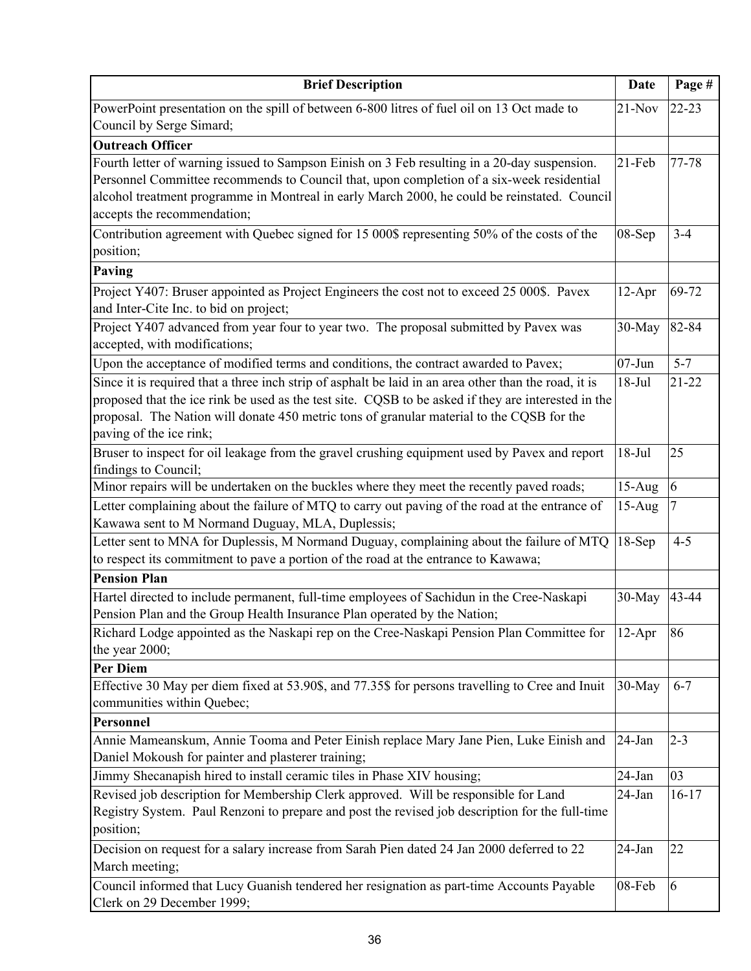| <b>Brief Description</b>                                                                                                | Date       | Page #    |
|-------------------------------------------------------------------------------------------------------------------------|------------|-----------|
| PowerPoint presentation on the spill of between 6-800 litres of fuel oil on 13 Oct made to                              | $21-Nov$   | $22 - 23$ |
| Council by Serge Simard;                                                                                                |            |           |
| <b>Outreach Officer</b>                                                                                                 |            |           |
| Fourth letter of warning issued to Sampson Einish on 3 Feb resulting in a 20-day suspension.                            | 21-Feb     | 77-78     |
| Personnel Committee recommends to Council that, upon completion of a six-week residential                               |            |           |
| alcohol treatment programme in Montreal in early March 2000, he could be reinstated. Council                            |            |           |
| accepts the recommendation;                                                                                             |            |           |
| Contribution agreement with Quebec signed for 15 000\$ representing 50% of the costs of the                             | 08-Sep     | $3 - 4$   |
| position;                                                                                                               |            |           |
| Paving                                                                                                                  |            |           |
| Project Y407: Bruser appointed as Project Engineers the cost not to exceed 25 000\$. Pavex                              | $12-Apr$   | 69-72     |
| and Inter-Cite Inc. to bid on project;                                                                                  |            |           |
| Project Y407 advanced from year four to year two. The proposal submitted by Pavex was                                   | 30-May     | 82-84     |
| accepted, with modifications;                                                                                           |            |           |
| Upon the acceptance of modified terms and conditions, the contract awarded to Pavex;                                    | $07 - Jun$ | $5 - 7$   |
| Since it is required that a three inch strip of asphalt be laid in an area other than the road, it is                   | $18-Jul$   | $21 - 22$ |
| proposed that the ice rink be used as the test site. CQSB to be asked if they are interested in the                     |            |           |
| proposal. The Nation will donate 450 metric tons of granular material to the CQSB for the                               |            |           |
| paving of the ice rink;                                                                                                 |            |           |
| Bruser to inspect for oil leakage from the gravel crushing equipment used by Pavex and report                           | $18-Jul$   | 25        |
| findings to Council;                                                                                                    |            |           |
| Minor repairs will be undertaken on the buckles where they meet the recently paved roads;                               | $15-Aug$   | 6         |
| Letter complaining about the failure of MTQ to carry out paving of the road at the entrance of                          | $15-Aug$   | 7         |
| Kawawa sent to M Normand Duguay, MLA, Duplessis;                                                                        |            |           |
| Letter sent to MNA for Duplessis, M Normand Duguay, complaining about the failure of MTQ                                | $18-Sep$   | $4 - 5$   |
| to respect its commitment to pave a portion of the road at the entrance to Kawawa;                                      |            |           |
| <b>Pension Plan</b>                                                                                                     |            |           |
| Hartel directed to include permanent, full-time employees of Sachidun in the Cree-Naskapi                               | 30-May     | 43-44     |
| Pension Plan and the Group Health Insurance Plan operated by the Nation;                                                |            |           |
| Richard Lodge appointed as the Naskapi rep on the Cree-Naskapi Pension Plan Committee for                               | $12-Apr$   | 86        |
| the year 2000;                                                                                                          |            |           |
| <b>Per Diem</b>                                                                                                         |            |           |
| Effective 30 May per diem fixed at 53.90\$, and 77.35\$ for persons travelling to Cree and Inuit                        | $30-May$   | $6 - 7$   |
| communities within Quebec;                                                                                              |            |           |
| <b>Personnel</b>                                                                                                        |            |           |
| Annie Mameanskum, Annie Tooma and Peter Einish replace Mary Jane Pien, Luke Einish and                                  | 24-Jan     | $2 - 3$   |
| Daniel Mokoush for painter and plasterer training;                                                                      |            |           |
| Jimmy Shecanapish hired to install ceramic tiles in Phase XIV housing;                                                  | $24$ -Jan  | 03        |
| Revised job description for Membership Clerk approved. Will be responsible for Land                                     | 24-Jan     | $16-17$   |
| Registry System. Paul Renzoni to prepare and post the revised job description for the full-time                         |            |           |
| position;                                                                                                               |            |           |
| Decision on request for a salary increase from Sarah Pien dated 24 Jan 2000 deferred to 22                              | 24-Jan     | 22        |
| March meeting;                                                                                                          |            |           |
| Council informed that Lucy Guanish tendered her resignation as part-time Accounts Payable<br>Clerk on 29 December 1999; | 08-Feb     | 6         |
|                                                                                                                         |            |           |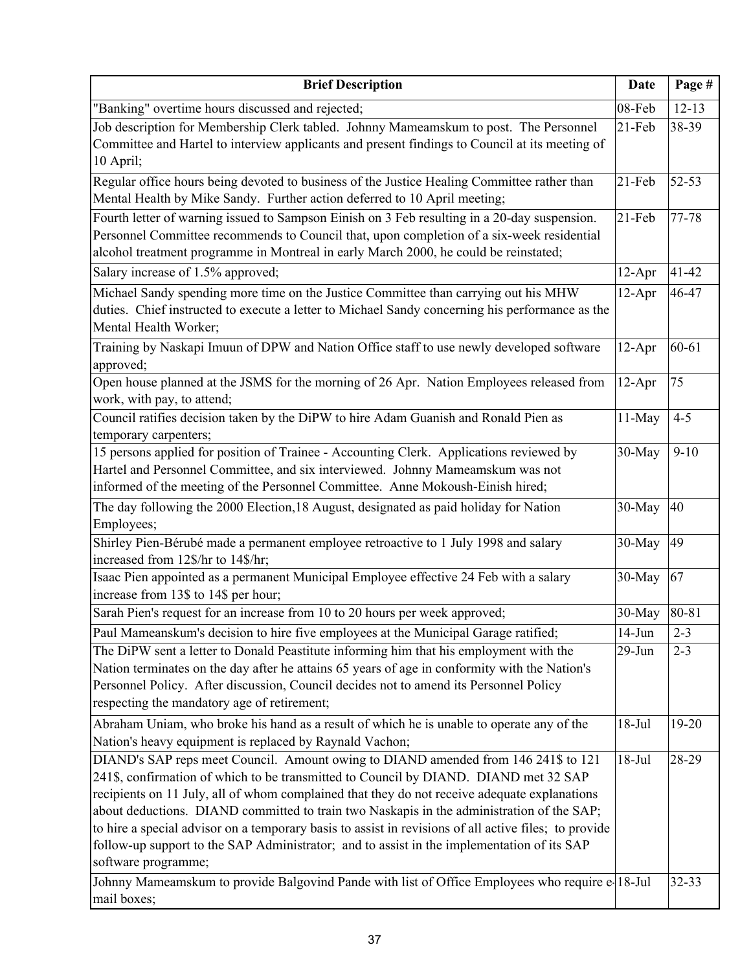| <b>Brief Description</b>                                                                                                                                                                                                                                                                                                                                                                                                                                                                                                                                                                              | <b>Date</b> | Page #    |
|-------------------------------------------------------------------------------------------------------------------------------------------------------------------------------------------------------------------------------------------------------------------------------------------------------------------------------------------------------------------------------------------------------------------------------------------------------------------------------------------------------------------------------------------------------------------------------------------------------|-------------|-----------|
| "Banking" overtime hours discussed and rejected;                                                                                                                                                                                                                                                                                                                                                                                                                                                                                                                                                      | 08-Feb      | $12 - 13$ |
| Job description for Membership Clerk tabled. Johnny Mameamskum to post. The Personnel<br>Committee and Hartel to interview applicants and present findings to Council at its meeting of<br>10 April;                                                                                                                                                                                                                                                                                                                                                                                                  | $21-Feb$    | 38-39     |
| Regular office hours being devoted to business of the Justice Healing Committee rather than<br>Mental Health by Mike Sandy. Further action deferred to 10 April meeting;                                                                                                                                                                                                                                                                                                                                                                                                                              | $21-Feb$    | 52-53     |
| Fourth letter of warning issued to Sampson Einish on 3 Feb resulting in a 20-day suspension.<br>Personnel Committee recommends to Council that, upon completion of a six-week residential<br>alcohol treatment programme in Montreal in early March 2000, he could be reinstated;                                                                                                                                                                                                                                                                                                                     | $21-Feb$    | 77-78     |
| Salary increase of 1.5% approved;                                                                                                                                                                                                                                                                                                                                                                                                                                                                                                                                                                     | $12-Apr$    | $41 - 42$ |
| Michael Sandy spending more time on the Justice Committee than carrying out his MHW<br>duties. Chief instructed to execute a letter to Michael Sandy concerning his performance as the<br>Mental Health Worker;                                                                                                                                                                                                                                                                                                                                                                                       | $12-Apr$    | 46-47     |
| Training by Naskapi Imuun of DPW and Nation Office staff to use newly developed software<br>approved;                                                                                                                                                                                                                                                                                                                                                                                                                                                                                                 | $12-Apr$    | $60 - 61$ |
| Open house planned at the JSMS for the morning of 26 Apr. Nation Employees released from<br>work, with pay, to attend;                                                                                                                                                                                                                                                                                                                                                                                                                                                                                | $12-Apr$    | 75        |
| Council ratifies decision taken by the DiPW to hire Adam Guanish and Ronald Pien as<br>temporary carpenters;                                                                                                                                                                                                                                                                                                                                                                                                                                                                                          | 11-May      | $4 - 5$   |
| 15 persons applied for position of Trainee - Accounting Clerk. Applications reviewed by<br>Hartel and Personnel Committee, and six interviewed. Johnny Mameamskum was not<br>informed of the meeting of the Personnel Committee. Anne Mokoush-Einish hired;                                                                                                                                                                                                                                                                                                                                           | 30-May      | $9 - 10$  |
| The day following the 2000 Election, 18 August, designated as paid holiday for Nation<br>Employees;                                                                                                                                                                                                                                                                                                                                                                                                                                                                                                   | 30-May      | 40        |
| Shirley Pien-Bérubé made a permanent employee retroactive to 1 July 1998 and salary<br>increased from 12\$/hr to 14\$/hr;                                                                                                                                                                                                                                                                                                                                                                                                                                                                             | 30-May      | 49        |
| Isaac Pien appointed as a permanent Municipal Employee effective 24 Feb with a salary<br>increase from 13\$ to 14\$ per hour;                                                                                                                                                                                                                                                                                                                                                                                                                                                                         | 30-May      | 67        |
| Sarah Pien's request for an increase from 10 to 20 hours per week approved;                                                                                                                                                                                                                                                                                                                                                                                                                                                                                                                           | 30-May      | 80-81     |
| Paul Mameanskum's decision to hire five employees at the Municipal Garage ratified;                                                                                                                                                                                                                                                                                                                                                                                                                                                                                                                   | $14$ -Jun   | $2 - 3$   |
| The DiPW sent a letter to Donald Peastitute informing him that his employment with the<br>Nation terminates on the day after he attains 65 years of age in conformity with the Nation's<br>Personnel Policy. After discussion, Council decides not to amend its Personnel Policy<br>respecting the mandatory age of retirement;                                                                                                                                                                                                                                                                       | $29$ -Jun   | $2 - 3$   |
| Abraham Uniam, who broke his hand as a result of which he is unable to operate any of the<br>Nation's heavy equipment is replaced by Raynald Vachon;                                                                                                                                                                                                                                                                                                                                                                                                                                                  | $18-Jul$    | 19-20     |
| DIAND's SAP reps meet Council. Amount owing to DIAND amended from 146 241\$ to 121<br>241\$, confirmation of which to be transmitted to Council by DIAND. DIAND met 32 SAP<br>recipients on 11 July, all of whom complained that they do not receive adequate explanations<br>about deductions. DIAND committed to train two Naskapis in the administration of the SAP;<br>to hire a special advisor on a temporary basis to assist in revisions of all active files; to provide<br>follow-up support to the SAP Administrator; and to assist in the implementation of its SAP<br>software programme; | $18-Jul$    | 28-29     |
| Johnny Mameamskum to provide Balgovind Pande with list of Office Employees who require e 18-Jul<br>mail boxes;                                                                                                                                                                                                                                                                                                                                                                                                                                                                                        |             | 32-33     |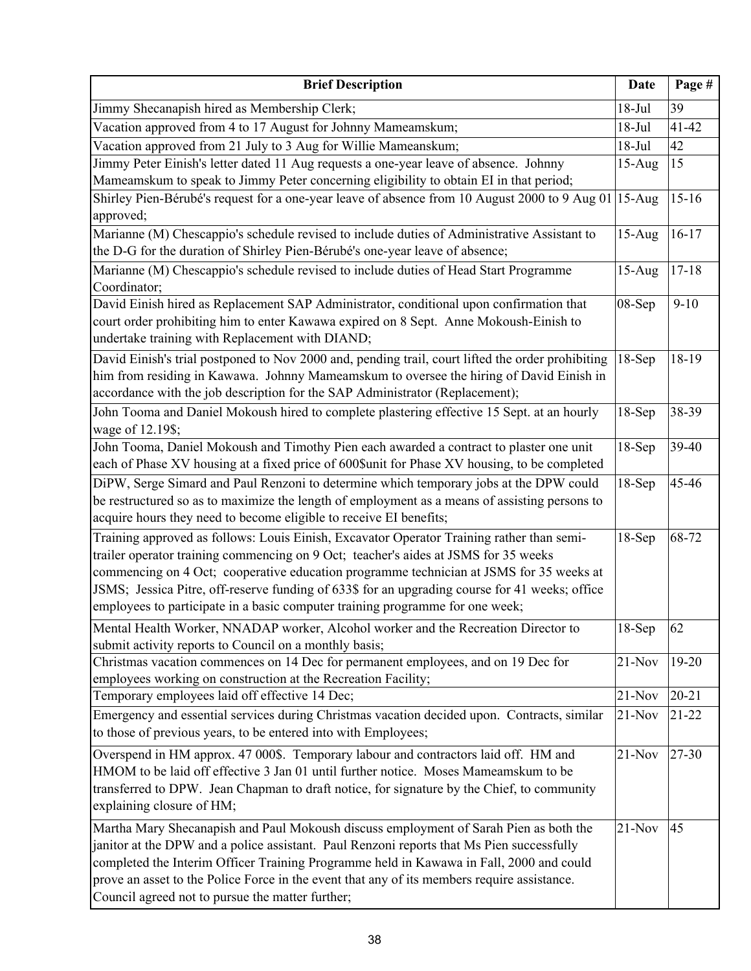| <b>Brief Description</b>                                                                                                                                                                                                                                                                                                                                                                                                                                       | Date     | Page #    |
|----------------------------------------------------------------------------------------------------------------------------------------------------------------------------------------------------------------------------------------------------------------------------------------------------------------------------------------------------------------------------------------------------------------------------------------------------------------|----------|-----------|
| Jimmy Shecanapish hired as Membership Clerk;                                                                                                                                                                                                                                                                                                                                                                                                                   | $18-Jul$ | 39        |
| Vacation approved from 4 to 17 August for Johnny Mameamskum;                                                                                                                                                                                                                                                                                                                                                                                                   | $18-Jul$ | $41 - 42$ |
| Vacation approved from 21 July to 3 Aug for Willie Mameanskum;                                                                                                                                                                                                                                                                                                                                                                                                 | $18-Jul$ | 42        |
| Jimmy Peter Einish's letter dated 11 Aug requests a one-year leave of absence. Johnny                                                                                                                                                                                                                                                                                                                                                                          | $15-Aug$ | 15        |
| Mameamskum to speak to Jimmy Peter concerning eligibility to obtain EI in that period;                                                                                                                                                                                                                                                                                                                                                                         |          |           |
| Shirley Pien-Bérubé's request for a one-year leave of absence from 10 August 2000 to 9 Aug 01<br>approved;                                                                                                                                                                                                                                                                                                                                                     | $15-Aug$ | $15 - 16$ |
| Marianne (M) Chescappio's schedule revised to include duties of Administrative Assistant to                                                                                                                                                                                                                                                                                                                                                                    | $15-Aug$ | $16-17$   |
| the D-G for the duration of Shirley Pien-Bérubé's one-year leave of absence;                                                                                                                                                                                                                                                                                                                                                                                   |          |           |
| Marianne (M) Chescappio's schedule revised to include duties of Head Start Programme<br>Coordinator;                                                                                                                                                                                                                                                                                                                                                           | $15-Aug$ | $17 - 18$ |
| David Einish hired as Replacement SAP Administrator, conditional upon confirmation that<br>court order prohibiting him to enter Kawawa expired on 8 Sept. Anne Mokoush-Einish to<br>undertake training with Replacement with DIAND;                                                                                                                                                                                                                            | 08-Sep   | $9 - 10$  |
| David Einish's trial postponed to Nov 2000 and, pending trail, court lifted the order prohibiting<br>him from residing in Kawawa. Johnny Mameamskum to oversee the hiring of David Einish in<br>accordance with the job description for the SAP Administrator (Replacement);                                                                                                                                                                                   | $18-Sep$ | 18-19     |
| John Tooma and Daniel Mokoush hired to complete plastering effective 15 Sept. at an hourly<br>wage of 12.19\$;                                                                                                                                                                                                                                                                                                                                                 | $18-Sep$ | 38-39     |
| John Tooma, Daniel Mokoush and Timothy Pien each awarded a contract to plaster one unit                                                                                                                                                                                                                                                                                                                                                                        | $18-Sep$ | 39-40     |
| each of Phase XV housing at a fixed price of 600\$unit for Phase XV housing, to be completed                                                                                                                                                                                                                                                                                                                                                                   |          |           |
| DiPW, Serge Simard and Paul Renzoni to determine which temporary jobs at the DPW could<br>be restructured so as to maximize the length of employment as a means of assisting persons to<br>acquire hours they need to become eligible to receive EI benefits;                                                                                                                                                                                                  | $18-Sep$ | 45-46     |
| Training approved as follows: Louis Einish, Excavator Operator Training rather than semi-<br>trailer operator training commencing on 9 Oct; teacher's aides at JSMS for 35 weeks<br>commencing on 4 Oct; cooperative education programme technician at JSMS for 35 weeks at<br>JSMS; Jessica Pitre, off-reserve funding of 633\$ for an upgrading course for 41 weeks; office<br>employees to participate in a basic computer training programme for one week; | $18-Sep$ | 68-72     |
| Mental Health Worker, NNADAP worker, Alcohol worker and the Recreation Director to<br>submit activity reports to Council on a monthly basis;                                                                                                                                                                                                                                                                                                                   | $18-Sep$ | 62        |
| Christmas vacation commences on 14 Dec for permanent employees, and on 19 Dec for<br>employees working on construction at the Recreation Facility;                                                                                                                                                                                                                                                                                                             | $21-Nov$ | $19 - 20$ |
| Temporary employees laid off effective 14 Dec;                                                                                                                                                                                                                                                                                                                                                                                                                 | $21-Nov$ | $20 - 21$ |
| Emergency and essential services during Christmas vacation decided upon. Contracts, similar<br>to those of previous years, to be entered into with Employees;                                                                                                                                                                                                                                                                                                  | $21-Nov$ | $21 - 22$ |
| Overspend in HM approx. 47 000\$. Temporary labour and contractors laid off. HM and<br>HMOM to be laid off effective 3 Jan 01 until further notice. Moses Mameamskum to be<br>transferred to DPW. Jean Chapman to draft notice, for signature by the Chief, to community<br>explaining closure of HM;                                                                                                                                                          | $21-Nov$ | 27-30     |
| Martha Mary Shecanapish and Paul Mokoush discuss employment of Sarah Pien as both the<br>janitor at the DPW and a police assistant. Paul Renzoni reports that Ms Pien successfully<br>completed the Interim Officer Training Programme held in Kawawa in Fall, 2000 and could<br>prove an asset to the Police Force in the event that any of its members require assistance.<br>Council agreed not to pursue the matter further;                               | $21-Nov$ | 45        |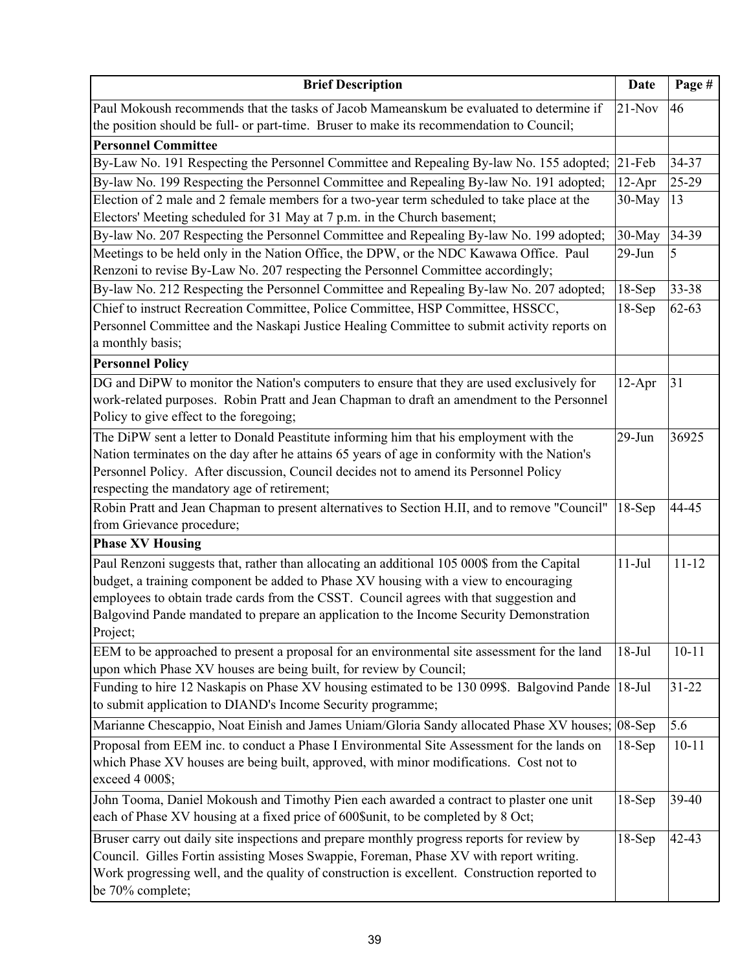| <b>Brief Description</b>                                                                                                                                                            | <b>Date</b> | Page #    |
|-------------------------------------------------------------------------------------------------------------------------------------------------------------------------------------|-------------|-----------|
| Paul Mokoush recommends that the tasks of Jacob Mameanskum be evaluated to determine if<br>the position should be full- or part-time. Bruser to make its recommendation to Council; | $21-Nov$    | 46        |
| <b>Personnel Committee</b>                                                                                                                                                          |             |           |
| By-Law No. 191 Respecting the Personnel Committee and Repealing By-law No. 155 adopted;                                                                                             | $21$ -Feb   | 34-37     |
| By-law No. 199 Respecting the Personnel Committee and Repealing By-law No. 191 adopted;                                                                                             | $12-Apr$    | 25-29     |
| Election of 2 male and 2 female members for a two-year term scheduled to take place at the                                                                                          | 30-May      | 13        |
| Electors' Meeting scheduled for 31 May at 7 p.m. in the Church basement;                                                                                                            |             |           |
| By-law No. 207 Respecting the Personnel Committee and Repealing By-law No. 199 adopted;                                                                                             | 30-May      | 34-39     |
| Meetings to be held only in the Nation Office, the DPW, or the NDC Kawawa Office. Paul                                                                                              | $29$ -Jun   | 5         |
| Renzoni to revise By-Law No. 207 respecting the Personnel Committee accordingly;                                                                                                    |             |           |
| By-law No. 212 Respecting the Personnel Committee and Repealing By-law No. 207 adopted;                                                                                             | $18-Sep$    | 33-38     |
| Chief to instruct Recreation Committee, Police Committee, HSP Committee, HSSCC,                                                                                                     | $18-Sep$    | $62 - 63$ |
| Personnel Committee and the Naskapi Justice Healing Committee to submit activity reports on                                                                                         |             |           |
| a monthly basis;                                                                                                                                                                    |             |           |
| <b>Personnel Policy</b>                                                                                                                                                             |             |           |
| DG and DiPW to monitor the Nation's computers to ensure that they are used exclusively for                                                                                          | $12-Apr$    | 31        |
| work-related purposes. Robin Pratt and Jean Chapman to draft an amendment to the Personnel<br>Policy to give effect to the foregoing;                                               |             |           |
| The DiPW sent a letter to Donald Peastitute informing him that his employment with the                                                                                              | $29-Jun$    | 36925     |
| Nation terminates on the day after he attains 65 years of age in conformity with the Nation's                                                                                       |             |           |
| Personnel Policy. After discussion, Council decides not to amend its Personnel Policy                                                                                               |             |           |
| respecting the mandatory age of retirement;                                                                                                                                         |             |           |
| Robin Pratt and Jean Chapman to present alternatives to Section H.II, and to remove "Council"                                                                                       | $18-Sep$    | 44-45     |
| from Grievance procedure;                                                                                                                                                           |             |           |
| <b>Phase XV Housing</b>                                                                                                                                                             |             |           |
| Paul Renzoni suggests that, rather than allocating an additional 105 000\$ from the Capital                                                                                         | $11-Jul$    | $11 - 12$ |
| budget, a training component be added to Phase XV housing with a view to encouraging                                                                                                |             |           |
| employees to obtain trade cards from the CSST. Council agrees with that suggestion and                                                                                              |             |           |
| Balgovind Pande mandated to prepare an application to the Income Security Demonstration                                                                                             |             |           |
| Project;                                                                                                                                                                            |             |           |
| EEM to be approached to present a proposal for an environmental site assessment for the land                                                                                        | $18-Jul$    | $10 - 11$ |
| upon which Phase XV houses are being built, for review by Council;                                                                                                                  |             |           |
| Funding to hire 12 Naskapis on Phase XV housing estimated to be 130 099\$. Balgovind Pande                                                                                          | $18-Jul$    | $31 - 22$ |
| to submit application to DIAND's Income Security programme;                                                                                                                         |             |           |
| Marianne Chescappio, Noat Einish and James Uniam/Gloria Sandy allocated Phase XV houses; 08-Sep                                                                                     |             | 5.6       |
| Proposal from EEM inc. to conduct a Phase I Environmental Site Assessment for the lands on                                                                                          | $18-Sep$    | $10 - 11$ |
| which Phase XV houses are being built, approved, with minor modifications. Cost not to                                                                                              |             |           |
| exceed 4 000\$;                                                                                                                                                                     |             |           |
| John Tooma, Daniel Mokoush and Timothy Pien each awarded a contract to plaster one unit                                                                                             | $18-Sep$    | 39-40     |
| each of Phase XV housing at a fixed price of 600\$unit, to be completed by 8 Oct;                                                                                                   |             |           |
| Bruser carry out daily site inspections and prepare monthly progress reports for review by                                                                                          | $18-Sep$    | $42 - 43$ |
| Council. Gilles Fortin assisting Moses Swappie, Foreman, Phase XV with report writing.                                                                                              |             |           |
| Work progressing well, and the quality of construction is excellent. Construction reported to                                                                                       |             |           |
| be 70% complete;                                                                                                                                                                    |             |           |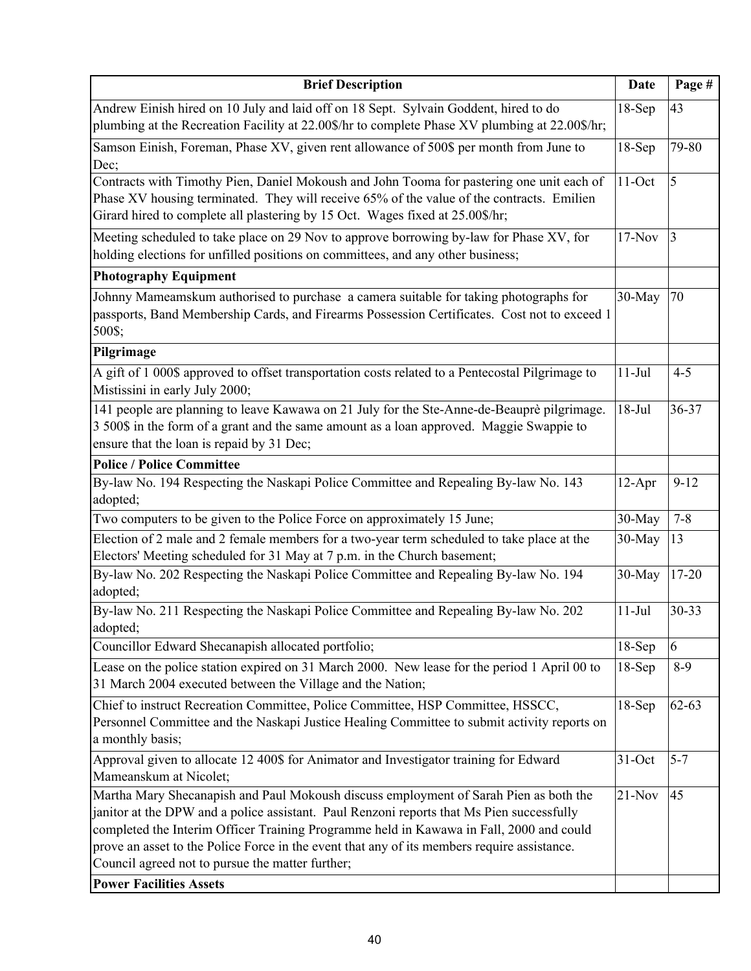| <b>Brief Description</b>                                                                                                                                                                                                                                                                                                                                                                                                                                           | <b>Date</b> | Page #    |
|--------------------------------------------------------------------------------------------------------------------------------------------------------------------------------------------------------------------------------------------------------------------------------------------------------------------------------------------------------------------------------------------------------------------------------------------------------------------|-------------|-----------|
| Andrew Einish hired on 10 July and laid off on 18 Sept. Sylvain Goddent, hired to do<br>plumbing at the Recreation Facility at 22.00\$/hr to complete Phase XV plumbing at 22.00\$/hr;                                                                                                                                                                                                                                                                             | $18-Sep$    | 43        |
| Samson Einish, Foreman, Phase XV, given rent allowance of 500\$ per month from June to<br>Dec;                                                                                                                                                                                                                                                                                                                                                                     | $18-Sep$    | 79-80     |
| Contracts with Timothy Pien, Daniel Mokoush and John Tooma for pastering one unit each of<br>Phase XV housing terminated. They will receive 65% of the value of the contracts. Emilien<br>Girard hired to complete all plastering by 15 Oct. Wages fixed at 25.00\$/hr;                                                                                                                                                                                            | $11-Oct$    | 5         |
| Meeting scheduled to take place on 29 Nov to approve borrowing by-law for Phase XV, for<br>holding elections for unfilled positions on committees, and any other business;                                                                                                                                                                                                                                                                                         | $17-Nov$    | 3         |
| <b>Photography Equipment</b>                                                                                                                                                                                                                                                                                                                                                                                                                                       |             |           |
| Johnny Mameamskum authorised to purchase a camera suitable for taking photographs for<br>passports, Band Membership Cards, and Firearms Possession Certificates. Cost not to exceed 1<br>500\$;                                                                                                                                                                                                                                                                    | 30-May      | 70        |
| Pilgrimage                                                                                                                                                                                                                                                                                                                                                                                                                                                         |             |           |
| A gift of 1 000\$ approved to offset transportation costs related to a Pentecostal Pilgrimage to<br>Mistissini in early July 2000;                                                                                                                                                                                                                                                                                                                                 | $11-Jul$    | $4 - 5$   |
| 141 people are planning to leave Kawawa on 21 July for the Ste-Anne-de-Beauprè pilgrimage.<br>3 500\$ in the form of a grant and the same amount as a loan approved. Maggie Swappie to<br>ensure that the loan is repaid by 31 Dec;                                                                                                                                                                                                                                | $18-Jul$    | 36-37     |
| <b>Police / Police Committee</b>                                                                                                                                                                                                                                                                                                                                                                                                                                   |             |           |
| By-law No. 194 Respecting the Naskapi Police Committee and Repealing By-law No. 143<br>adopted;                                                                                                                                                                                                                                                                                                                                                                    | $12-Apr$    | $9 - 12$  |
| Two computers to be given to the Police Force on approximately 15 June;                                                                                                                                                                                                                                                                                                                                                                                            | 30-May      | $7 - 8$   |
| Election of 2 male and 2 female members for a two-year term scheduled to take place at the<br>Electors' Meeting scheduled for 31 May at 7 p.m. in the Church basement;                                                                                                                                                                                                                                                                                             | 30-May      | 13        |
| By-law No. 202 Respecting the Naskapi Police Committee and Repealing By-law No. 194<br>adopted;                                                                                                                                                                                                                                                                                                                                                                    | 30-May      | $17 - 20$ |
| By-law No. 211 Respecting the Naskapi Police Committee and Repealing By-law No. 202<br>adopted;                                                                                                                                                                                                                                                                                                                                                                    | $11-Jul$    | $30 - 33$ |
| Councillor Edward Shecanapish allocated portfolio;                                                                                                                                                                                                                                                                                                                                                                                                                 | $18-Sep$    | 6         |
| Lease on the police station expired on 31 March 2000. New lease for the period 1 April 00 to<br>31 March 2004 executed between the Village and the Nation;                                                                                                                                                                                                                                                                                                         | $18-Sep$    | $8-9$     |
| Chief to instruct Recreation Committee, Police Committee, HSP Committee, HSSCC,<br>Personnel Committee and the Naskapi Justice Healing Committee to submit activity reports on<br>a monthly basis;                                                                                                                                                                                                                                                                 | $18-Sep$    | $62 - 63$ |
| Approval given to allocate 12 400\$ for Animator and Investigator training for Edward<br>Mameanskum at Nicolet;                                                                                                                                                                                                                                                                                                                                                    | $31-Oct$    | $5 - 7$   |
| Martha Mary Shecanapish and Paul Mokoush discuss employment of Sarah Pien as both the<br>janitor at the DPW and a police assistant. Paul Renzoni reports that Ms Pien successfully<br>completed the Interim Officer Training Programme held in Kawawa in Fall, 2000 and could<br>prove an asset to the Police Force in the event that any of its members require assistance.<br>Council agreed not to pursue the matter further;<br><b>Power Facilities Assets</b> | $21-Nov$    | 45        |
|                                                                                                                                                                                                                                                                                                                                                                                                                                                                    |             |           |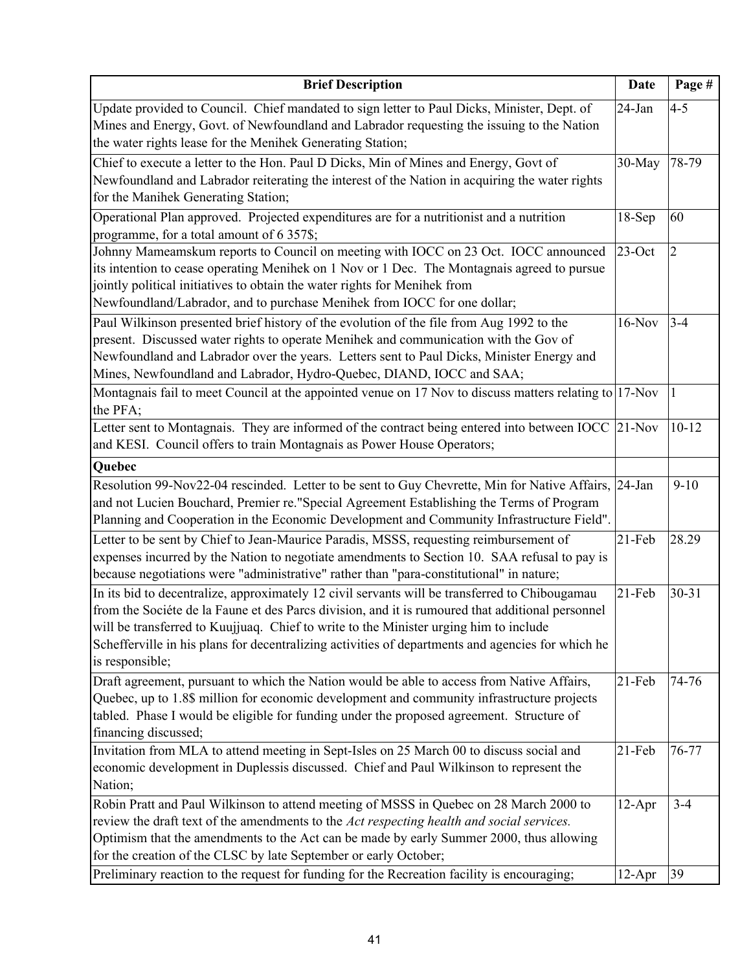| <b>Brief Description</b>                                                                                                                                                                                                                                                                                                                                                                                                                | <b>Date</b>           | Page #                    |
|-----------------------------------------------------------------------------------------------------------------------------------------------------------------------------------------------------------------------------------------------------------------------------------------------------------------------------------------------------------------------------------------------------------------------------------------|-----------------------|---------------------------|
| Update provided to Council. Chief mandated to sign letter to Paul Dicks, Minister, Dept. of<br>Mines and Energy, Govt. of Newfoundland and Labrador requesting the issuing to the Nation<br>the water rights lease for the Menihek Generating Station;                                                                                                                                                                                  | 24-Jan                | $4 - 5$                   |
| Chief to execute a letter to the Hon. Paul D Dicks, Min of Mines and Energy, Govt of<br>Newfoundland and Labrador reiterating the interest of the Nation in acquiring the water rights<br>for the Manihek Generating Station;                                                                                                                                                                                                           | 30-May                | 78-79                     |
| Operational Plan approved. Projected expenditures are for a nutritionist and a nutrition<br>programme, for a total amount of 6 357\$;                                                                                                                                                                                                                                                                                                   | $18-Sep$              | 60                        |
| Johnny Mameamskum reports to Council on meeting with IOCC on 23 Oct. IOCC announced<br>its intention to cease operating Menihek on 1 Nov or 1 Dec. The Montagnais agreed to pursue<br>jointly political initiatives to obtain the water rights for Menihek from<br>Newfoundland/Labrador, and to purchase Menihek from IOCC for one dollar;<br>Paul Wilkinson presented brief history of the evolution of the file from Aug 1992 to the | $23$ -Oct<br>$16-Nov$ | $\overline{2}$<br>$3 - 4$ |
| present. Discussed water rights to operate Menihek and communication with the Gov of<br>Newfoundland and Labrador over the years. Letters sent to Paul Dicks, Minister Energy and<br>Mines, Newfoundland and Labrador, Hydro-Quebec, DIAND, IOCC and SAA;                                                                                                                                                                               |                       |                           |
| Montagnais fail to meet Council at the appointed venue on 17 Nov to discuss matters relating to $ 17$ -Nov<br>the PFA;                                                                                                                                                                                                                                                                                                                  |                       | $\mathbf{1}$              |
| Letter sent to Montagnais. They are informed of the contract being entered into between IOCC<br>and KESI. Council offers to train Montagnais as Power House Operators;                                                                                                                                                                                                                                                                  | $21-Nov$              | $10 - 12$                 |
| Quebec                                                                                                                                                                                                                                                                                                                                                                                                                                  |                       |                           |
| Resolution 99-Nov22-04 rescinded. Letter to be sent to Guy Chevrette, Min for Native Affairs, 24-Jan<br>and not Lucien Bouchard, Premier re."Special Agreement Establishing the Terms of Program<br>Planning and Cooperation in the Economic Development and Community Infrastructure Field".                                                                                                                                           |                       | $9-10$                    |
| Letter to be sent by Chief to Jean-Maurice Paradis, MSSS, requesting reimbursement of<br>expenses incurred by the Nation to negotiate amendments to Section 10. SAA refusal to pay is<br>because negotiations were "administrative" rather than "para-constitutional" in nature;                                                                                                                                                        | $21-Feb$              | 28.29                     |
| In its bid to decentralize, approximately 12 civil servants will be transferred to Chibougamau<br>from the Sociéte de la Faune et des Parcs division, and it is rumoured that additional personnel<br>will be transferred to Kuujjuaq. Chief to write to the Minister urging him to include<br>Schefferville in his plans for decentralizing activities of departments and agencies for which he<br>is responsible;                     | 21-Feb                | $30 - 31$                 |
| Draft agreement, pursuant to which the Nation would be able to access from Native Affairs,<br>Quebec, up to 1.8\$ million for economic development and community infrastructure projects<br>tabled. Phase I would be eligible for funding under the proposed agreement. Structure of<br>financing discussed;                                                                                                                            | 21-Feb                | 74-76                     |
| Invitation from MLA to attend meeting in Sept-Isles on 25 March 00 to discuss social and<br>economic development in Duplessis discussed. Chief and Paul Wilkinson to represent the<br>Nation;                                                                                                                                                                                                                                           | 21-Feb                | 76-77                     |
| Robin Pratt and Paul Wilkinson to attend meeting of MSSS in Quebec on 28 March 2000 to<br>review the draft text of the amendments to the Act respecting health and social services.<br>Optimism that the amendments to the Act can be made by early Summer 2000, thus allowing<br>for the creation of the CLSC by late September or early October;                                                                                      | $12-Apr$              | $3 - 4$                   |
| Preliminary reaction to the request for funding for the Recreation facility is encouraging;                                                                                                                                                                                                                                                                                                                                             | $12-Apr$              | 39                        |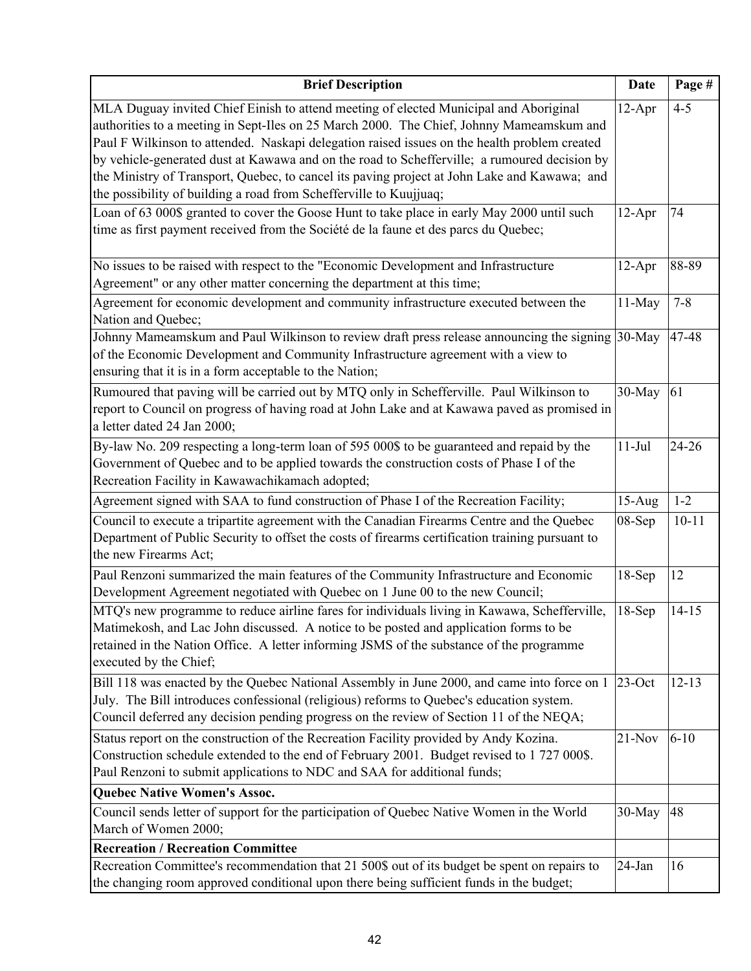| <b>Brief Description</b>                                                                                                                                                                                                                                                                                                                                                                                                                                                                                                                                | <b>Date</b> | Page #    |
|---------------------------------------------------------------------------------------------------------------------------------------------------------------------------------------------------------------------------------------------------------------------------------------------------------------------------------------------------------------------------------------------------------------------------------------------------------------------------------------------------------------------------------------------------------|-------------|-----------|
| MLA Duguay invited Chief Einish to attend meeting of elected Municipal and Aboriginal<br>authorities to a meeting in Sept-Iles on 25 March 2000. The Chief, Johnny Mameamskum and<br>Paul F Wilkinson to attended. Naskapi delegation raised issues on the health problem created<br>by vehicle-generated dust at Kawawa and on the road to Schefferville; a rumoured decision by<br>the Ministry of Transport, Quebec, to cancel its paving project at John Lake and Kawawa; and<br>the possibility of building a road from Schefferville to Kuujjuaq; | $12-Apr$    | $4 - 5$   |
| Loan of 63 000\$ granted to cover the Goose Hunt to take place in early May 2000 until such<br>time as first payment received from the Société de la faune et des parcs du Quebec;                                                                                                                                                                                                                                                                                                                                                                      | $12-Apr$    | 74        |
| No issues to be raised with respect to the "Economic Development and Infrastructure<br>Agreement" or any other matter concerning the department at this time;                                                                                                                                                                                                                                                                                                                                                                                           | $12-Apr$    | 88-89     |
| Agreement for economic development and community infrastructure executed between the<br>Nation and Quebec;                                                                                                                                                                                                                                                                                                                                                                                                                                              | $11-May$    | $7 - 8$   |
| Johnny Mameamskum and Paul Wilkinson to review draft press release announcing the signing<br>of the Economic Development and Community Infrastructure agreement with a view to<br>ensuring that it is in a form acceptable to the Nation;                                                                                                                                                                                                                                                                                                               | 30-May      | 47-48     |
| Rumoured that paving will be carried out by MTQ only in Schefferville. Paul Wilkinson to<br>report to Council on progress of having road at John Lake and at Kawawa paved as promised in<br>a letter dated 24 Jan 2000;                                                                                                                                                                                                                                                                                                                                 | 30-May      | 61        |
| By-law No. 209 respecting a long-term loan of 595 000\$ to be guaranteed and repaid by the<br>Government of Quebec and to be applied towards the construction costs of Phase I of the<br>Recreation Facility in Kawawachikamach adopted;                                                                                                                                                                                                                                                                                                                | $11-Jul$    | 24-26     |
| Agreement signed with SAA to fund construction of Phase I of the Recreation Facility;                                                                                                                                                                                                                                                                                                                                                                                                                                                                   | $15-Aug$    | $1 - 2$   |
| Council to execute a tripartite agreement with the Canadian Firearms Centre and the Quebec<br>Department of Public Security to offset the costs of firearms certification training pursuant to<br>the new Firearms Act;                                                                                                                                                                                                                                                                                                                                 | 08-Sep      | $10 - 11$ |
| Paul Renzoni summarized the main features of the Community Infrastructure and Economic<br>Development Agreement negotiated with Quebec on 1 June 00 to the new Council;                                                                                                                                                                                                                                                                                                                                                                                 | 18-Sep      | 12        |
| MTQ's new programme to reduce airline fares for individuals living in Kawawa, Schefferville,<br>Matimekosh, and Lac John discussed. A notice to be posted and application forms to be<br>retained in the Nation Office. A letter informing JSMS of the substance of the programme<br>executed by the Chief;                                                                                                                                                                                                                                             | $18-Sep$    | $14 - 15$ |
| Bill 118 was enacted by the Quebec National Assembly in June 2000, and came into force on 1<br>July. The Bill introduces confessional (religious) reforms to Quebec's education system.<br>Council deferred any decision pending progress on the review of Section 11 of the NEQA;                                                                                                                                                                                                                                                                      | $23$ -Oct   | $12 - 13$ |
| Status report on the construction of the Recreation Facility provided by Andy Kozina.<br>Construction schedule extended to the end of February 2001. Budget revised to 1 727 000\$.<br>Paul Renzoni to submit applications to NDC and SAA for additional funds;                                                                                                                                                                                                                                                                                         | $21-Nov$    | $6 - 10$  |
| <b>Quebec Native Women's Assoc.</b>                                                                                                                                                                                                                                                                                                                                                                                                                                                                                                                     |             |           |
| Council sends letter of support for the participation of Quebec Native Women in the World<br>March of Women 2000;                                                                                                                                                                                                                                                                                                                                                                                                                                       | 30-May      | 48        |
| <b>Recreation / Recreation Committee</b>                                                                                                                                                                                                                                                                                                                                                                                                                                                                                                                |             |           |
| Recreation Committee's recommendation that 21 500\$ out of its budget be spent on repairs to<br>the changing room approved conditional upon there being sufficient funds in the budget;                                                                                                                                                                                                                                                                                                                                                                 | 24-Jan      | 16        |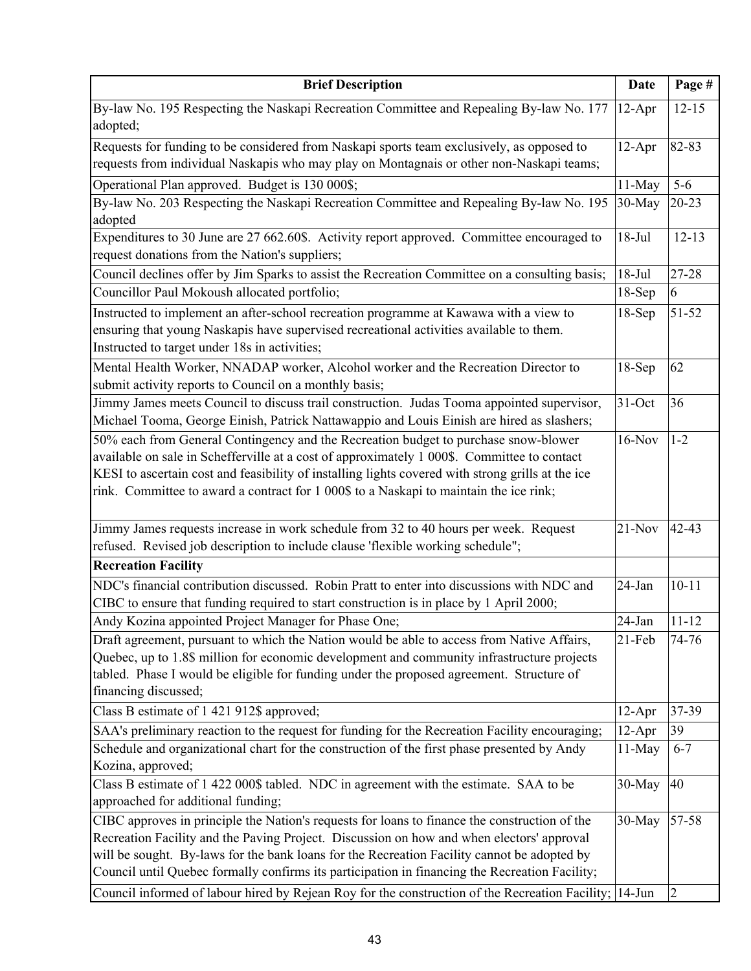| <b>Brief Description</b>                                                                                                                                                                                                                                                                                                                                                                                                                                                                              | <b>Date</b> | Page #         |
|-------------------------------------------------------------------------------------------------------------------------------------------------------------------------------------------------------------------------------------------------------------------------------------------------------------------------------------------------------------------------------------------------------------------------------------------------------------------------------------------------------|-------------|----------------|
| By-law No. 195 Respecting the Naskapi Recreation Committee and Repealing By-law No. 177<br>adopted;                                                                                                                                                                                                                                                                                                                                                                                                   | $12-Apr$    | $12 - 15$      |
| Requests for funding to be considered from Naskapi sports team exclusively, as opposed to<br>requests from individual Naskapis who may play on Montagnais or other non-Naskapi teams;                                                                                                                                                                                                                                                                                                                 | $12-Apr$    | 82-83          |
| Operational Plan approved. Budget is 130 000\$;                                                                                                                                                                                                                                                                                                                                                                                                                                                       | 11-May      | $5-6$          |
| By-law No. 203 Respecting the Naskapi Recreation Committee and Repealing By-law No. 195                                                                                                                                                                                                                                                                                                                                                                                                               | 30-May      | $20 - 23$      |
| adopted                                                                                                                                                                                                                                                                                                                                                                                                                                                                                               |             |                |
| Expenditures to 30 June are 27 662.60\$. Activity report approved. Committee encouraged to                                                                                                                                                                                                                                                                                                                                                                                                            | $18-Jul$    | $12 - 13$      |
| request donations from the Nation's suppliers;                                                                                                                                                                                                                                                                                                                                                                                                                                                        |             |                |
| Council declines offer by Jim Sparks to assist the Recreation Committee on a consulting basis;                                                                                                                                                                                                                                                                                                                                                                                                        | $18-Jul$    | 27-28          |
| Councillor Paul Mokoush allocated portfolio;                                                                                                                                                                                                                                                                                                                                                                                                                                                          | 18-Sep      | 6              |
| Instructed to implement an after-school recreation programme at Kawawa with a view to                                                                                                                                                                                                                                                                                                                                                                                                                 | $18-Sep$    | 51-52          |
| ensuring that young Naskapis have supervised recreational activities available to them.<br>Instructed to target under 18s in activities;                                                                                                                                                                                                                                                                                                                                                              |             |                |
| Mental Health Worker, NNADAP worker, Alcohol worker and the Recreation Director to<br>submit activity reports to Council on a monthly basis;                                                                                                                                                                                                                                                                                                                                                          | $18-Sep$    | 62             |
| Jimmy James meets Council to discuss trail construction. Judas Tooma appointed supervisor,<br>Michael Tooma, George Einish, Patrick Nattawappio and Louis Einish are hired as slashers;                                                                                                                                                                                                                                                                                                               | 31-Oct      | 36             |
| 50% each from General Contingency and the Recreation budget to purchase snow-blower<br>available on sale in Schefferville at a cost of approximately 1 000\$. Committee to contact<br>KESI to ascertain cost and feasibility of installing lights covered with strong grills at the ice<br>rink. Committee to award a contract for 1 000\$ to a Naskapi to maintain the ice rink;                                                                                                                     | $16-Nov$    | $1 - 2$        |
| Jimmy James requests increase in work schedule from 32 to 40 hours per week. Request<br>refused. Revised job description to include clause 'flexible working schedule";                                                                                                                                                                                                                                                                                                                               | $21-Nov$    | 42-43          |
| <b>Recreation Facility</b>                                                                                                                                                                                                                                                                                                                                                                                                                                                                            |             |                |
| NDC's financial contribution discussed. Robin Pratt to enter into discussions with NDC and<br>CIBC to ensure that funding required to start construction is in place by 1 April 2000;                                                                                                                                                                                                                                                                                                                 | 24-Jan      | $10 - 11$      |
| Andy Kozina appointed Project Manager for Phase One;                                                                                                                                                                                                                                                                                                                                                                                                                                                  | $24$ -Jan   | $11 - 12$      |
| Draft agreement, pursuant to which the Nation would be able to access from Native Affairs,                                                                                                                                                                                                                                                                                                                                                                                                            | $21-Feb$    | 74-76          |
| Quebec, up to 1.8\$ million for economic development and community infrastructure projects<br>tabled. Phase I would be eligible for funding under the proposed agreement. Structure of<br>financing discussed;                                                                                                                                                                                                                                                                                        |             |                |
| Class B estimate of 1 421 912\$ approved;                                                                                                                                                                                                                                                                                                                                                                                                                                                             | $12-Apr$    | 37-39          |
| SAA's preliminary reaction to the request for funding for the Recreation Facility encouraging;                                                                                                                                                                                                                                                                                                                                                                                                        | $12-Apr$    | 39             |
| Schedule and organizational chart for the construction of the first phase presented by Andy<br>Kozina, approved;                                                                                                                                                                                                                                                                                                                                                                                      | 11-May      | $6 - 7$        |
| Class B estimate of 1 422 000\$ tabled. NDC in agreement with the estimate. SAA to be<br>approached for additional funding;                                                                                                                                                                                                                                                                                                                                                                           | $30$ -May   | 40             |
| CIBC approves in principle the Nation's requests for loans to finance the construction of the<br>Recreation Facility and the Paving Project. Discussion on how and when electors' approval<br>will be sought. By-laws for the bank loans for the Recreation Facility cannot be adopted by<br>Council until Quebec formally confirms its participation in financing the Recreation Facility;<br>Council informed of labour hired by Rejean Roy for the construction of the Recreation Facility; 14-Jun | 30-May      | $57 - 58$<br>2 |
|                                                                                                                                                                                                                                                                                                                                                                                                                                                                                                       |             |                |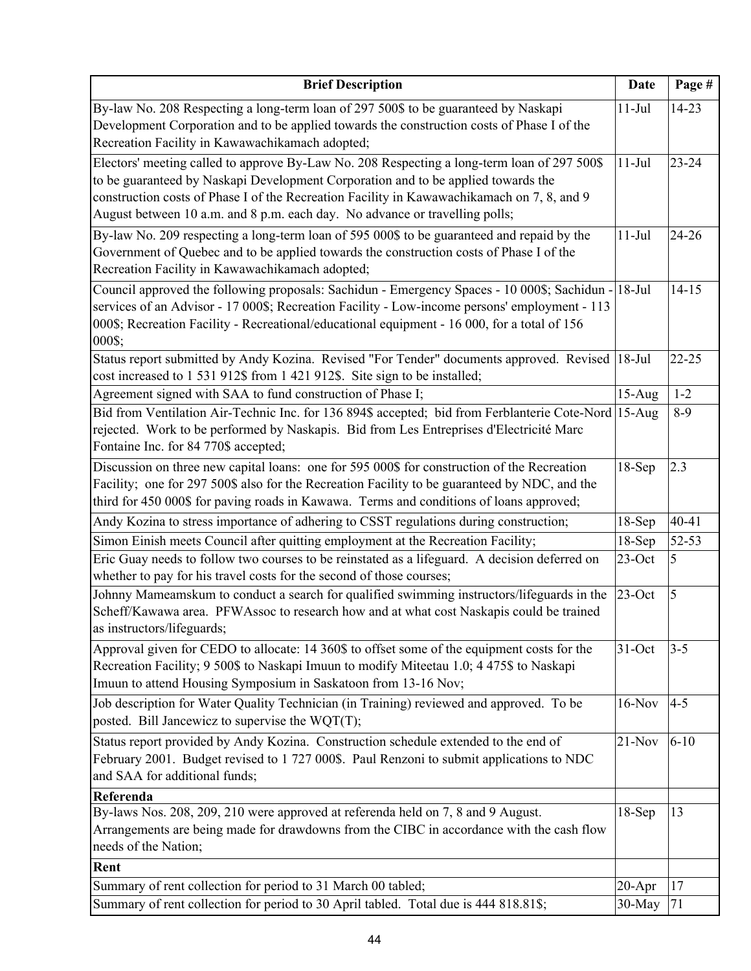| <b>Brief Description</b>                                                                                                                                                                                                                                                                                                                                      | <b>Date</b> | Page #    |
|---------------------------------------------------------------------------------------------------------------------------------------------------------------------------------------------------------------------------------------------------------------------------------------------------------------------------------------------------------------|-------------|-----------|
| By-law No. 208 Respecting a long-term loan of 297 500\$ to be guaranteed by Naskapi<br>Development Corporation and to be applied towards the construction costs of Phase I of the<br>Recreation Facility in Kawawachikamach adopted;                                                                                                                          | $11-Jul$    | 14-23     |
| Electors' meeting called to approve By-Law No. 208 Respecting a long-term loan of 297 500\$<br>to be guaranteed by Naskapi Development Corporation and to be applied towards the<br>construction costs of Phase I of the Recreation Facility in Kawawachikamach on 7, 8, and 9<br>August between 10 a.m. and 8 p.m. each day. No advance or travelling polls; | $11-Jul$    | $23 - 24$ |
| By-law No. 209 respecting a long-term loan of 595 000\$ to be guaranteed and repaid by the<br>Government of Quebec and to be applied towards the construction costs of Phase I of the<br>Recreation Facility in Kawawachikamach adopted;                                                                                                                      | $11-Jul$    | 24-26     |
| Council approved the following proposals: Sachidun - Emergency Spaces - 10 000\$; Sachidun - 18-Jul<br>services of an Advisor - 17 000\$; Recreation Facility - Low-income persons' employment - 113<br>000\$; Recreation Facility - Recreational/educational equipment - 16 000, for a total of 156<br>000\$;                                                |             | $14 - 15$ |
| Status report submitted by Andy Kozina. Revised "For Tender" documents approved. Revised<br>cost increased to 1 531 912\$ from 1 421 912\$. Site sign to be installed;                                                                                                                                                                                        | $18-Jul$    | $22 - 25$ |
| Agreement signed with SAA to fund construction of Phase I;                                                                                                                                                                                                                                                                                                    | $15-Aug$    | $1-2$     |
| Bid from Ventilation Air-Technic Inc. for 136 894\$ accepted; bid from Ferblanterie Cote-Nord 15-Aug<br>rejected. Work to be performed by Naskapis. Bid from Les Entreprises d'Electricité Marc<br>Fontaine Inc. for 84 770\$ accepted;                                                                                                                       |             | $8-9$     |
| Discussion on three new capital loans: one for 595 000\$ for construction of the Recreation<br>Facility; one for 297 500\$ also for the Recreation Facility to be guaranteed by NDC, and the<br>third for 450 000\$ for paving roads in Kawawa. Terms and conditions of loans approved;                                                                       | $18-Sep$    | 2.3       |
| Andy Kozina to stress importance of adhering to CSST regulations during construction;                                                                                                                                                                                                                                                                         | $18-Sep$    | $40 - 41$ |
| Simon Einish meets Council after quitting employment at the Recreation Facility;                                                                                                                                                                                                                                                                              | $18-Sep$    | 52-53     |
| Eric Guay needs to follow two courses to be reinstated as a lifeguard. A decision deferred on<br>whether to pay for his travel costs for the second of those courses;                                                                                                                                                                                         | $23$ -Oct   | 5         |
| Johnny Mameamskum to conduct a search for qualified swimming instructors/lifeguards in the<br>Scheff/Kawawa area. PFWAssoc to research how and at what cost Naskapis could be trained<br>as instructors/lifeguards;                                                                                                                                           | $23$ -Oct   | 5         |
| Approval given for CEDO to allocate: 14 360\$ to offset some of the equipment costs for the<br>Recreation Facility; 9 500\$ to Naskapi Imuun to modify Miteetau 1.0; 4 475\$ to Naskapi<br>Imuun to attend Housing Symposium in Saskatoon from 13-16 Nov;                                                                                                     | $31-Oct$    | $3 - 5$   |
| Job description for Water Quality Technician (in Training) reviewed and approved. To be<br>posted. Bill Jancewicz to supervise the WQT(T);                                                                                                                                                                                                                    | $16-Nov$    | $4 - 5$   |
| Status report provided by Andy Kozina. Construction schedule extended to the end of<br>February 2001. Budget revised to 1 727 000\$. Paul Renzoni to submit applications to NDC<br>and SAA for additional funds;                                                                                                                                              | $21-Nov$    | $6 - 10$  |
| Referenda                                                                                                                                                                                                                                                                                                                                                     |             |           |
| By-laws Nos. 208, 209, 210 were approved at referenda held on 7, 8 and 9 August.<br>Arrangements are being made for drawdowns from the CIBC in accordance with the cash flow<br>needs of the Nation;                                                                                                                                                          | $18-Sep$    | 13        |
| Rent                                                                                                                                                                                                                                                                                                                                                          |             |           |
| Summary of rent collection for period to 31 March 00 tabled;                                                                                                                                                                                                                                                                                                  | $20 - Apr$  | 17        |
| Summary of rent collection for period to 30 April tabled. Total due is 444 818.81\$;                                                                                                                                                                                                                                                                          | 30-May      | 71        |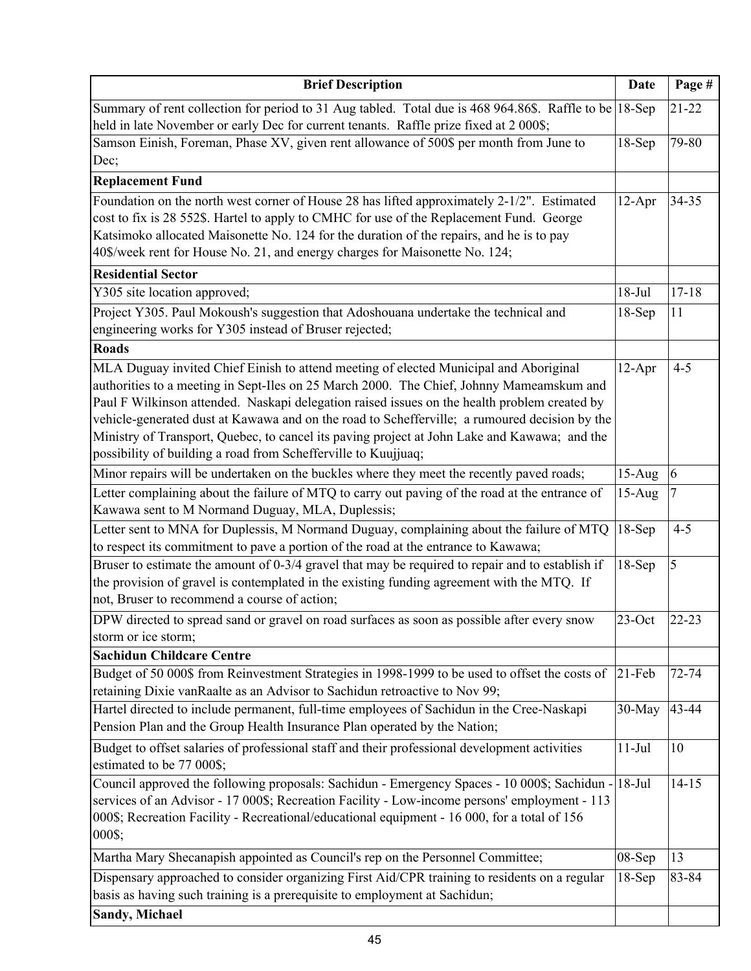| <b>Brief Description</b>                                                                                                                                                                                                                                                                                                                                                                                                                                                                                                                             | <b>Date</b> | Page #    |
|------------------------------------------------------------------------------------------------------------------------------------------------------------------------------------------------------------------------------------------------------------------------------------------------------------------------------------------------------------------------------------------------------------------------------------------------------------------------------------------------------------------------------------------------------|-------------|-----------|
| Summary of rent collection for period to 31 Aug tabled. Total due is 468 964.86\$. Raffle to be 18-Sep<br>held in late November or early Dec for current tenants. Raffle prize fixed at 2 000\$;                                                                                                                                                                                                                                                                                                                                                     |             | $21 - 22$ |
| Samson Einish, Foreman, Phase XV, given rent allowance of 500\$ per month from June to<br>Dec;                                                                                                                                                                                                                                                                                                                                                                                                                                                       | $18-Sep$    | 79-80     |
| <b>Replacement Fund</b>                                                                                                                                                                                                                                                                                                                                                                                                                                                                                                                              |             |           |
| Foundation on the north west corner of House 28 has lifted approximately 2-1/2". Estimated<br>cost to fix is 28 552\$. Hartel to apply to CMHC for use of the Replacement Fund. George<br>Katsimoko allocated Maisonette No. 124 for the duration of the repairs, and he is to pay<br>40\$/week rent for House No. 21, and energy charges for Maisonette No. 124;                                                                                                                                                                                    | $12-Apr$    | $34 - 35$ |
| <b>Residential Sector</b>                                                                                                                                                                                                                                                                                                                                                                                                                                                                                                                            |             |           |
| Y305 site location approved;                                                                                                                                                                                                                                                                                                                                                                                                                                                                                                                         | $18-Jul$    | $17 - 18$ |
| Project Y305. Paul Mokoush's suggestion that Adoshouana undertake the technical and<br>engineering works for Y305 instead of Bruser rejected;                                                                                                                                                                                                                                                                                                                                                                                                        | 18-Sep      | 11        |
| <b>Roads</b>                                                                                                                                                                                                                                                                                                                                                                                                                                                                                                                                         |             |           |
| MLA Duguay invited Chief Einish to attend meeting of elected Municipal and Aboriginal<br>authorities to a meeting in Sept-Iles on 25 March 2000. The Chief, Johnny Mameamskum and<br>Paul F Wilkinson attended. Naskapi delegation raised issues on the health problem created by<br>vehicle-generated dust at Kawawa and on the road to Schefferville; a rumoured decision by the<br>Ministry of Transport, Quebec, to cancel its paving project at John Lake and Kawawa; and the<br>possibility of building a road from Schefferville to Kuujjuaq; | $12-Apr$    | $4 - 5$   |
| Minor repairs will be undertaken on the buckles where they meet the recently paved roads;                                                                                                                                                                                                                                                                                                                                                                                                                                                            | $15-Aug$    | 6         |
| Letter complaining about the failure of MTQ to carry out paving of the road at the entrance of<br>Kawawa sent to M Normand Duguay, MLA, Duplessis;                                                                                                                                                                                                                                                                                                                                                                                                   | $15-Aug$    |           |
| Letter sent to MNA for Duplessis, M Normand Duguay, complaining about the failure of MTQ<br>to respect its commitment to pave a portion of the road at the entrance to Kawawa;                                                                                                                                                                                                                                                                                                                                                                       | 18-Sep      | $4 - 5$   |
| Bruser to estimate the amount of 0-3/4 gravel that may be required to repair and to establish if<br>the provision of gravel is contemplated in the existing funding agreement with the MTQ. If<br>not, Bruser to recommend a course of action;                                                                                                                                                                                                                                                                                                       | $18-Sep$    | 5         |
| DPW directed to spread sand or gravel on road surfaces as soon as possible after every snow<br>storm or ice storm;                                                                                                                                                                                                                                                                                                                                                                                                                                   | $23$ -Oct   | $22 - 23$ |
| <b>Sachidun Childcare Centre</b>                                                                                                                                                                                                                                                                                                                                                                                                                                                                                                                     |             |           |
| Budget of 50 000\$ from Reinvestment Strategies in 1998-1999 to be used to offset the costs of<br>retaining Dixie vanRaalte as an Advisor to Sachidun retroactive to Nov 99;                                                                                                                                                                                                                                                                                                                                                                         | $21$ -Feb   | 72-74     |
| Hartel directed to include permanent, full-time employees of Sachidun in the Cree-Naskapi<br>Pension Plan and the Group Health Insurance Plan operated by the Nation;                                                                                                                                                                                                                                                                                                                                                                                | $30-May$    | 43-44     |
| Budget to offset salaries of professional staff and their professional development activities<br>estimated to be 77 000\$;                                                                                                                                                                                                                                                                                                                                                                                                                           | $11-Jul$    | 10        |
| Council approved the following proposals: Sachidun - Emergency Spaces - 10 000\$; Sachidun - 18-Jul<br>services of an Advisor - 17 000\$; Recreation Facility - Low-income persons' employment - 113<br>000\$; Recreation Facility - Recreational/educational equipment - 16 000, for a total of 156<br>000\$;                                                                                                                                                                                                                                       |             | $14 - 15$ |
| Martha Mary Shecanapish appointed as Council's rep on the Personnel Committee;                                                                                                                                                                                                                                                                                                                                                                                                                                                                       | 08-Sep      | 13        |
| Dispensary approached to consider organizing First Aid/CPR training to residents on a regular<br>basis as having such training is a prerequisite to employment at Sachidun;                                                                                                                                                                                                                                                                                                                                                                          | $18-Sep$    | 83-84     |
| <b>Sandy, Michael</b>                                                                                                                                                                                                                                                                                                                                                                                                                                                                                                                                |             |           |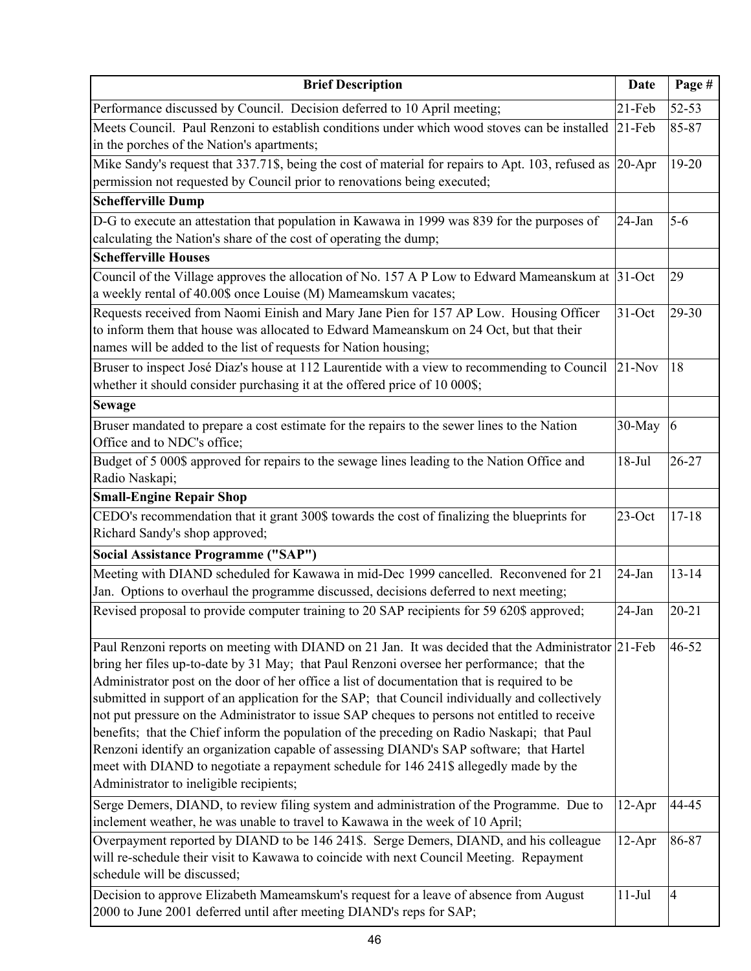| <b>Brief Description</b>                                                                                                                                                                                                                                                                                                                                                                                                                                                                                                                                                                                                                                                                                                                                                                                                        | <b>Date</b> | Page #          |
|---------------------------------------------------------------------------------------------------------------------------------------------------------------------------------------------------------------------------------------------------------------------------------------------------------------------------------------------------------------------------------------------------------------------------------------------------------------------------------------------------------------------------------------------------------------------------------------------------------------------------------------------------------------------------------------------------------------------------------------------------------------------------------------------------------------------------------|-------------|-----------------|
| Performance discussed by Council. Decision deferred to 10 April meeting;                                                                                                                                                                                                                                                                                                                                                                                                                                                                                                                                                                                                                                                                                                                                                        | $21$ -Feb   | 52-53           |
| Meets Council. Paul Renzoni to establish conditions under which wood stoves can be installed<br>in the porches of the Nation's apartments;                                                                                                                                                                                                                                                                                                                                                                                                                                                                                                                                                                                                                                                                                      | $21-Feb$    | 85-87           |
| Mike Sandy's request that 337.71\$, being the cost of material for repairs to Apt. 103, refused as<br>permission not requested by Council prior to renovations being executed;                                                                                                                                                                                                                                                                                                                                                                                                                                                                                                                                                                                                                                                  | $20-Apr$    | 19-20           |
| <b>Schefferville Dump</b>                                                                                                                                                                                                                                                                                                                                                                                                                                                                                                                                                                                                                                                                                                                                                                                                       |             |                 |
| D-G to execute an attestation that population in Kawawa in 1999 was 839 for the purposes of<br>calculating the Nation's share of the cost of operating the dump;                                                                                                                                                                                                                                                                                                                                                                                                                                                                                                                                                                                                                                                                | 24-Jan      | $5 - 6$         |
| <b>Schefferville Houses</b>                                                                                                                                                                                                                                                                                                                                                                                                                                                                                                                                                                                                                                                                                                                                                                                                     |             |                 |
| Council of the Village approves the allocation of No. 157 A P Low to Edward Mameanskum at 31-Oct<br>a weekly rental of 40.00\$ once Louise (M) Mameamskum vacates;                                                                                                                                                                                                                                                                                                                                                                                                                                                                                                                                                                                                                                                              |             | 29              |
| Requests received from Naomi Einish and Mary Jane Pien for 157 AP Low. Housing Officer<br>to inform them that house was allocated to Edward Mameanskum on 24 Oct, but that their<br>names will be added to the list of requests for Nation housing;                                                                                                                                                                                                                                                                                                                                                                                                                                                                                                                                                                             | $31-Oct$    | 29-30           |
| Bruser to inspect José Diaz's house at 112 Laurentide with a view to recommending to Council<br>whether it should consider purchasing it at the offered price of 10 000\$;                                                                                                                                                                                                                                                                                                                                                                                                                                                                                                                                                                                                                                                      | $21-Nov$    | 18              |
| <b>Sewage</b>                                                                                                                                                                                                                                                                                                                                                                                                                                                                                                                                                                                                                                                                                                                                                                                                                   |             |                 |
| Bruser mandated to prepare a cost estimate for the repairs to the sewer lines to the Nation<br>Office and to NDC's office;                                                                                                                                                                                                                                                                                                                                                                                                                                                                                                                                                                                                                                                                                                      | 30-May      | $\vert 6 \vert$ |
| Budget of 5 000\$ approved for repairs to the sewage lines leading to the Nation Office and<br>Radio Naskapi;                                                                                                                                                                                                                                                                                                                                                                                                                                                                                                                                                                                                                                                                                                                   | $18-Jul$    | $26 - 27$       |
| <b>Small-Engine Repair Shop</b>                                                                                                                                                                                                                                                                                                                                                                                                                                                                                                                                                                                                                                                                                                                                                                                                 |             |                 |
| CEDO's recommendation that it grant 300\$ towards the cost of finalizing the blueprints for<br>Richard Sandy's shop approved;                                                                                                                                                                                                                                                                                                                                                                                                                                                                                                                                                                                                                                                                                                   | $23$ -Oct   | $17 - 18$       |
| <b>Social Assistance Programme ("SAP")</b>                                                                                                                                                                                                                                                                                                                                                                                                                                                                                                                                                                                                                                                                                                                                                                                      |             |                 |
| Meeting with DIAND scheduled for Kawawa in mid-Dec 1999 cancelled. Reconvened for 21<br>Jan. Options to overhaul the programme discussed, decisions deferred to next meeting;                                                                                                                                                                                                                                                                                                                                                                                                                                                                                                                                                                                                                                                   | 24-Jan      | $13 - 14$       |
| Revised proposal to provide computer training to 20 SAP recipients for 59 620\$ approved;                                                                                                                                                                                                                                                                                                                                                                                                                                                                                                                                                                                                                                                                                                                                       | 24-Jan      | $20 - 21$       |
| Paul Renzoni reports on meeting with DIAND on 21 Jan. It was decided that the Administrator 21-Feb<br>bring her files up-to-date by 31 May; that Paul Renzoni oversee her performance; that the<br>Administrator post on the door of her office a list of documentation that is required to be<br>submitted in support of an application for the SAP; that Council individually and collectively<br>not put pressure on the Administrator to issue SAP cheques to persons not entitled to receive<br>benefits; that the Chief inform the population of the preceding on Radio Naskapi; that Paul<br>Renzoni identify an organization capable of assessing DIAND's SAP software; that Hartel<br>meet with DIAND to negotiate a repayment schedule for 146 241\$ allegedly made by the<br>Administrator to ineligible recipients; |             | $46 - 52$       |
| Serge Demers, DIAND, to review filing system and administration of the Programme. Due to<br>inclement weather, he was unable to travel to Kawawa in the week of 10 April;                                                                                                                                                                                                                                                                                                                                                                                                                                                                                                                                                                                                                                                       | $12-Apr$    | 44-45           |
| Overpayment reported by DIAND to be 146 241\$. Serge Demers, DIAND, and his colleague<br>will re-schedule their visit to Kawawa to coincide with next Council Meeting. Repayment<br>schedule will be discussed;                                                                                                                                                                                                                                                                                                                                                                                                                                                                                                                                                                                                                 | $12-Apr$    | 86-87           |
| Decision to approve Elizabeth Mameamskum's request for a leave of absence from August<br>2000 to June 2001 deferred until after meeting DIAND's reps for SAP;                                                                                                                                                                                                                                                                                                                                                                                                                                                                                                                                                                                                                                                                   | $11-Jul$    | $\overline{4}$  |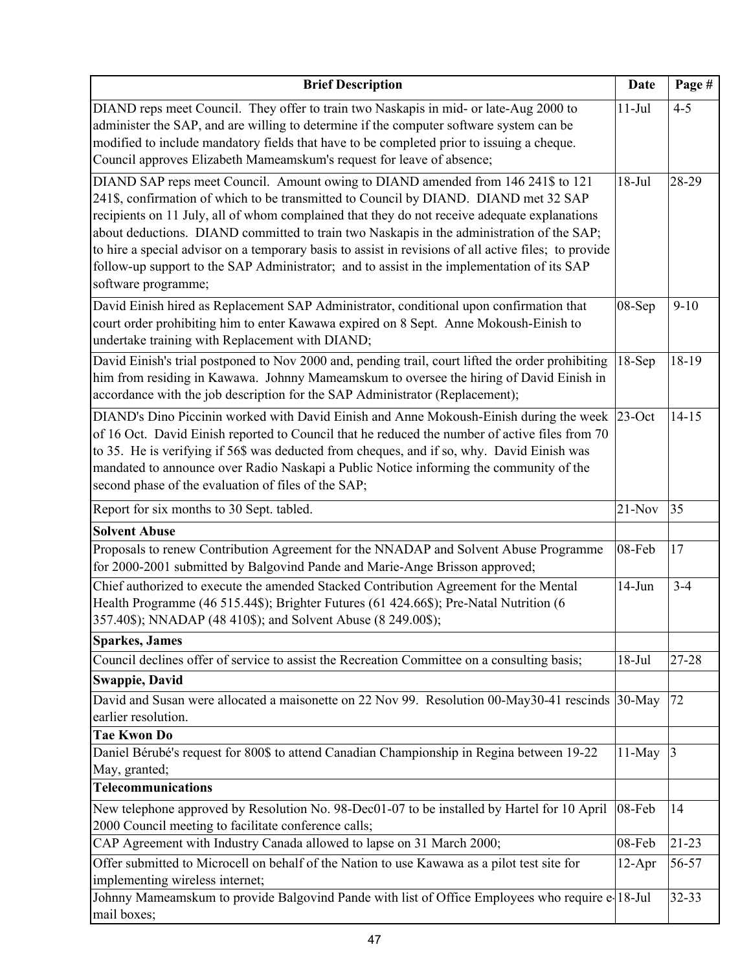| <b>Brief Description</b>                                                                                                                                                                                                                                                                                                                                                                                                                                                                                                                                                                            | <b>Date</b> | Page #    |
|-----------------------------------------------------------------------------------------------------------------------------------------------------------------------------------------------------------------------------------------------------------------------------------------------------------------------------------------------------------------------------------------------------------------------------------------------------------------------------------------------------------------------------------------------------------------------------------------------------|-------------|-----------|
| DIAND reps meet Council. They offer to train two Naskapis in mid- or late-Aug 2000 to<br>administer the SAP, and are willing to determine if the computer software system can be<br>modified to include mandatory fields that have to be completed prior to issuing a cheque.<br>Council approves Elizabeth Mameamskum's request for leave of absence;                                                                                                                                                                                                                                              | $11-Jul$    | $4 - 5$   |
| DIAND SAP reps meet Council. Amount owing to DIAND amended from 146 241\$ to 121<br>241\$, confirmation of which to be transmitted to Council by DIAND. DIAND met 32 SAP<br>recipients on 11 July, all of whom complained that they do not receive adequate explanations<br>about deductions. DIAND committed to train two Naskapis in the administration of the SAP;<br>to hire a special advisor on a temporary basis to assist in revisions of all active files; to provide<br>follow-up support to the SAP Administrator; and to assist in the implementation of its SAP<br>software programme; | $18-Jul$    | 28-29     |
| David Einish hired as Replacement SAP Administrator, conditional upon confirmation that<br>court order prohibiting him to enter Kawawa expired on 8 Sept. Anne Mokoush-Einish to<br>undertake training with Replacement with DIAND;                                                                                                                                                                                                                                                                                                                                                                 | 08-Sep      | $9-10$    |
| David Einish's trial postponed to Nov 2000 and, pending trail, court lifted the order prohibiting<br>him from residing in Kawawa. Johnny Mameamskum to oversee the hiring of David Einish in<br>accordance with the job description for the SAP Administrator (Replacement);                                                                                                                                                                                                                                                                                                                        | $18-Sep$    | 18-19     |
| DIAND's Dino Piccinin worked with David Einish and Anne Mokoush-Einish during the week<br>of 16 Oct. David Einish reported to Council that he reduced the number of active files from 70<br>to 35. He is verifying if 56\$ was deducted from cheques, and if so, why. David Einish was<br>mandated to announce over Radio Naskapi a Public Notice informing the community of the<br>second phase of the evaluation of files of the SAP;                                                                                                                                                             | $23$ -Oct   | $14 - 15$ |
| Report for six months to 30 Sept. tabled.                                                                                                                                                                                                                                                                                                                                                                                                                                                                                                                                                           | $21-Nov$    | 35        |
| <b>Solvent Abuse</b>                                                                                                                                                                                                                                                                                                                                                                                                                                                                                                                                                                                |             |           |
| Proposals to renew Contribution Agreement for the NNADAP and Solvent Abuse Programme<br>for 2000-2001 submitted by Balgovind Pande and Marie-Ange Brisson approved;                                                                                                                                                                                                                                                                                                                                                                                                                                 | 08-Feb      | 17        |
| Chief authorized to execute the amended Stacked Contribution Agreement for the Mental<br>Health Programme (46 515.44\$); Brighter Futures (61 424.66\$); Pre-Natal Nutrition (6<br>357.40\$); NNADAP (48 410\$); and Solvent Abuse (8 249.00\$);                                                                                                                                                                                                                                                                                                                                                    | $14-Jun$    | $3 - 4$   |
| <b>Sparkes</b> , James                                                                                                                                                                                                                                                                                                                                                                                                                                                                                                                                                                              |             |           |
| Council declines offer of service to assist the Recreation Committee on a consulting basis;<br><b>Swappie, David</b>                                                                                                                                                                                                                                                                                                                                                                                                                                                                                | $18-Jul$    | 27-28     |
| David and Susan were allocated a maisonette on 22 Nov 99. Resolution 00-May30-41 rescinds<br>earlier resolution.                                                                                                                                                                                                                                                                                                                                                                                                                                                                                    | $30-May$    | 72        |
| <b>Tae Kwon Do</b><br>Daniel Bérubé's request for 800\$ to attend Canadian Championship in Regina between 19-22                                                                                                                                                                                                                                                                                                                                                                                                                                                                                     | $11-May$    | 3         |
| May, granted;                                                                                                                                                                                                                                                                                                                                                                                                                                                                                                                                                                                       |             |           |
| <b>Telecommunications</b>                                                                                                                                                                                                                                                                                                                                                                                                                                                                                                                                                                           |             |           |
| New telephone approved by Resolution No. 98-Dec01-07 to be installed by Hartel for 10 April<br>2000 Council meeting to facilitate conference calls;                                                                                                                                                                                                                                                                                                                                                                                                                                                 | 08-Feb      | 14        |
| CAP Agreement with Industry Canada allowed to lapse on 31 March 2000;                                                                                                                                                                                                                                                                                                                                                                                                                                                                                                                               | 08-Feb      | $21-23$   |
| Offer submitted to Microcell on behalf of the Nation to use Kawawa as a pilot test site for<br>implementing wireless internet;                                                                                                                                                                                                                                                                                                                                                                                                                                                                      | $12-Apr$    | 56-57     |
| Johnny Mameamskum to provide Balgovind Pande with list of Office Employees who require e 18-Jul<br>mail boxes;                                                                                                                                                                                                                                                                                                                                                                                                                                                                                      |             | $32 - 33$ |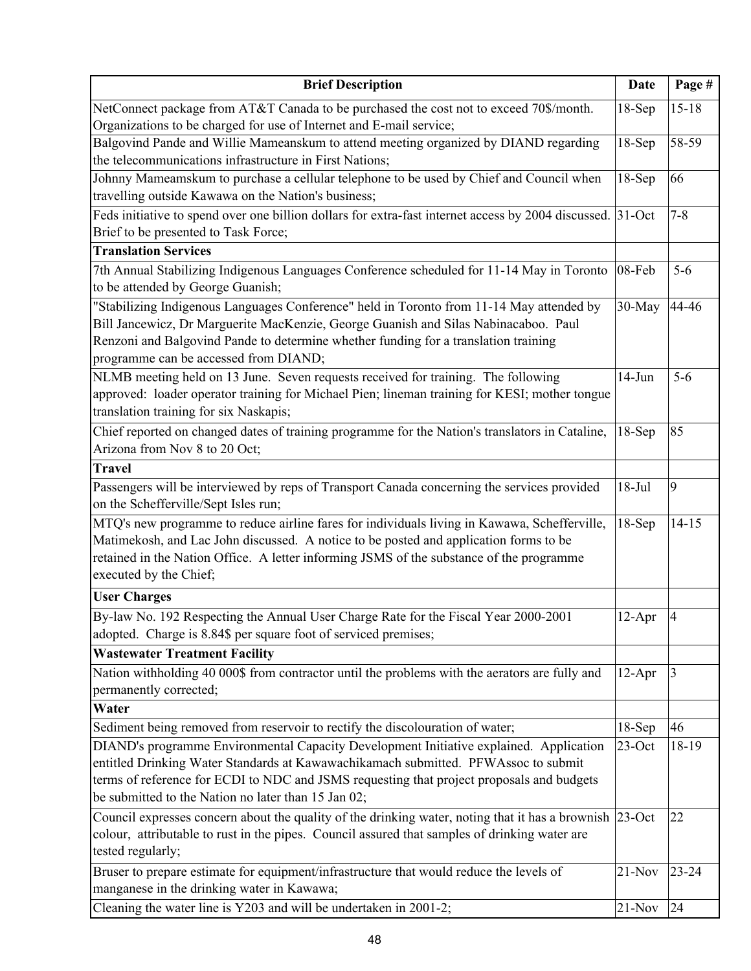| <b>Brief Description</b>                                                                                                       | Date      | Page #         |
|--------------------------------------------------------------------------------------------------------------------------------|-----------|----------------|
| NetConnect package from AT&T Canada to be purchased the cost not to exceed 70\$/month.                                         | $18-Sep$  | $15 - 18$      |
| Organizations to be charged for use of Internet and E-mail service;                                                            |           |                |
| Balgovind Pande and Willie Mameanskum to attend meeting organized by DIAND regarding                                           | $18-Sep$  | 58-59          |
| the telecommunications infrastructure in First Nations;                                                                        |           |                |
| Johnny Mameamskum to purchase a cellular telephone to be used by Chief and Council when                                        | $18-Sep$  | 66             |
| travelling outside Kawawa on the Nation's business;                                                                            |           |                |
| Feds initiative to spend over one billion dollars for extra-fast internet access by 2004 discussed.                            | $31-Oct$  | $7 - 8$        |
| Brief to be presented to Task Force;                                                                                           |           |                |
| <b>Translation Services</b>                                                                                                    |           |                |
| 7th Annual Stabilizing Indigenous Languages Conference scheduled for 11-14 May in Toronto<br>to be attended by George Guanish; | 08-Feb    | $5-6$          |
| "Stabilizing Indigenous Languages Conference" held in Toronto from 11-14 May attended by                                       | 30-May    | 44-46          |
| Bill Jancewicz, Dr Marguerite MacKenzie, George Guanish and Silas Nabinacaboo. Paul                                            |           |                |
| Renzoni and Balgovind Pande to determine whether funding for a translation training                                            |           |                |
| programme can be accessed from DIAND;                                                                                          |           |                |
| NLMB meeting held on 13 June. Seven requests received for training. The following                                              | $14-Jun$  | $5 - 6$        |
| approved: loader operator training for Michael Pien; lineman training for KESI; mother tongue                                  |           |                |
| translation training for six Naskapis;                                                                                         |           |                |
| Chief reported on changed dates of training programme for the Nation's translators in Cataline,                                | $18-Sep$  | 85             |
| Arizona from Nov 8 to 20 Oct;                                                                                                  |           |                |
| <b>Travel</b>                                                                                                                  |           |                |
| Passengers will be interviewed by reps of Transport Canada concerning the services provided                                    | $18-Jul$  | 9              |
| on the Schefferville/Sept Isles run;                                                                                           |           |                |
| MTQ's new programme to reduce airline fares for individuals living in Kawawa, Schefferville,                                   | $18-Sep$  | $14 - 15$      |
| Matimekosh, and Lac John discussed. A notice to be posted and application forms to be                                          |           |                |
| retained in the Nation Office. A letter informing JSMS of the substance of the programme                                       |           |                |
| executed by the Chief;                                                                                                         |           |                |
| <b>User Charges</b>                                                                                                            |           |                |
| By-law No. 192 Respecting the Annual User Charge Rate for the Fiscal Year 2000-2001                                            | $12-Apr$  | $\overline{4}$ |
| adopted. Charge is 8.84\$ per square foot of serviced premises;                                                                |           |                |
| <b>Wastewater Treatment Facility</b>                                                                                           |           |                |
| Nation withholding 40 000\$ from contractor until the problems with the aerators are fully and                                 | $12-Apr$  | 3              |
| permanently corrected;                                                                                                         |           |                |
| Water                                                                                                                          |           |                |
| Sediment being removed from reservoir to rectify the discolouration of water;                                                  | $18-Sep$  | 46             |
| DIAND's programme Environmental Capacity Development Initiative explained. Application                                         | $23$ -Oct | 18-19          |
| entitled Drinking Water Standards at Kawawachikamach submitted. PFWAssoc to submit                                             |           |                |
| terms of reference for ECDI to NDC and JSMS requesting that project proposals and budgets                                      |           |                |
| be submitted to the Nation no later than 15 Jan 02;                                                                            |           |                |
| Council expresses concern about the quality of the drinking water, noting that it has a brownish                               | $23$ -Oct | 22             |
| colour, attributable to rust in the pipes. Council assured that samples of drinking water are                                  |           |                |
| tested regularly;                                                                                                              |           |                |
| Bruser to prepare estimate for equipment/infrastructure that would reduce the levels of                                        | $21-Nov$  | $23 - 24$      |
| manganese in the drinking water in Kawawa;                                                                                     |           |                |
| Cleaning the water line is Y203 and will be undertaken in 2001-2;                                                              | $21-Nov$  | 24             |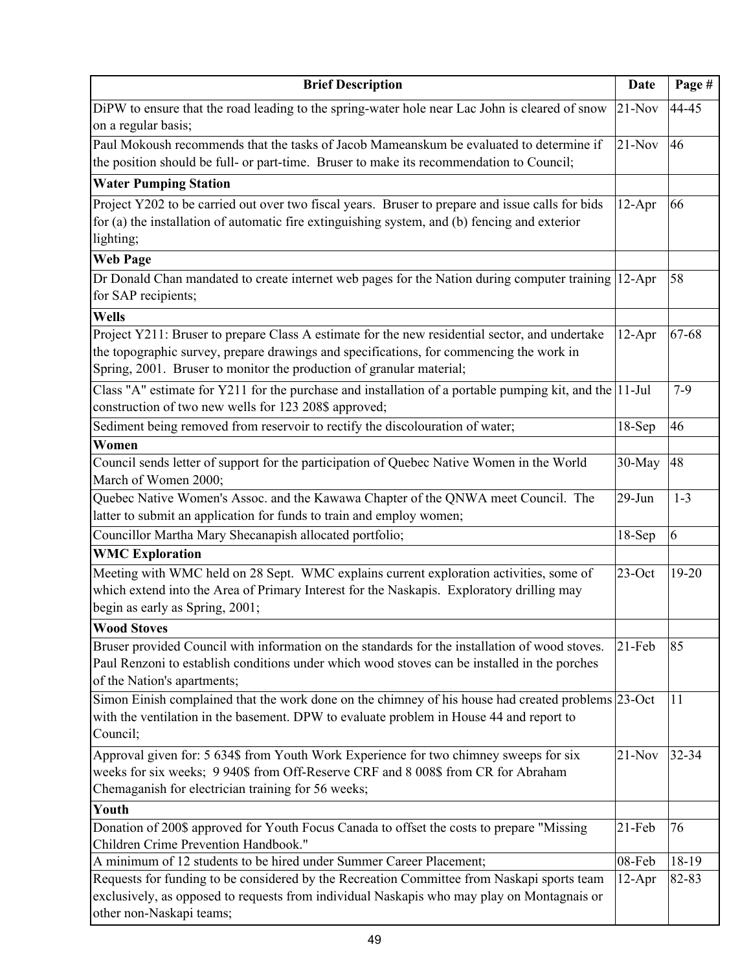| <b>Brief Description</b>                                                                                                                                                   | <b>Date</b> | Page #    |
|----------------------------------------------------------------------------------------------------------------------------------------------------------------------------|-------------|-----------|
| DiPW to ensure that the road leading to the spring-water hole near Lac John is cleared of snow                                                                             | $21-Nov$    | 44-45     |
| on a regular basis;                                                                                                                                                        |             |           |
| Paul Mokoush recommends that the tasks of Jacob Mameanskum be evaluated to determine if                                                                                    | $21-Nov$    | 46        |
| the position should be full- or part-time. Bruser to make its recommendation to Council;                                                                                   |             |           |
| <b>Water Pumping Station</b>                                                                                                                                               |             |           |
| Project Y202 to be carried out over two fiscal years. Bruser to prepare and issue calls for bids                                                                           | $12-Apr$    | 66        |
| for (a) the installation of automatic fire extinguishing system, and (b) fencing and exterior                                                                              |             |           |
| lighting;                                                                                                                                                                  |             |           |
| <b>Web Page</b>                                                                                                                                                            |             |           |
| Dr Donald Chan mandated to create internet web pages for the Nation during computer training                                                                               | $12-Apr$    | 58        |
| for SAP recipients;                                                                                                                                                        |             |           |
| Wells                                                                                                                                                                      |             |           |
| Project Y211: Bruser to prepare Class A estimate for the new residential sector, and undertake                                                                             | $12-Apr$    | 67-68     |
| the topographic survey, prepare drawings and specifications, for commencing the work in                                                                                    |             |           |
| Spring, 2001. Bruser to monitor the production of granular material;                                                                                                       |             |           |
| Class "A" estimate for Y211 for the purchase and installation of a portable pumping kit, and the 11-Jul                                                                    |             | $7 - 9$   |
| construction of two new wells for 123 208\$ approved;                                                                                                                      |             |           |
| Sediment being removed from reservoir to rectify the discolouration of water;                                                                                              | $18-Sep$    | 46        |
| Women                                                                                                                                                                      |             |           |
| Council sends letter of support for the participation of Quebec Native Women in the World                                                                                  | 30-May      | 48        |
| March of Women 2000;                                                                                                                                                       |             |           |
| Quebec Native Women's Assoc. and the Kawawa Chapter of the QNWA meet Council. The                                                                                          | $29$ -Jun   | $1 - 3$   |
| latter to submit an application for funds to train and employ women;                                                                                                       |             |           |
| Councillor Martha Mary Shecanapish allocated portfolio;                                                                                                                    | $18-Sep$    | 6         |
| <b>WMC Exploration</b>                                                                                                                                                     |             |           |
| Meeting with WMC held on 28 Sept. WMC explains current exploration activities, some of                                                                                     | $23$ -Oct   | $19 - 20$ |
| which extend into the Area of Primary Interest for the Naskapis. Exploratory drilling may                                                                                  |             |           |
| begin as early as Spring, 2001;                                                                                                                                            |             |           |
| <b>Wood Stoves</b>                                                                                                                                                         |             |           |
| Bruser provided Council with information on the standards for the installation of wood stoves.                                                                             | $21-Feb$    | 85        |
| Paul Renzoni to establish conditions under which wood stoves can be installed in the porches                                                                               |             |           |
| of the Nation's apartments;                                                                                                                                                |             |           |
| Simon Einish complained that the work done on the chimney of his house had created problems 23-Oct                                                                         |             | 11        |
| with the ventilation in the basement. DPW to evaluate problem in House 44 and report to<br>Council;                                                                        |             |           |
|                                                                                                                                                                            |             |           |
| Approval given for: 5 634\$ from Youth Work Experience for two chimney sweeps for six<br>weeks for six weeks; 9 940\$ from Off-Reserve CRF and 8 008\$ from CR for Abraham | $21-Nov$    | 32-34     |
| Chemaganish for electrician training for 56 weeks;                                                                                                                         |             |           |
| Youth                                                                                                                                                                      |             |           |
| Donation of 200\$ approved for Youth Focus Canada to offset the costs to prepare "Missing                                                                                  | 21-Feb      | 76        |
| Children Crime Prevention Handbook."                                                                                                                                       |             |           |
| A minimum of 12 students to be hired under Summer Career Placement;                                                                                                        | 08-Feb      | 18-19     |
| Requests for funding to be considered by the Recreation Committee from Naskapi sports team                                                                                 | $12-Apr$    | 82-83     |
| exclusively, as opposed to requests from individual Naskapis who may play on Montagnais or                                                                                 |             |           |
| other non-Naskapi teams;                                                                                                                                                   |             |           |